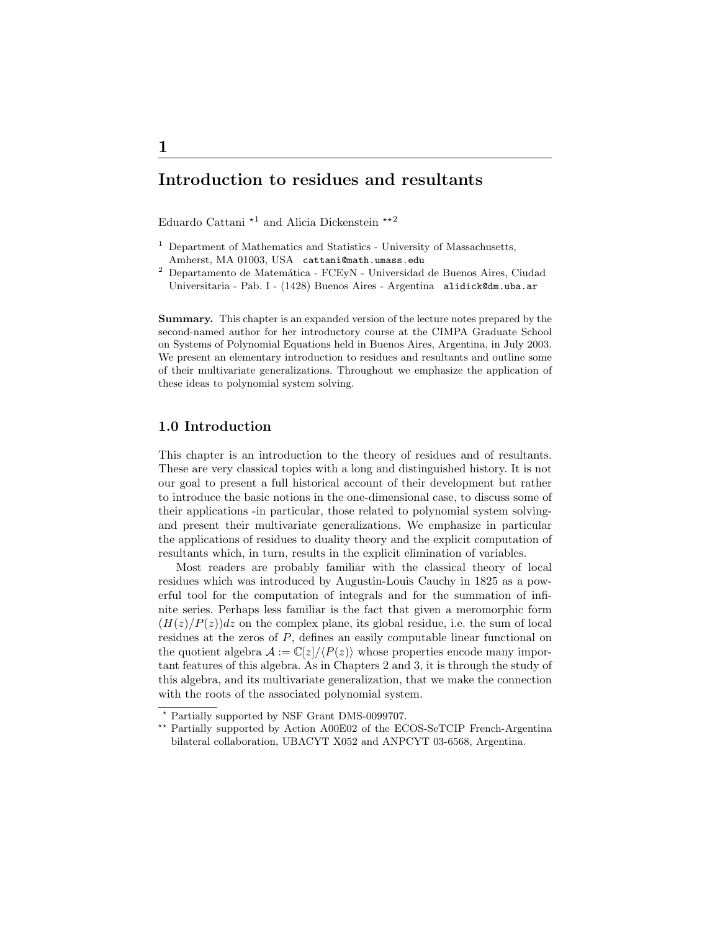# Introduction to residues and resultants

Eduardo Cattani $^{\star1}$  and Alicia Dickenstein  $^{\star\star2}$ 

- $<sup>1</sup>$  Department of Mathematics and Statistics University of Massachusetts,</sup> Amherst, MA 01003, USA cattani@math.umass.edu
- $^{\rm 2}$  Departamento de Matemática FCEyN Universidad de Buenos Aires, Ciudad Universitaria - Pab. I - (1428) Buenos Aires - Argentina alidick@dm.uba.ar

Summary. This chapter is an expanded version of the lecture notes prepared by the second-named author for her introductory course at the CIMPA Graduate School on Systems of Polynomial Equations held in Buenos Aires, Argentina, in July 2003. We present an elementary introduction to residues and resultants and outline some of their multivariate generalizations. Throughout we emphasize the application of these ideas to polynomial system solving.

# 1.0 Introduction

This chapter is an introduction to the theory of residues and of resultants. These are very classical topics with a long and distinguished history. It is not our goal to present a full historical account of their development but rather to introduce the basic notions in the one-dimensional case, to discuss some of their applications -in particular, those related to polynomial system solvingand present their multivariate generalizations. We emphasize in particular the applications of residues to duality theory and the explicit computation of resultants which, in turn, results in the explicit elimination of variables.

Most readers are probably familiar with the classical theory of local residues which was introduced by Augustin-Louis Cauchy in 1825 as a powerful tool for the computation of integrals and for the summation of infinite series. Perhaps less familiar is the fact that given a meromorphic form  $(H(z)/P(z))dz$  on the complex plane, its global residue, i.e. the sum of local residues at the zeros of P, defines an easily computable linear functional on the quotient algebra  $\mathcal{A} := \mathbb{C}[z]/\langle P(z) \rangle$  whose properties encode many important features of this algebra. As in Chapters 2 and 3, it is through the study of this algebra, and its multivariate generalization, that we make the connection with the roots of the associated polynomial system.

<sup>?</sup> Partially supported by NSF Grant DMS-0099707.

<sup>\*\*</sup> Partially supported by Action A00E02 of the ECOS-SeTCIP French-Argentina bilateral collaboration, UBACYT X052 and ANPCYT 03-6568, Argentina.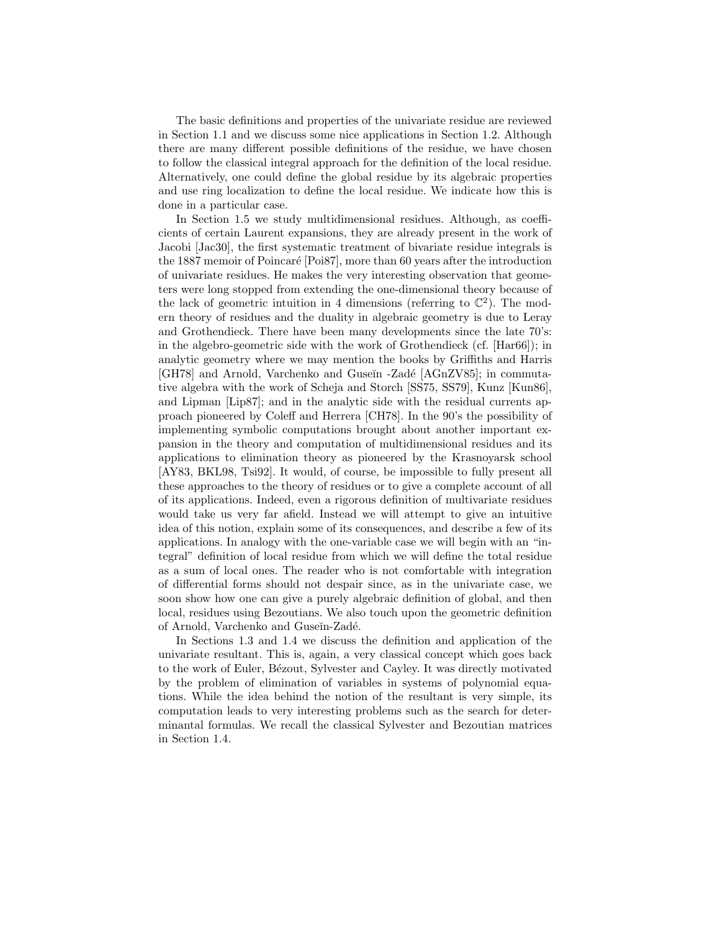The basic definitions and properties of the univariate residue are reviewed in Section 1.1 and we discuss some nice applications in Section 1.2. Although there are many different possible definitions of the residue, we have chosen to follow the classical integral approach for the definition of the local residue. Alternatively, one could define the global residue by its algebraic properties and use ring localization to define the local residue. We indicate how this is done in a particular case.

In Section 1.5 we study multidimensional residues. Although, as coefficients of certain Laurent expansions, they are already present in the work of Jacobi [Jac30], the first systematic treatment of bivariate residue integrals is the 1887 memoir of Poincaré [Poi87], more than 60 years after the introduction of univariate residues. He makes the very interesting observation that geometers were long stopped from extending the one-dimensional theory because of the lack of geometric intuition in 4 dimensions (referring to  $\mathbb{C}^2$ ). The modern theory of residues and the duality in algebraic geometry is due to Leray and Grothendieck. There have been many developments since the late 70's: in the algebro-geometric side with the work of Grothendieck (cf. [Har66]); in analytic geometry where we may mention the books by Griffiths and Harris [GH78] and Arnold, Varchenko and Guseĭn -Zadé [AGnZV85]; in commutative algebra with the work of Scheja and Storch [SS75, SS79], Kunz [Kun86], and Lipman [Lip87]; and in the analytic side with the residual currents approach pioneered by Coleff and Herrera [CH78]. In the 90's the possibility of implementing symbolic computations brought about another important expansion in the theory and computation of multidimensional residues and its applications to elimination theory as pioneered by the Krasnoyarsk school [AY83, BKL98, Tsi92]. It would, of course, be impossible to fully present all these approaches to the theory of residues or to give a complete account of all of its applications. Indeed, even a rigorous definition of multivariate residues would take us very far afield. Instead we will attempt to give an intuitive idea of this notion, explain some of its consequences, and describe a few of its applications. In analogy with the one-variable case we will begin with an "integral" definition of local residue from which we will define the total residue as a sum of local ones. The reader who is not comfortable with integration of differential forms should not despair since, as in the univariate case, we soon show how one can give a purely algebraic definition of global, and then local, residues using Bezoutians. We also touch upon the geometric definition of Arnold, Varchenko and Guseĭn-Zadé.

In Sections 1.3 and 1.4 we discuss the definition and application of the univariate resultant. This is, again, a very classical concept which goes back to the work of Euler, Bézout, Sylvester and Cayley. It was directly motivated by the problem of elimination of variables in systems of polynomial equations. While the idea behind the notion of the resultant is very simple, its computation leads to very interesting problems such as the search for determinantal formulas. We recall the classical Sylvester and Bezoutian matrices in Section 1.4.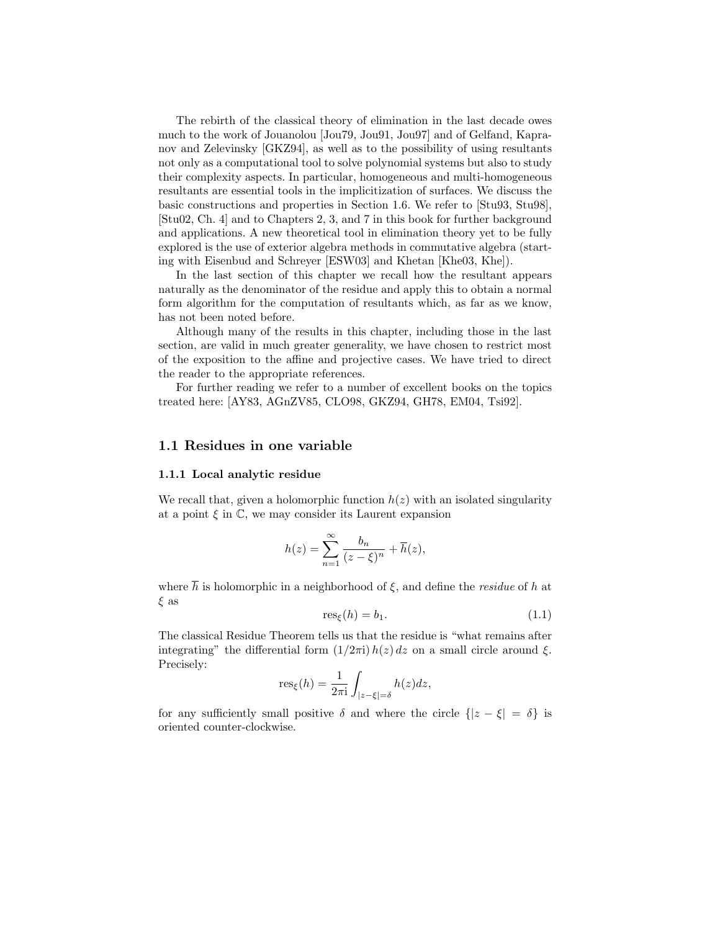The rebirth of the classical theory of elimination in the last decade owes much to the work of Jouanolou [Jou79, Jou91, Jou97] and of Gelfand, Kapranov and Zelevinsky [GKZ94], as well as to the possibility of using resultants not only as a computational tool to solve polynomial systems but also to study their complexity aspects. In particular, homogeneous and multi-homogeneous resultants are essential tools in the implicitization of surfaces. We discuss the basic constructions and properties in Section 1.6. We refer to [Stu93, Stu98], [Stu02, Ch. 4] and to Chapters 2, 3, and 7 in this book for further background and applications. A new theoretical tool in elimination theory yet to be fully explored is the use of exterior algebra methods in commutative algebra (starting with Eisenbud and Schreyer [ESW03] and Khetan [Khe03, Khe]).

In the last section of this chapter we recall how the resultant appears naturally as the denominator of the residue and apply this to obtain a normal form algorithm for the computation of resultants which, as far as we know, has not been noted before.

Although many of the results in this chapter, including those in the last section, are valid in much greater generality, we have chosen to restrict most of the exposition to the affine and projective cases. We have tried to direct the reader to the appropriate references.

For further reading we refer to a number of excellent books on the topics treated here: [AY83, AGnZV85, CLO98, GKZ94, GH78, EM04, Tsi92].

# 1.1 Residues in one variable

#### 1.1.1 Local analytic residue

We recall that, given a holomorphic function  $h(z)$  with an isolated singularity at a point  $\xi$  in  $\mathbb{C}$ , we may consider its Laurent expansion

$$
h(z) = \sum_{n=1}^{\infty} \frac{b_n}{(z-\xi)^n} + \overline{h}(z),
$$

where  $\overline{h}$  is holomorphic in a neighborhood of  $\xi$ , and define the *residue* of h at ξ as

$$
res_{\xi}(h) = b_1. \tag{1.1}
$$

The classical Residue Theorem tells us that the residue is "what remains after integrating" the differential form  $(1/2\pi i) h(z) dz$  on a small circle around  $\xi$ . Precisely:

$$
res_{\xi}(h) = \frac{1}{2\pi i} \int_{|z-\xi|=\delta} h(z)dz,
$$

for any sufficiently small positive  $\delta$  and where the circle  $\{|z - \xi| = \delta\}$  is oriented counter-clockwise.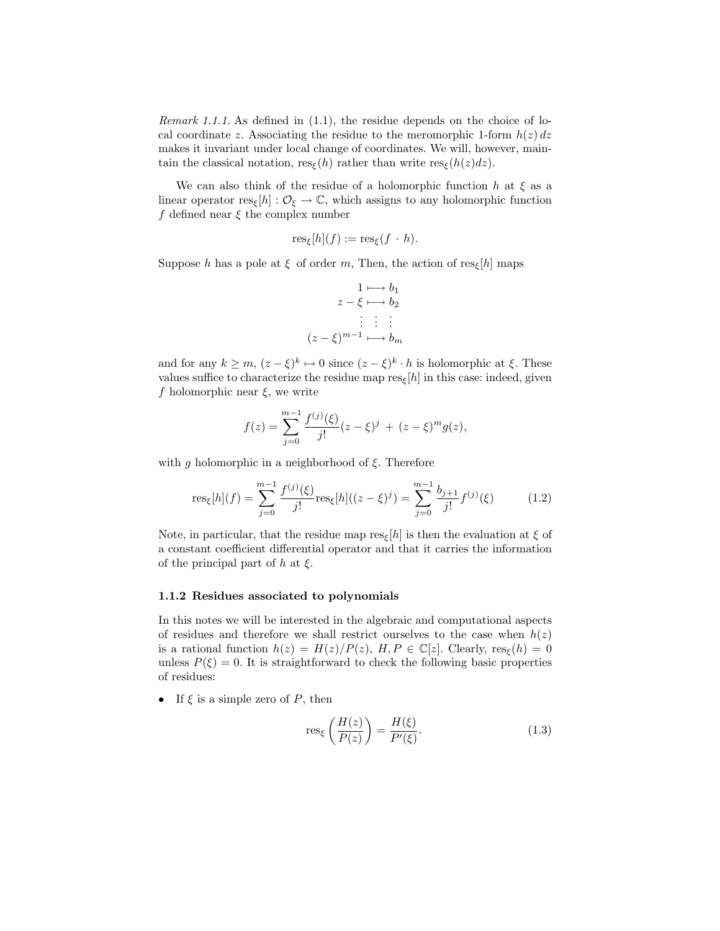Remark 1.1.1. As defined in (1.1), the residue depends on the choice of local coordinate z. Associating the residue to the meromorphic 1-form  $h(z) dz$ makes it invariant under local change of coordinates. We will, however, maintain the classical notation,  $res_{\xi}(h)$  rather than write  $res_{\xi}(h(z)dz)$ .

We can also think of the residue of a holomorphic function h at  $\xi$  as a linear operator  $res_{\xi}[h] : \mathcal{O}_{\xi} \to \mathbb{C}$ , which assigns to any holomorphic function f defined near  $\xi$  the complex number

$$
\mathrm{res}_{\xi}[h](f) := \mathrm{res}_{\xi}(f \cdot h).
$$

Suppose h has a pole at  $\xi$  of order m, Then, the action of res<sub>ξ</sub>[h] maps

$$
1 \longmapsto b_1
$$
  
\n
$$
z - \xi \longmapsto b_2
$$
  
\n
$$
\vdots \qquad \vdots
$$
  
\n
$$
(z - \xi)^{m-1} \longmapsto b_m
$$

and for any  $k \geq m$ ,  $(z - \xi)^k \mapsto 0$  since  $(z - \xi)^k \cdot h$  is holomorphic at  $\xi$ . These values suffice to characterize the residue map  $res_{\xi}[h]$  in this case: indeed, given f holomorphic near  $\xi$ , we write

$$
f(z) = \sum_{j=0}^{m-1} \frac{f^{(j)}(\xi)}{j!} (z - \xi)^j + (z - \xi)^m g(z),
$$

with q holomorphic in a neighborhood of  $\xi$ . Therefore

$$
\text{res}_{\xi}[h](f) = \sum_{j=0}^{m-1} \frac{f^{(j)}(\xi)}{j!} \text{res}_{\xi}[h]((z-\xi)^j) = \sum_{j=0}^{m-1} \frac{b_{j+1}}{j!} f^{(j)}(\xi) \tag{1.2}
$$

Note, in particular, that the residue map  $res_{\xi}[h]$  is then the evaluation at  $\xi$  of a constant coefficient differential operator and that it carries the information of the principal part of h at  $\xi$ .

### 1.1.2 Residues associated to polynomials

In this notes we will be interested in the algebraic and computational aspects of residues and therefore we shall restrict ourselves to the case when  $h(z)$ is a rational function  $h(z) = H(z)/P(z)$ ,  $H, P \in \mathbb{C}[z]$ . Clearly,  $res_{\xi}(h) = 0$ unless  $P(\xi) = 0$ . It is straightforward to check the following basic properties of residues:

• If  $\xi$  is a simple zero of  $P$ , then

$$
\operatorname{res}_{\xi} \left( \frac{H(z)}{P(z)} \right) = \frac{H(\xi)}{P'(\xi)}.
$$
\n(1.3)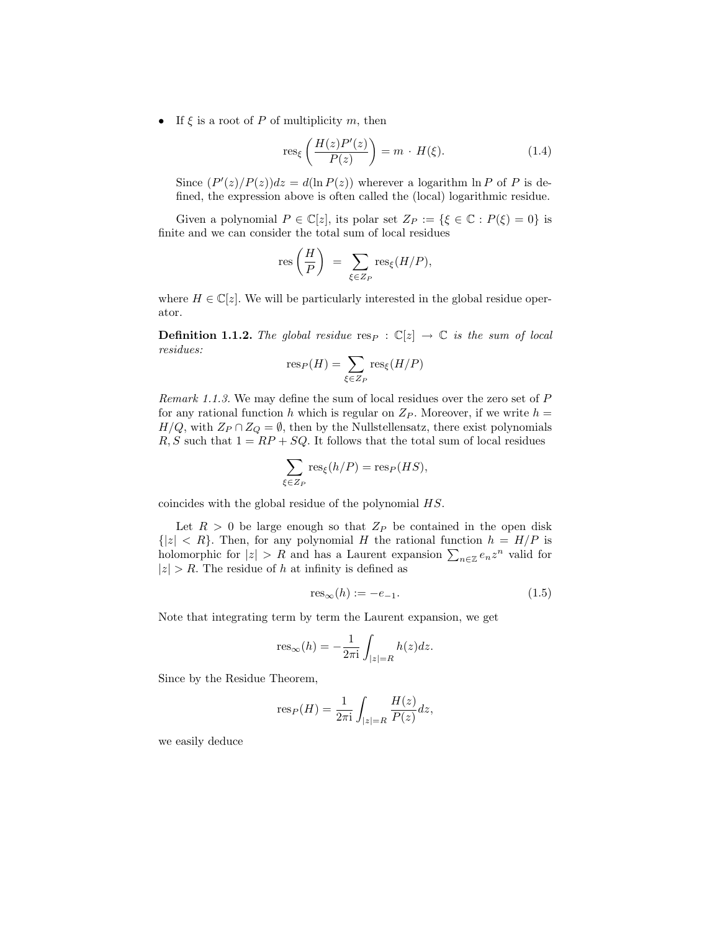• If  $\xi$  is a root of P of multiplicity m, then

$$
\operatorname{res}_{\xi} \left( \frac{H(z)P'(z)}{P(z)} \right) = m \cdot H(\xi). \tag{1.4}
$$

Since  $(P'(z)/P(z))dz = d(\ln P(z))$  wherever a logarithm  $\ln P$  of P is defined, the expression above is often called the (local) logarithmic residue.

Given a polynomial  $P \in \mathbb{C}[z]$ , its polar set  $Z_P := \{\xi \in \mathbb{C} : P(\xi) = 0\}$  is finite and we can consider the total sum of local residues

$$
\operatorname{res}\left(\frac{H}{P}\right) = \sum_{\xi \in Z_P} \operatorname{res}_{\xi}(H/P),
$$

where  $H \in \mathbb{C}[z]$ . We will be particularly interested in the global residue operator.

**Definition 1.1.2.** The global residue resp :  $\mathbb{C}[z] \to \mathbb{C}$  is the sum of local residues:

$$
\mathrm{res}_P(H) = \sum_{\xi \in Z_P} \mathrm{res}_{\xi}(H/P)
$$

Remark 1.1.3. We may define the sum of local residues over the zero set of P for any rational function h which is regular on  $Z_P$ . Moreover, if we write  $h =$  $H/Q$ , with  $Z_P \cap Z_Q = \emptyset$ , then by the Nullstellensatz, there exist polynomials  $R, S$  such that  $1 = RP + SQ$ . It follows that the total sum of local residues

$$
\sum_{\xi \in Z_P} \text{res}_{\xi}(h/P) = \text{res}_P(HS),
$$

coincides with the global residue of the polynomial HS.

Let  $R > 0$  be large enough so that  $Z_P$  be contained in the open disk  ${|z| < R}$ . Then, for any polynomial H the rational function  $h = H/P$  is holomorphic for  $|z| > R$  and has a Laurent expansion  $\sum_{n \in \mathbb{Z}} e_n z^n$  valid for  $|z| > R$ . The residue of h at infinity is defined as

$$
res_{\infty}(h) := -e_{-1}.
$$
\n
$$
(1.5)
$$

Note that integrating term by term the Laurent expansion, we get

$$
res_{\infty}(h) = -\frac{1}{2\pi i} \int_{|z|=R} h(z)dz.
$$

Since by the Residue Theorem,

$$
res_P(H) = \frac{1}{2\pi i} \int_{|z|=R} \frac{H(z)}{P(z)} dz,
$$

we easily deduce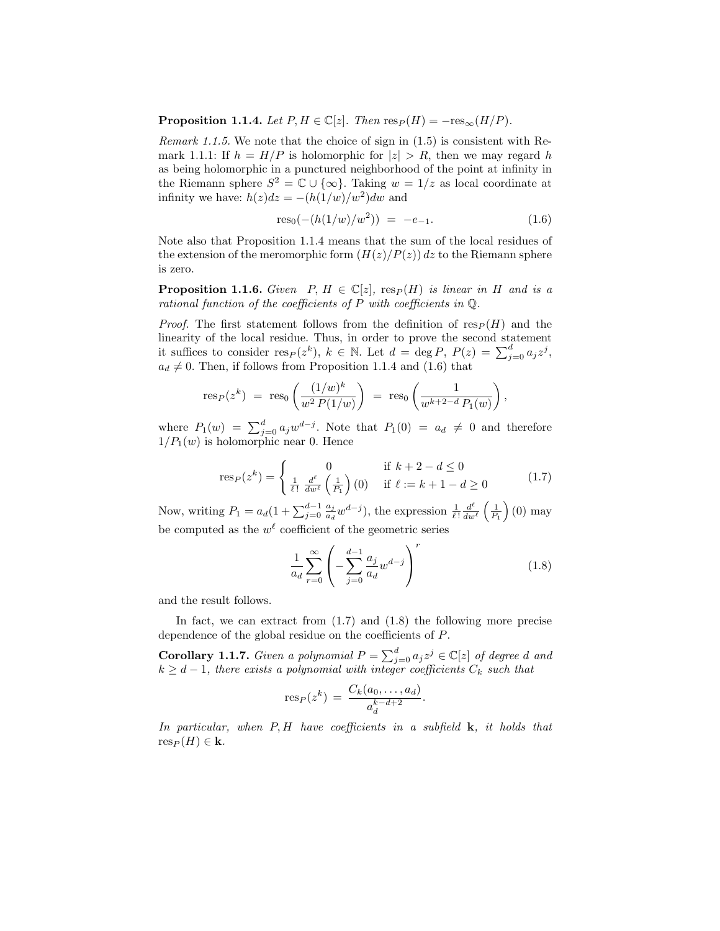**Proposition 1.1.4.** Let  $P, H \in \mathbb{C}[z]$ . Then  $\text{res}_P(H) = -\text{res}_{\infty}(H/P)$ .

Remark 1.1.5. We note that the choice of sign in (1.5) is consistent with Remark 1.1.1: If  $h = H/P$  is holomorphic for  $|z| > R$ , then we may regard h as being holomorphic in a punctured neighborhood of the point at infinity in the Riemann sphere  $S^2 = \mathbb{C} \cup \{\infty\}$ . Taking  $w = 1/z$  as local coordinate at infinity we have:  $h(z)dz = -(h(1/w)/w^2)dw$  and

$$
res_0(-(h(1/w)/w^2)) = -e_{-1}.
$$
\n(1.6)

Note also that Proposition 1.1.4 means that the sum of the local residues of the extension of the meromorphic form  $(H(z)/P(z))$  dz to the Riemann sphere is zero.

**Proposition 1.1.6.** Given  $P, H \in \mathbb{C}[z]$ ,  $res_P(H)$  is linear in H and is a rational function of the coefficients of P with coefficients in  $\mathbb Q$ .

*Proof.* The first statement follows from the definition of  $res_P(H)$  and the linearity of the local residue. Thus, in order to prove the second statement it suffices to consider  $res_P(z^k)$ ,  $k \in \mathbb{N}$ . Let  $d = \deg P$ ,  $P(z) = \sum_{j=0}^d a_j z^j$ ,  $a_d \neq 0$ . Then, if follows from Proposition 1.1.4 and (1.6) that

$$
res_P(z^k) = res_0 \left( \frac{(1/w)^k}{w^2 P(1/w)} \right) = res_0 \left( \frac{1}{w^{k+2-d} P_1(w)} \right),
$$

where  $P_1(w) = \sum_{j=0}^d a_j w^{d-j}$ . Note that  $P_1(0) = a_d \neq 0$  and therefore  $1/P_1(w)$  is holomorphic near 0. Hence

$$
\text{res}_P(z^k) = \begin{cases} 0 & \text{if } k+2-d \le 0\\ \frac{1}{\ell!} \frac{d^{\ell}}{dw^{\ell}} \left(\frac{1}{P_1}\right)(0) & \text{if } \ell := k+1-d \ge 0 \end{cases}
$$
(1.7)

Now, writing  $P_1 = a_d(1 + \sum_{j=0}^{d-1} \frac{a_j}{a_d})$  $\frac{a_j}{a_d}w^{d-j}$ , the expression  $\frac{1}{\ell!}\frac{d^{\ell}}{dw}$  $\frac{d^{\ell}}{dw^{\ell}}\left(\frac{1}{P_{1}}\right)$  (0) may be computed as the  $w^{\ell}$  coefficient of the geometric series

$$
\frac{1}{a_d} \sum_{r=0}^{\infty} \left( -\sum_{j=0}^{d-1} \frac{a_j}{a_d} w^{d-j} \right)^r \tag{1.8}
$$

and the result follows.

In fact, we can extract from  $(1.7)$  and  $(1.8)$  the following more precise dependence of the global residue on the coefficients of P.

**Corollary 1.1.7.** Given a polynomial  $P = \sum_{j=0}^{d} a_j z^j \in \mathbb{C}[z]$  of degree d and  $k \geq d-1$ , there exists a polynomial with integer coefficients  $C_k$  such that

$$
\operatorname{res}_P(z^k) = \frac{C_k(a_0, \dots, a_d)}{a_d^{k-d+2}}.
$$

In particular, when  $P$ ,  $H$  have coefficients in a subfield  $k$ , it holds that  $res_P (H) \in \mathbf{k}$ .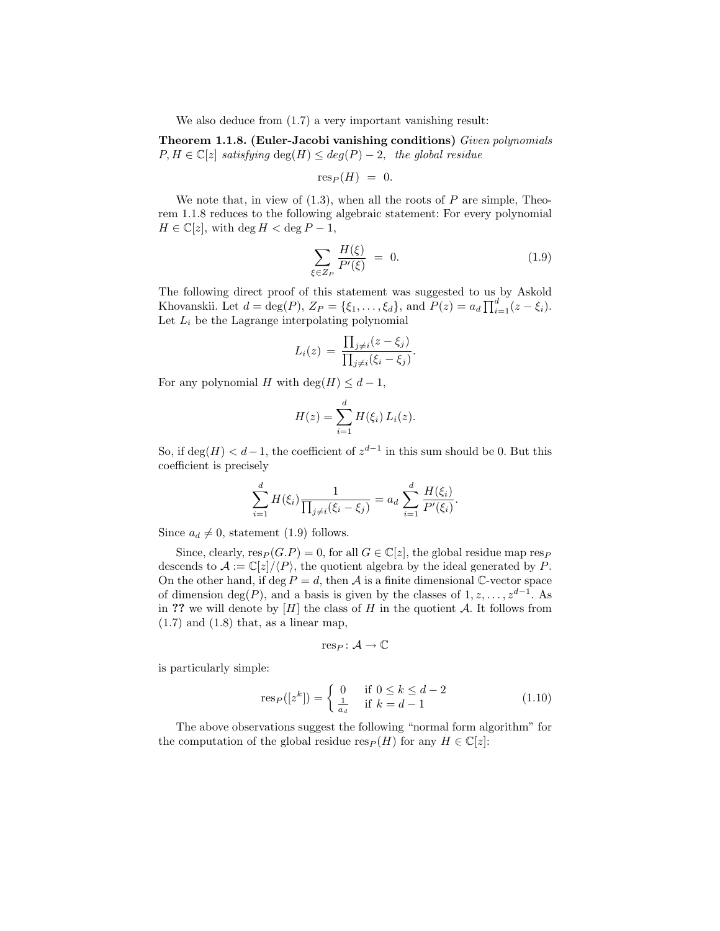We also deduce from  $(1.7)$  a very important vanishing result:

Theorem 1.1.8. (Euler-Jacobi vanishing conditions) Given polynomials  $P, H \in \mathbb{C}[z]$  satisfying  $\deg(H) \leq deg(P) - 2$ , the global residue

$$
\mathrm{res}_P(H) = 0.
$$

We note that, in view of  $(1.3)$ , when all the roots of P are simple, Theorem 1.1.8 reduces to the following algebraic statement: For every polynomial  $H \in \mathbb{C}[z]$ , with deg  $H < \deg P - 1$ ,

$$
\sum_{\xi \in Z_P} \frac{H(\xi)}{P'(\xi)} = 0. \tag{1.9}
$$

The following direct proof of this statement was suggested to us by Askold Khovanskii. Let  $d = \deg(P)$ ,  $Z_P = \{\xi_1, \ldots, \xi_d\}$ , and  $P(z) = a_d \prod_{i=1}^d (z - \xi_i)$ . Let  $L_i$  be the Lagrange interpolating polynomial

$$
L_i(z) = \frac{\prod_{j \neq i} (z - \xi_j)}{\prod_{j \neq i} (\xi_i - \xi_j)}.
$$

For any polynomial H with deg(H)  $\leq d-1$ ,

$$
H(z) = \sum_{i=1}^{d} H(\xi_i) L_i(z).
$$

So, if  $deg(H) < d-1$ , the coefficient of  $z^{d-1}$  in this sum should be 0. But this coefficient is precisely

$$
\sum_{i=1}^{d} H(\xi_i) \frac{1}{\prod_{j \neq i} (\xi_i - \xi_j)} = a_d \sum_{i=1}^{d} \frac{H(\xi_i)}{P'(\xi_i)}.
$$

Since  $a_d \neq 0$ , statement (1.9) follows.

Since, clearly,  $res_P(G.P) = 0$ , for all  $G \in \mathbb{C}[z]$ , the global residue map resp descends to  $\mathcal{A} := \mathbb{C}[z]/\langle P \rangle$ , the quotient algebra by the ideal generated by P. On the other hand, if deg  $P = d$ , then A is a finite dimensional C-vector space of dimension  $deg(P)$ , and a basis is given by the classes of  $1, z, \ldots, z^{d-1}$ . As in ?? we will denote by  $[H]$  the class of H in the quotient A. It follows from  $(1.7)$  and  $(1.8)$  that, as a linear map,

$$
\mathrm{res}_P\colon \mathcal{A}\to \mathbb{C}
$$

is particularly simple:

$$
\text{res}_P([z^k]) = \begin{cases} 0 & \text{if } 0 \le k \le d-2\\ \frac{1}{a_d} & \text{if } k = d-1 \end{cases} \tag{1.10}
$$

The above observations suggest the following "normal form algorithm" for the computation of the global residue  $res_P(H)$  for any  $H \in \mathbb{C}[z]$ :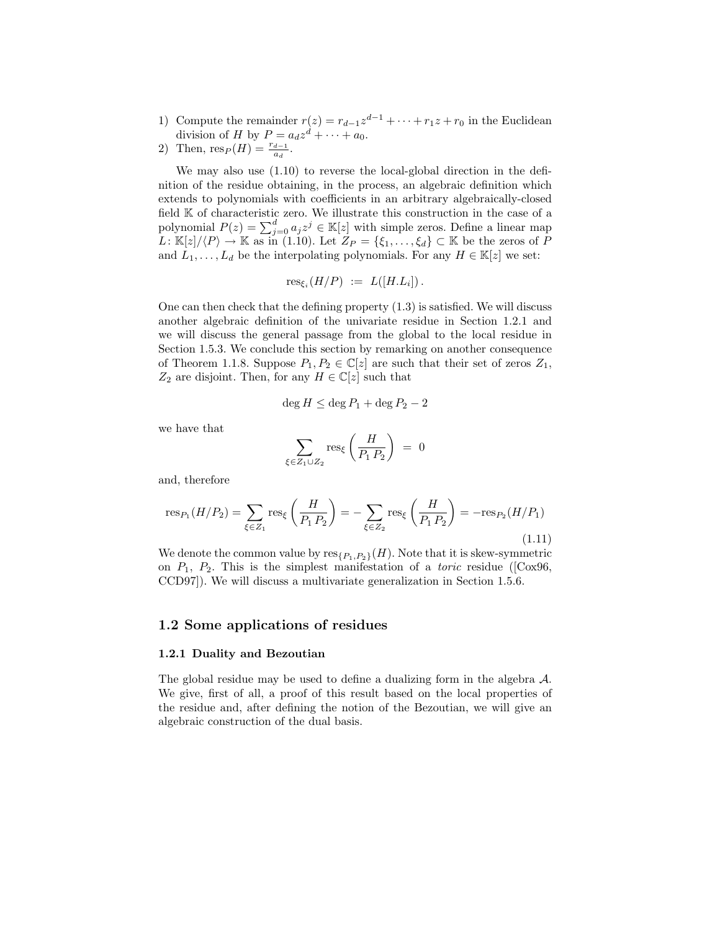- 1) Compute the remainder  $r(z) = r_{d-1}z^{d-1} + \cdots + r_1z + r_0$  in the Euclidean division of H by  $P = a_d z^d + \cdots + a_0$ .
- 2) Then,  $\text{res}_P(H) = \frac{r_{d-1}}{a_d}$ .

We may also use (1.10) to reverse the local-global direction in the definition of the residue obtaining, in the process, an algebraic definition which extends to polynomials with coefficients in an arbitrary algebraically-closed field K of characteristic zero. We illustrate this construction in the case of a polynomial  $P(z) = \sum_{j=0}^{d} a_j z^j \in \mathbb{K}[z]$  with simple zeros. Define a linear map  $L: \mathbb{K}[z]/\langle P \rangle \to \mathbb{K}$  as in (1.10). Let  $Z_P = \{\xi_1, \ldots, \xi_d\} \subset \mathbb{K}$  be the zeros of P and  $L_1, \ldots, L_d$  be the interpolating polynomials. For any  $H \in \mathbb{K}[z]$  we set:

$$
\operatorname{res}_{\xi_i}(H/P) \ := \ L([H.L_i])\,.
$$

One can then check that the defining property (1.3) is satisfied. We will discuss another algebraic definition of the univariate residue in Section 1.2.1 and we will discuss the general passage from the global to the local residue in Section 1.5.3. We conclude this section by remarking on another consequence of Theorem 1.1.8. Suppose  $P_1, P_2 \in \mathbb{C}[z]$  are such that their set of zeros  $Z_1$ ,  $Z_2$  are disjoint. Then, for any  $H \in \mathbb{C}[z]$  such that

$$
\deg H \le \deg P_1 + \deg P_2 - 2
$$

we have that

$$
\sum_{\xi \in Z_1 \cup Z_2} \text{res}_{\xi} \left( \frac{H}{P_1 P_2} \right) = 0
$$

and, therefore

$$
res_{P_1}(H/P_2) = \sum_{\xi \in Z_1} res_{\xi} \left( \frac{H}{P_1 P_2} \right) = -\sum_{\xi \in Z_2} res_{\xi} \left( \frac{H}{P_1 P_2} \right) = -res_{P_2}(H/P_1)
$$
\n(1.11)

We denote the common value by  $res_{\{P_1, P_2\}}(H)$ . Note that it is skew-symmetric on  $P_1$ ,  $P_2$ . This is the simplest manifestation of a *toric* residue ([Cox96, CCD97]). We will discuss a multivariate generalization in Section 1.5.6.

# 1.2 Some applications of residues

### 1.2.1 Duality and Bezoutian

The global residue may be used to define a dualizing form in the algebra A. We give, first of all, a proof of this result based on the local properties of the residue and, after defining the notion of the Bezoutian, we will give an algebraic construction of the dual basis.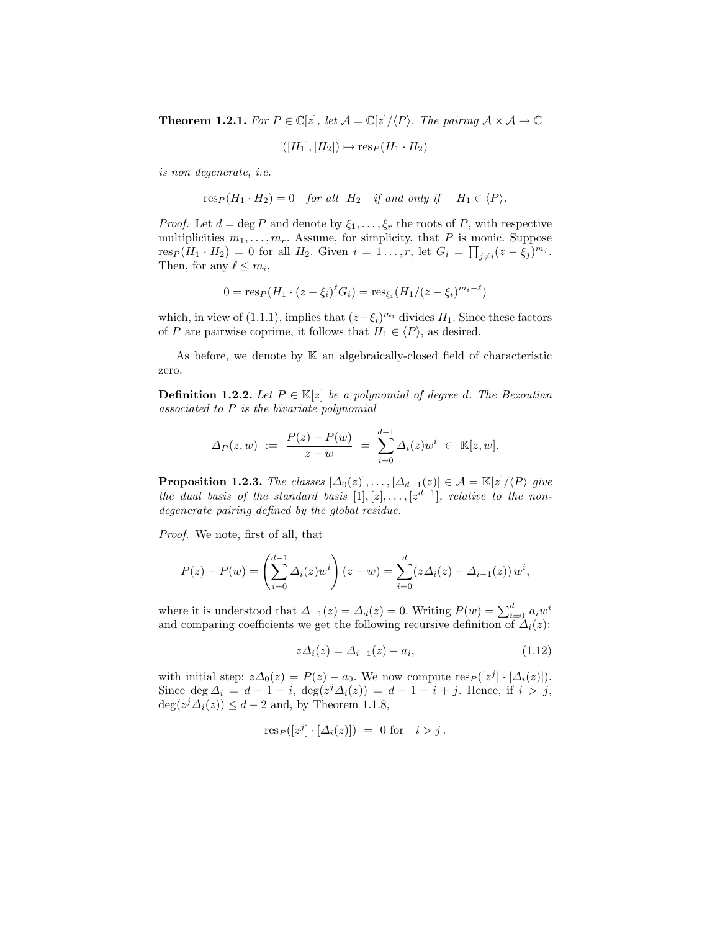**Theorem 1.2.1.** For  $P \in \mathbb{C}[z]$ , let  $\mathcal{A} = \mathbb{C}[z]/\langle P \rangle$ . The pairing  $\mathcal{A} \times \mathcal{A} \to \mathbb{C}$ 

 $([H_1], [H_2]) \mapsto \text{res}_P (H_1 \cdot H_2)$ 

is non degenerate, i.e.

 $res_P (H_1 \cdot H_2) = 0$  for all  $H_2$  if and only if  $H_1 \in \langle P \rangle$ .

*Proof.* Let  $d = \deg P$  and denote by  $\xi_1, \ldots, \xi_r$  the roots of P, with respective multiplicities  $m_1, \ldots, m_r$ . Assume, for simplicity, that P is monic. Suppose res<sub>P</sub>( $H_1 \cdot H_2$ ) = 0 for all  $H_2$ . Given  $i = 1 \ldots, r$ , let  $G_i = \prod_{j \neq i} (z - \xi_j)^{m_j}$ . Then, for any  $\ell \leq m_i$ ,

$$
0 = \text{res}_P(H_1 \cdot (z - \xi_i)^{\ell} G_i) = \text{res}_{\xi_i}(H_1/(z - \xi_i)^{m_i - \ell})
$$

which, in view of (1.1.1), implies that  $(z - \xi_i)^{m_i}$  divides  $H_1$ . Since these factors of P are pairwise coprime, it follows that  $H_1 \in \langle P \rangle$ , as desired.

As before, we denote by  $K$  an algebraically-closed field of characteristic zero.

**Definition 1.2.2.** Let  $P \in \mathbb{K}[z]$  be a polynomial of degree d. The Bezoutian associated to P is the bivariate polynomial

$$
\Delta_P(z, w) := \frac{P(z) - P(w)}{z - w} = \sum_{i=0}^{d-1} \Delta_i(z) w^i \in \mathbb{K}[z, w].
$$

**Proposition 1.2.3.** The classes  $[\Delta_0(z)], \ldots, [\Delta_{d-1}(z)] \in \mathcal{A} = \mathbb{K}[z]/\langle P \rangle$  give the dual basis of the standard basis  $[1], [z], \ldots, [z^{d-1}],$  relative to the nondegenerate pairing defined by the global residue.

Proof. We note, first of all, that

$$
P(z) - P(w) = \left(\sum_{i=0}^{d-1} \Delta_i(z) w^i\right) (z - w) = \sum_{i=0}^d (z \Delta_i(z) - \Delta_{i-1}(z)) w^i,
$$

where it is understood that  $\Delta_{-1}(z) = \Delta_d(z) = 0$ . Writing  $P(w) = \sum_{i=0}^d a_i w^i$ and comparing coefficients we get the following recursive definition of  $\Delta_i(z)$ :

$$
z\Delta_i(z) = \Delta_{i-1}(z) - a_i,\tag{1.12}
$$

with initial step:  $z\Delta_0(z) = P(z) - a_0$ . We now compute  $\text{res}_P([z^j] \cdot [\Delta_i(z)])$ . Since deg  $\Delta_i = d - 1 - i$ , deg $(z^j \Delta_i(z)) = d - 1 - i + j$ . Hence, if  $i > j$ ,  $\deg(z^j \Delta_i(z)) \leq d-2$  and, by Theorem 1.1.8,

$$
\text{res}_P([z^j] \cdot [\Delta_i(z)]) = 0 \text{ for } i > j.
$$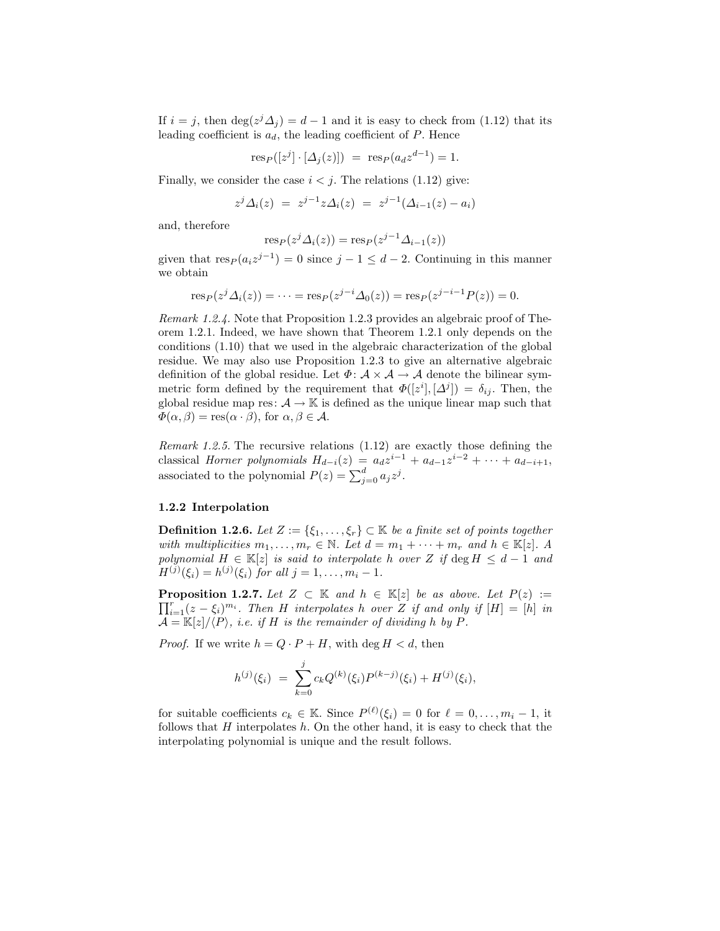If  $i = j$ , then  $\deg(z^j \Delta_j) = d - 1$  and it is easy to check from (1.12) that its leading coefficient is  $a_d$ , the leading coefficient of  $P$ . Hence

$$
res_P([zj] \cdot [\Delta_j(z)]) = res_P(a_d z^{d-1}) = 1.
$$

Finally, we consider the case  $i < j$ . The relations (1.12) give:

$$
z^{j} \Delta_i(z) = z^{j-1} z \Delta_i(z) = z^{j-1} (\Delta_{i-1}(z) - a_i)
$$

and, therefore

$$
res_P(z^j \Delta_i(z)) = res_P(z^{j-1} \Delta_{i-1}(z))
$$

given that  $res_P (a_i z^{j-1}) = 0$  since  $j - 1 \leq d - 2$ . Continuing in this manner we obtain

$$
res_P(z^j \Delta_i(z)) = \dots = res_P(z^{j-i} \Delta_0(z)) = res_P(z^{j-i-1} P(z)) = 0.
$$

Remark 1.2.4. Note that Proposition 1.2.3 provides an algebraic proof of Theorem 1.2.1. Indeed, we have shown that Theorem 1.2.1 only depends on the conditions (1.10) that we used in the algebraic characterization of the global residue. We may also use Proposition 1.2.3 to give an alternative algebraic definition of the global residue. Let  $\Phi: \mathcal{A} \times \mathcal{A} \to \mathcal{A}$  denote the bilinear symmetric form defined by the requirement that  $\Phi([z^i], [\Delta^j]) = \delta_{ij}$ . Then, the global residue map res:  $A \rightarrow \mathbb{K}$  is defined as the unique linear map such that  $\Phi(\alpha, \beta) = \text{res}(\alpha \cdot \beta)$ , for  $\alpha, \beta \in \mathcal{A}$ .

Remark 1.2.5. The recursive relations (1.12) are exactly those defining the classical *Horner polynomials*  $H_{d-i}(z) = a_d z^{i-1} + a_{d-1} z^{i-2} + \cdots + a_{d-i+1}$ , associated to the polynomial  $P(z) = \sum_{j=0}^{d} a_j z^j$ .

#### 1.2.2 Interpolation

**Definition 1.2.6.** Let  $Z := \{\xi_1, \ldots, \xi_r\} \subset \mathbb{K}$  be a finite set of points together with multiplicities  $m_1, \ldots, m_r \in \mathbb{N}$ . Let  $d = m_1 + \cdots + m_r$  and  $h \in \mathbb{K}[z]$ . A polynomial  $H \in \mathbb{K}[z]$  is said to interpolate h over Z if  $\deg H \leq d-1$  and  $H^{(j)}(\xi_i) = h^{(j)}(\xi_i)$  for all  $j = 1, ..., m_i - 1$ .

**Proposition 1.2.7.** Let  $Z \subset \mathbb{K}$  and  $h \in \mathbb{K}[z]$  be as above. Let  $P(z) :=$  $\prod_{i=1}^r(z-\xi_i)^{m_i}$ . Then H interpolates h over Z if and only if  $[H] = [h]$  in  $\mathcal{A} = \mathbb{K}[z]/\langle P \rangle$ , i.e. if H is the remainder of dividing h by P.

*Proof.* If we write  $h = Q \cdot P + H$ , with deg  $H < d$ , then

$$
h^{(j)}(\xi_i) = \sum_{k=0}^{j} c_k Q^{(k)}(\xi_i) P^{(k-j)}(\xi_i) + H^{(j)}(\xi_i),
$$

for suitable coefficients  $c_k \in \mathbb{K}$ . Since  $P^{(\ell)}(\xi_i) = 0$  for  $\ell = 0, \ldots, m_i - 1$ , it follows that  $H$  interpolates  $h$ . On the other hand, it is easy to check that the interpolating polynomial is unique and the result follows.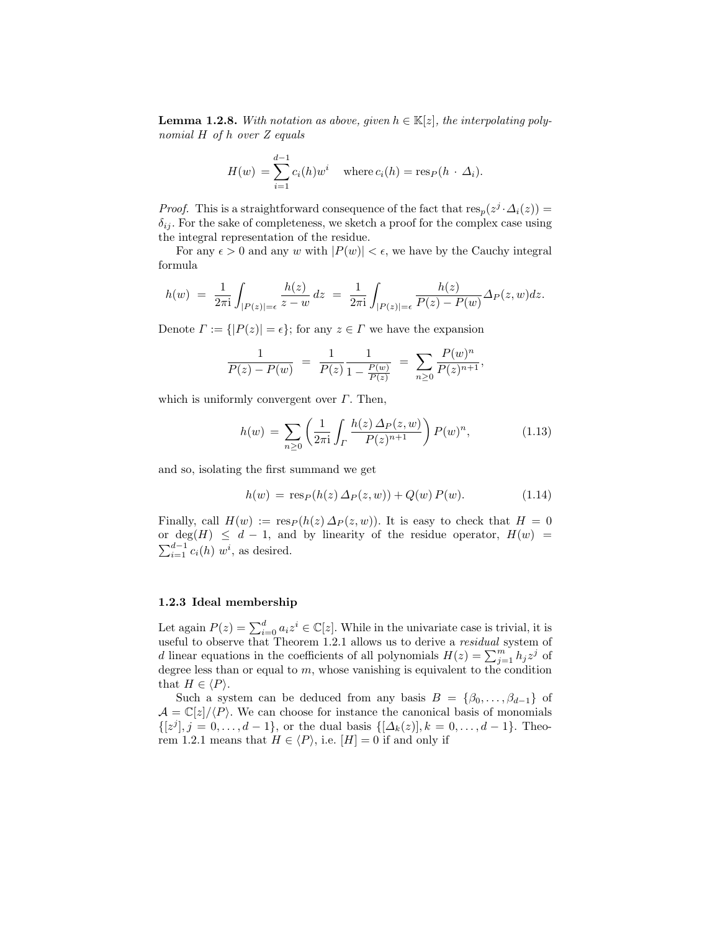**Lemma 1.2.8.** With notation as above, given  $h \in \mathbb{K}[z]$ , the interpolating polynomial H of h over Z equals

$$
H(w) = \sum_{i=1}^{d-1} c_i(h) w^i \quad \text{where } c_i(h) = \text{res}_P(h \cdot \Delta_i).
$$

*Proof.* This is a straightforward consequence of the fact that  $res_p(z^j \cdot \Delta_i(z)) =$  $\delta_{ij}$ . For the sake of completeness, we sketch a proof for the complex case using the integral representation of the residue.

For any  $\epsilon > 0$  and any w with  $|P(w)| < \epsilon$ , we have by the Cauchy integral formula

$$
h(w) = \frac{1}{2\pi i} \int_{|P(z)|=\epsilon} \frac{h(z)}{z-w} dz = \frac{1}{2\pi i} \int_{|P(z)|=\epsilon} \frac{h(z)}{P(z)-P(w)} \Delta_P(z,w) dz.
$$

Denote  $\Gamma := \{ |P(z)| = \epsilon \}$ ; for any  $z \in \Gamma$  we have the expansion

$$
\frac{1}{P(z) - P(w)} = \frac{1}{P(z)} \frac{1}{1 - \frac{P(w)}{P(z)}} = \sum_{n \ge 0} \frac{P(w)^n}{P(z)^{n+1}},
$$

which is uniformly convergent over  $\Gamma$ . Then,

$$
h(w) = \sum_{n\geq 0} \left( \frac{1}{2\pi i} \int_{\Gamma} \frac{h(z) \,\Delta_P(z, w)}{P(z)^{n+1}} \right) P(w)^n, \tag{1.13}
$$

and so, isolating the first summand we get

$$
h(w) = \text{res}_P(h(z) \Delta_P(z, w)) + Q(w) P(w).
$$
 (1.14)

Finally, call  $H(w) := \text{res}_P(h(z) \Delta_P(z, w))$ . It is easy to check that  $H = 0$ or deg(H)  $\leq d-1$ , and by linearity of the residue operator,  $H(w)$  =  $\sum_{i=1}^{d-1} c_i(h)$  w<sup>i</sup>, as desired.

## 1.2.3 Ideal membership

Let again  $P(z) = \sum_{i=0}^{d} a_i z^i \in \mathbb{C}[z]$ . While in the univariate case is trivial, it is useful to observe that Theorem 1.2.1 allows us to derive a *residual* system of d linear equations in the coefficients of all polynomials  $H(z) = \sum_{j=1}^{m} h_j z^j$  of degree less than or equal to  $m$ , whose vanishing is equivalent to the condition that  $H \in \langle P \rangle$ .

Such a system can be deduced from any basis  $B = \{\beta_0, \ldots, \beta_{d-1}\}\$ of  $\mathcal{A} = \mathbb{C}[z]/\langle P \rangle$ . We can choose for instance the canonical basis of monomials  $\{[z^j], j = 0, \ldots, d-1\}$ , or the dual basis  $\{[\Delta_k(z)], k = 0, \ldots, d-1\}$ . Theorem 1.2.1 means that  $H \in \langle P \rangle$ , i.e.  $[H] = 0$  if and only if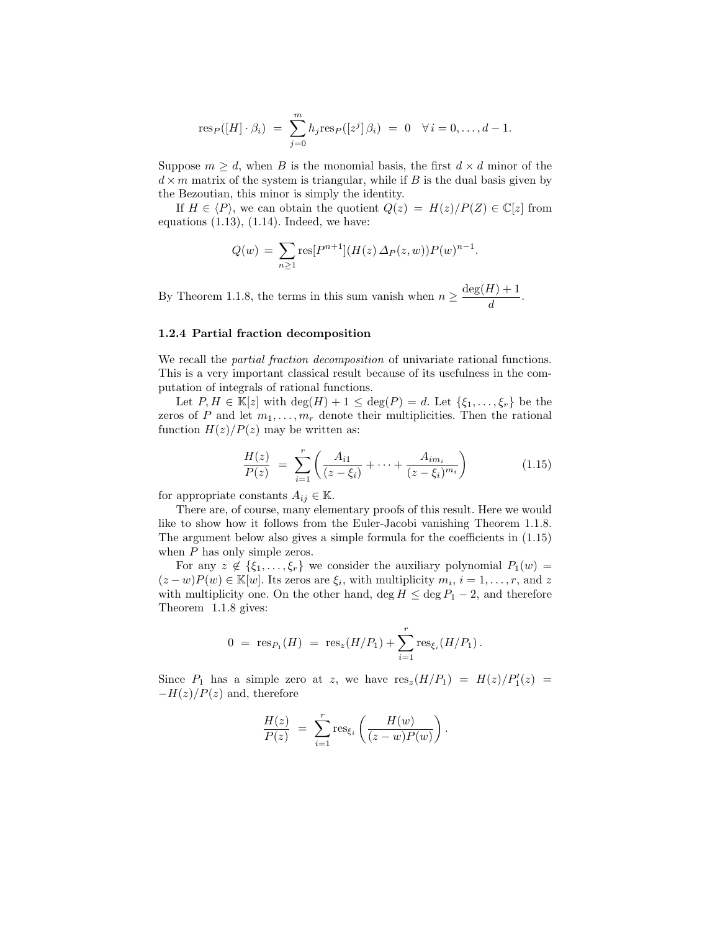$$
\text{res}_P([H] \cdot \beta_i) = \sum_{j=0}^m h_j \text{res}_P([z^j] \, \beta_i) = 0 \quad \forall \, i = 0, \dots, d-1.
$$

Suppose  $m \geq d$ , when B is the monomial basis, the first  $d \times d$  minor of the  $d \times m$  matrix of the system is triangular, while if B is the dual basis given by the Bezoutian, this minor is simply the identity.

If  $H \in \langle P \rangle$ , we can obtain the quotient  $Q(z) = H(z)/P(Z) \in \mathbb{C}[z]$  from equations  $(1.13)$ ,  $(1.14)$ . Indeed, we have:

$$
Q(w) = \sum_{n\geq 1} \text{res}[P^{n+1}](H(z) \Delta_P(z, w)) P(w)^{n-1}.
$$

By Theorem 1.1.8, the terms in this sum vanish when  $n \geq \frac{\deg(H) + 1}{1}$  $\frac{d}{d}$ .

#### 1.2.4 Partial fraction decomposition

We recall the *partial fraction decomposition* of univariate rational functions. This is a very important classical result because of its usefulness in the computation of integrals of rational functions.

Let  $P, H \in \mathbb{K}[z]$  with  $\deg(H) + 1 \leq \deg(P) = d$ . Let  $\{\xi_1, \ldots, \xi_r\}$  be the zeros of P and let  $m_1, \ldots, m_r$  denote their multiplicities. Then the rational function  $H(z)/P(z)$  may be written as:

$$
\frac{H(z)}{P(z)} = \sum_{i=1}^{r} \left( \frac{A_{i1}}{(z - \xi_i)} + \dots + \frac{A_{im_i}}{(z - \xi_i)^{m_i}} \right)
$$
(1.15)

for appropriate constants  $A_{ij} \in \mathbb{K}$ .

There are, of course, many elementary proofs of this result. Here we would like to show how it follows from the Euler-Jacobi vanishing Theorem 1.1.8. The argument below also gives a simple formula for the coefficients in (1.15) when P has only simple zeros.

For any  $z \notin \{\xi_1, \ldots, \xi_r\}$  we consider the auxiliary polynomial  $P_1(w) =$  $(z-w)P(w) \in \mathbb{K}[w]$ . Its zeros are  $\xi_i$ , with multiplicity  $m_i$ ,  $i = 1, \ldots, r$ , and z with multiplicity one. On the other hand, deg  $H \leq$  deg  $P_1 - 2$ , and therefore Theorem 1.1.8 gives:

$$
0 = \operatorname{res}_{P_1}(H) = \operatorname{res}_z(H/P_1) + \sum_{i=1}^r \operatorname{res}_{\xi_i}(H/P_1).
$$

Since  $P_1$  has a simple zero at z, we have  $res_z(H/P_1) = H(z)/P'_1(z) =$  $-H(z)/P(z)$  and, therefore

$$
\frac{H(z)}{P(z)} = \sum_{i=1}^r \text{res}_{\xi_i} \left( \frac{H(w)}{(z-w)P(w)} \right).
$$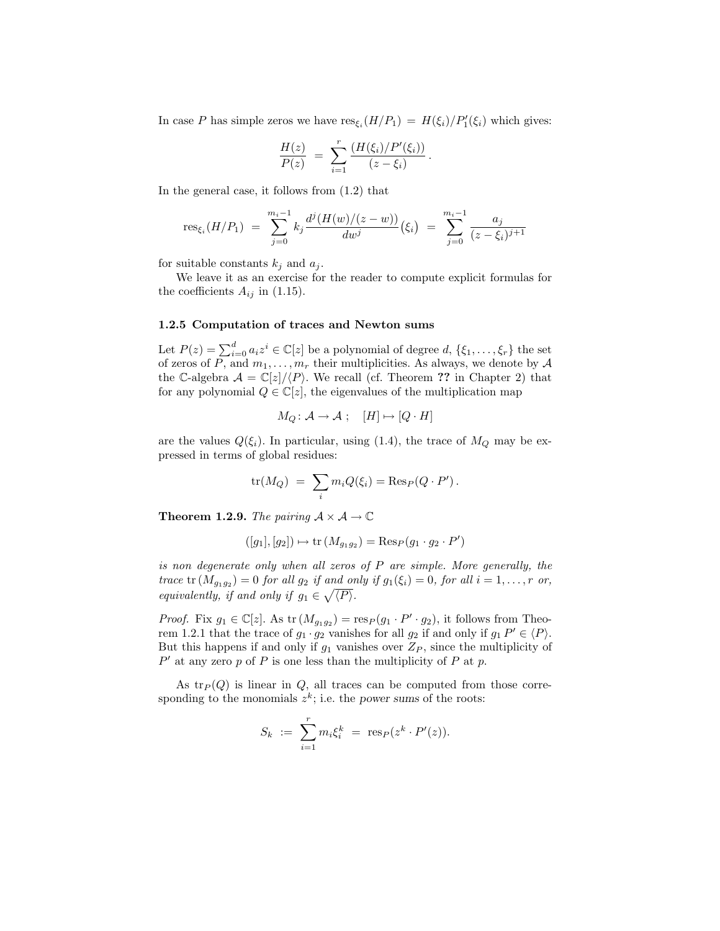In case P has simple zeros we have  $res_{\xi_i}(H/P_1) = H(\xi_i)/P'_1(\xi_i)$  which gives:

$$
\frac{H(z)}{P(z)} = \sum_{i=1}^r \frac{\left(H(\xi_i)/P'(\xi_i)\right)}{(z-\xi_i)}.
$$

In the general case, it follows from (1.2) that

$$
\text{res}_{\xi_i}(H/P_1) = \sum_{j=0}^{m_i-1} k_j \frac{d^j(H(w)/(z-w))}{dw^j} (\xi_i) = \sum_{j=0}^{m_i-1} \frac{a_j}{(z-\xi_i)^{j+1}}
$$

for suitable constants  $k_j$  and  $a_j$ .

We leave it as an exercise for the reader to compute explicit formulas for the coefficients  $A_{ij}$  in (1.15).

### 1.2.5 Computation of traces and Newton sums

Let  $P(z) = \sum_{i=0}^{d} a_i z^i \in \mathbb{C}[z]$  be a polynomial of degree  $d, \{\xi_1, \ldots, \xi_r\}$  the set of zeros of P, and  $m_1, \ldots, m_r$  their multiplicities. As always, we denote by  $\mathcal A$ the C-algebra  $\mathcal{A} = \mathbb{C}[z]/\langle P \rangle$ . We recall (cf. Theorem ?? in Chapter 2) that for any polynomial  $Q \in \mathbb{C}[z]$ , the eigenvalues of the multiplication map

$$
M_Q\colon \mathcal{A}\to \mathcal{A} \; ; \quad [H]\mapsto [Q\cdot H]
$$

are the values  $Q(\xi_i)$ . In particular, using (1.4), the trace of  $M_Q$  may be expressed in terms of global residues:

$$
\text{tr}(M_Q) = \sum_i m_i Q(\xi_i) = \text{Res}_P(Q \cdot P').
$$

**Theorem 1.2.9.** The pairing  $A \times A \rightarrow \mathbb{C}$ 

$$
([g_1], [g_2]) \mapsto \text{tr}(M_{g_1g_2}) = \text{Res}_P(g_1 \cdot g_2 \cdot P')
$$

is non degenerate only when all zeros of P are simple. More generally, the trace  $tr(M_{g_1g_2})=0$  for all  $g_2$  if and only if  $g_1(\xi_i)=0$ , for all  $i=1,\ldots,r$  or, equivalently, if and only if  $g_1 \in \sqrt{\langle P \rangle}$ .

*Proof.* Fix  $g_1 \in \mathbb{C}[z]$ . As tr  $(M_{g_1g_2}) = \text{res}_P(g_1 \cdot P' \cdot g_2)$ , it follows from Theorem 1.2.1 that the trace of  $g_1 \cdot g_2$  vanishes for all  $g_2$  if and only if  $g_1 P' \in \langle P \rangle$ . But this happens if and only if  $g_1$  vanishes over  $Z_P$ , since the multiplicity of  $P'$  at any zero p of P is one less than the multiplicity of P at p.

As  $tr_P(Q)$  is linear in  $Q$ , all traces can be computed from those corresponding to the monomials  $z^k$ ; i.e. the power sums of the roots:

$$
S_k := \sum_{i=1}^r m_i \xi_i^k = \text{res}_P(z^k \cdot P'(z)).
$$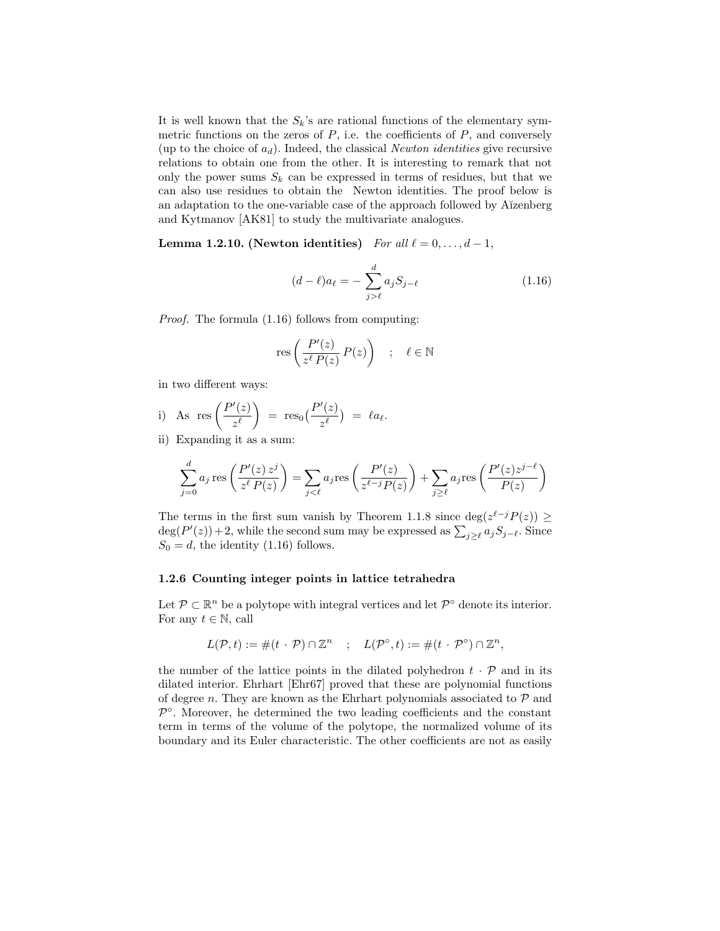It is well known that the  $S_k$ 's are rational functions of the elementary symmetric functions on the zeros of  $P$ , i.e. the coefficients of  $P$ , and conversely (up to the choice of  $a_d$ ). Indeed, the classical *Newton identities* give recursive relations to obtain one from the other. It is interesting to remark that not only the power sums  $S_k$  can be expressed in terms of residues, but that we can also use residues to obtain the Newton identities. The proof below is an adaptation to the one-variable case of the approach followed by A˘ızenberg and Kytmanov [AK81] to study the multivariate analogues.

Lemma 1.2.10. (Newton identities) For all  $\ell = 0, \ldots, d - 1$ ,

$$
(d - \ell)a_{\ell} = -\sum_{j > \ell}^{d} a_j S_{j - \ell} \tag{1.16}
$$

Proof. The formula (1.16) follows from computing:

$$
\text{res}\left(\frac{P'(z)}{z^{\ell} P(z)} P(z)\right) \quad ; \quad \ell \in \mathbb{N}
$$

in two different ways:

i) As 
$$
res\left(\frac{P'(z)}{z^{\ell}}\right) = res_0(\frac{P'(z)}{z^{\ell}}) = \ell a_{\ell}.
$$

ii) Expanding it as a sum:

$$
\sum_{j=0}^{d} a_j \operatorname{res} \left( \frac{P'(z) z^j}{z^{\ell} P(z)} \right) = \sum_{j < \ell} a_j \operatorname{res} \left( \frac{P'(z)}{z^{\ell-j} P(z)} \right) + \sum_{j \geq \ell} a_j \operatorname{res} \left( \frac{P'(z) z^{j-\ell}}{P(z)} \right)
$$

The terms in the first sum vanish by Theorem 1.1.8 since  $\deg(z^{\ell-j}P(z)) \geq$  $deg(P'(z)) + 2$ , while the second sum may be expressed as  $\sum_{j\geq \ell} a_j S_{j-\ell}$ . Since  $S_0 = d$ , the identity (1.16) follows.

#### 1.2.6 Counting integer points in lattice tetrahedra

Let  $\mathcal{P} \subset \mathbb{R}^n$  be a polytope with integral vertices and let  $\mathcal{P}^{\circ}$  denote its interior. For any  $t \in \mathbb{N}$ , call

$$
L(\mathcal{P}, t) := \#(t \cdot \mathcal{P}) \cap \mathbb{Z}^n \quad ; \quad L(\mathcal{P}^\circ, t) := \#(t \cdot \mathcal{P}^\circ) \cap \mathbb{Z}^n,
$$

the number of the lattice points in the dilated polyhedron  $t \cdot \mathcal{P}$  and in its dilated interior. Ehrhart [Ehr67] proved that these are polynomial functions of degree n. They are known as the Ehrhart polynomials associated to  $P$  and  $\mathcal{P}^{\circ}$ . Moreover, he determined the two leading coefficients and the constant term in terms of the volume of the polytope, the normalized volume of its boundary and its Euler characteristic. The other coefficients are not as easily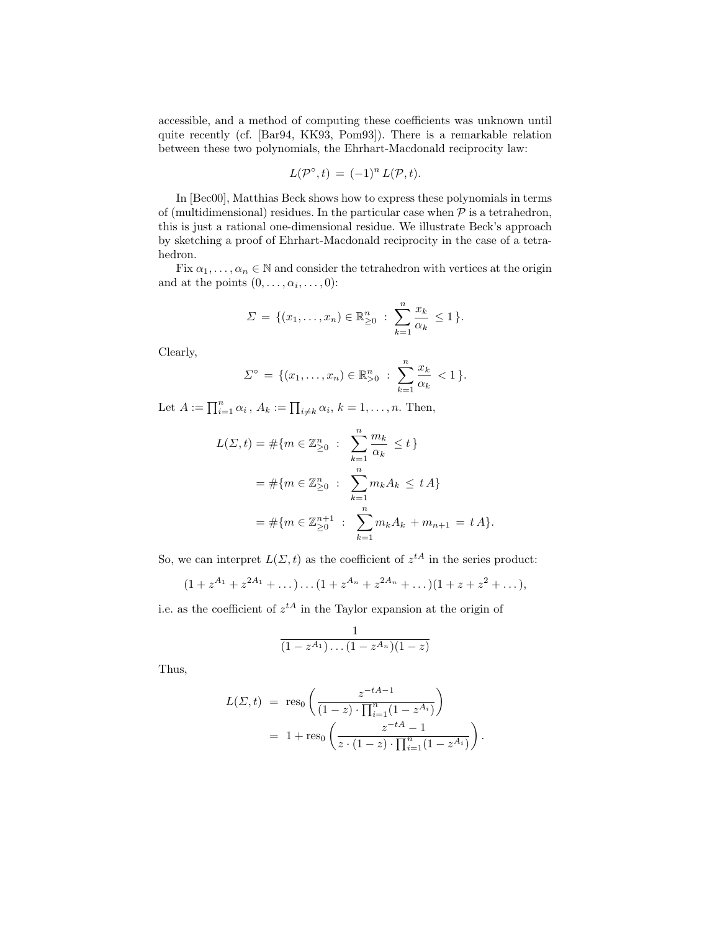accessible, and a method of computing these coefficients was unknown until quite recently (cf. [Bar94, KK93, Pom93]). There is a remarkable relation between these two polynomials, the Ehrhart-Macdonald reciprocity law:

$$
L(\mathcal{P}^{\circ},t) = (-1)^n L(\mathcal{P},t).
$$

In [Bec00], Matthias Beck shows how to express these polynomials in terms of (multidimensional) residues. In the particular case when  $P$  is a tetrahedron, this is just a rational one-dimensional residue. We illustrate Beck's approach by sketching a proof of Ehrhart-Macdonald reciprocity in the case of a tetrahedron.

Fix  $\alpha_1, \ldots, \alpha_n \in \mathbb{N}$  and consider the tetrahedron with vertices at the origin and at the points  $(0, \ldots, \alpha_i, \ldots, 0)$ :

$$
\Sigma = \{(x_1, \ldots, x_n) \in \mathbb{R}^n_{\geq 0} : \sum_{k=1}^n \frac{x_k}{\alpha_k} \leq 1\}.
$$

Clearly,

$$
\Sigma^{\circ} = \{ (x_1, \ldots, x_n) \in \mathbb{R}_{>0}^n : \sum_{k=1}^n \frac{x_k}{\alpha_k} < 1 \}.
$$

Let  $A := \prod_{i=1}^n \alpha_i$ ,  $A_k := \prod_{i \neq k} \alpha_i$ ,  $k = 1, \ldots, n$ . Then,

$$
L(\Sigma, t) = #\{m \in \mathbb{Z}_{\geq 0}^n : \sum_{k=1}^n \frac{m_k}{\alpha_k} \leq t\}
$$
  
=  $\# \{m \in \mathbb{Z}_{\geq 0}^n : \sum_{k=1}^n m_k A_k \leq t A\}$   
=  $\# \{m \in \mathbb{Z}_{\geq 0}^{n+1} : \sum_{k=1}^n m_k A_k + m_{n+1} = t A\}.$ 

So, we can interpret  $L(\Sigma, t)$  as the coefficient of  $z^{tA}$  in the series product:

$$
(1 + z^{A_1} + z^{2A_1} + \dots) \dots (1 + z^{A_n} + z^{2A_n} + \dots)(1 + z + z^2 + \dots),
$$

i.e. as the coefficient of  $z^{tA}$  in the Taylor expansion at the origin of

$$
\frac{1}{(1-z^{A_1})\ldots(1-z^{A_n})(1-z)}
$$

Thus,

$$
L(\Sigma, t) = \text{res}_0 \left( \frac{z^{-tA-1}}{(1-z) \cdot \prod_{i=1}^n (1 - z^{A_i})} \right)
$$
  
= 1 + \text{res}\_0 \left( \frac{z^{-tA} - 1}{z \cdot (1-z) \cdot \prod\_{i=1}^n (1 - z^{A\_i})} \right).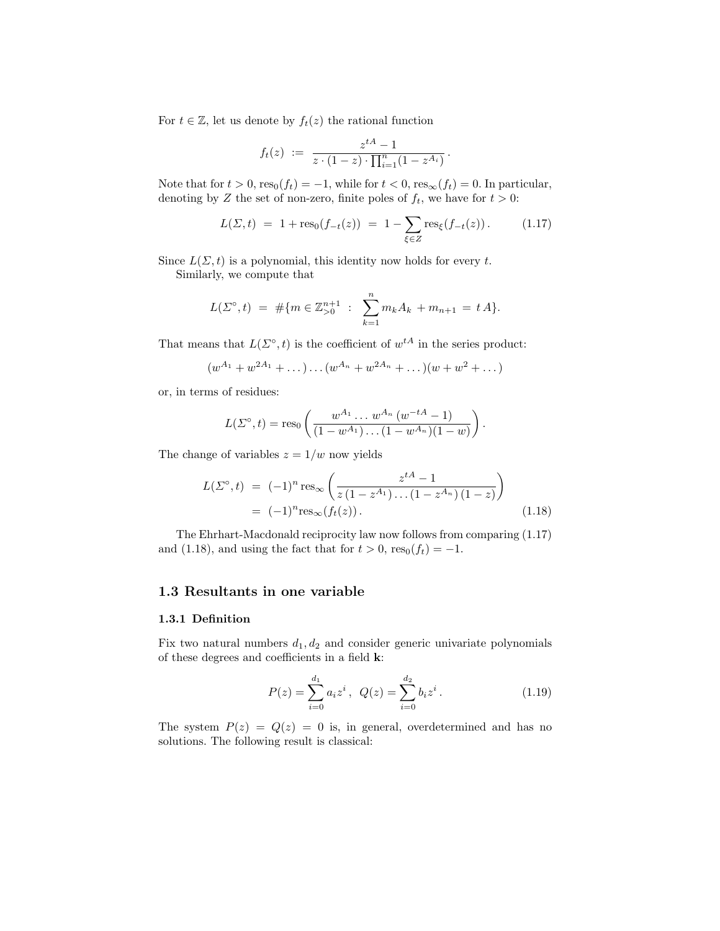For  $t \in \mathbb{Z}$ , let us denote by  $f_t(z)$  the rational function

$$
f_t(z) := \frac{z^{tA} - 1}{z \cdot (1 - z) \cdot \prod_{i=1}^n (1 - z^{A_i})}.
$$

Note that for  $t > 0$ ,  $res_0(f_t) = -1$ , while for  $t < 0$ ,  $res_{\infty}(f_t) = 0$ . In particular, denoting by Z the set of non-zero, finite poles of  $f_t$ , we have for  $t > 0$ :

$$
L(\Sigma, t) = 1 + \text{res}_0(f_{-t}(z)) = 1 - \sum_{\xi \in Z} \text{res}_{\xi}(f_{-t}(z)). \tag{1.17}
$$

Since  $L(\Sigma, t)$  is a polynomial, this identity now holds for every t.

Similarly, we compute that

$$
L(\Sigma^{\circ}, t) = #\{m \in \mathbb{Z}_{>0}^{n+1} : \sum_{k=1}^{n} m_k A_k + m_{n+1} = t A\}.
$$

That means that  $L(\Sigma^{\circ}, t)$  is the coefficient of  $w^{tA}$  in the series product:

$$
(w^{A_1} + w^{2A_1} + \dots) \dots (w^{A_n} + w^{2A_n} + \dots)(w + w^2 + \dots)
$$

or, in terms of residues:

$$
L(\Sigma^{\circ},t) = \text{res}_0\left(\frac{w^{A_1}\dots w^{A_n}(w^{-tA}-1)}{(1-w^{A_1})\dots(1-w^{A_n})(1-w)}\right).
$$

The change of variables  $z = 1/w$  now yields

$$
L(\Sigma^{\circ}, t) = (-1)^n \operatorname{res}_{\infty} \left( \frac{z^{tA} - 1}{z(1 - z^{A_1}) \dots (1 - z^{A_n})(1 - z)} \right)
$$
  
= (-1)^n \operatorname{res}\_{\infty}(f\_t(z)). (1.18)

The Ehrhart-Macdonald reciprocity law now follows from comparing (1.17) and (1.18), and using the fact that for  $t > 0$ , res<sub>0</sub> $(f_t) = -1$ .

# 1.3 Resultants in one variable

### 1.3.1 Definition

Fix two natural numbers  $d_1, d_2$  and consider generic univariate polynomials of these degrees and coefficients in a field k:

$$
P(z) = \sum_{i=0}^{d_1} a_i z^i, \ Q(z) = \sum_{i=0}^{d_2} b_i z^i.
$$
 (1.19)

The system  $P(z) = Q(z) = 0$  is, in general, overdetermined and has no solutions. The following result is classical: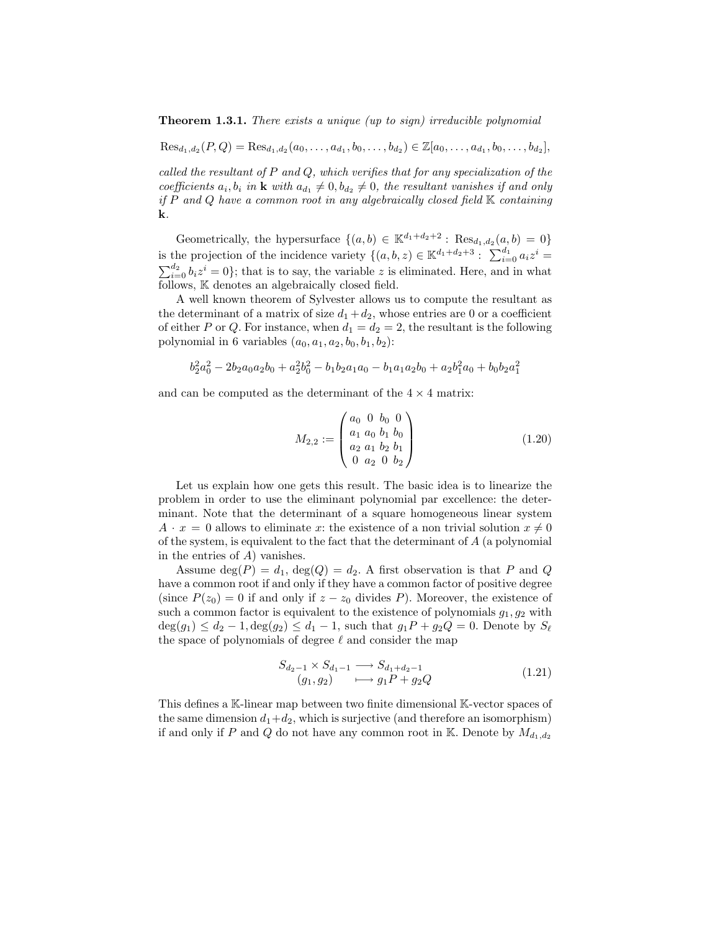**Theorem 1.3.1.** There exists a unique (up to sign) irreducible polynomial

 $\text{Res}_{d_1, d_2}(P, Q) = \text{Res}_{d_1, d_2}(a_0, \ldots, a_{d_1}, b_0, \ldots, b_{d_2}) \in \mathbb{Z}[a_0, \ldots, a_{d_1}, b_0, \ldots, b_{d_2}],$ 

called the resultant of  $P$  and  $Q$ , which verifies that for any specialization of the coefficients  $a_i, b_i$  in  $\bf{k}$  with  $a_{d_1} \neq 0, b_{d_2} \neq 0$ , the resultant vanishes if and only if  $P$  and  $Q$  have a common root in any algebraically closed field  $K$  containing k.

Geometrically, the hypersurface  $\{(a,b) \in \mathbb{K}^{d_1+d_2+2} : \text{Res}_{d_1,d_2}(a,b) = 0\}$ is the projection of the incidence variety  $\{(a, b, z) \in \mathbb{K}^{d_1+d_2+3} : \sum_{i=0}^{d_1} a_i z^i =$  $\sum_{i=0}^{d_2} b_i z^i = 0$ ; that is to say, the variable z is eliminated. Here, and in what follows, K denotes an algebraically closed field.

A well known theorem of Sylvester allows us to compute the resultant as the determinant of a matrix of size  $d_1 + d_2$ , whose entries are 0 or a coefficient of either P or Q. For instance, when  $d_1 = d_2 = 2$ , the resultant is the following polynomial in 6 variables  $(a_0, a_1, a_2, b_0, b_1, b_2)$ :

$$
b_2^2a_0^2 - 2b_2a_0a_2b_0 + a_2^2b_0^2 - b_1b_2a_1a_0 - b_1a_1a_2b_0 + a_2b_1^2a_0 + b_0b_2a_1^2
$$

and can be computed as the determinant of the  $4 \times 4$  matrix:

$$
M_{2,2} := \begin{pmatrix} a_0 & 0 & b_0 & 0 \\ a_1 & a_0 & b_1 & b_0 \\ a_2 & a_1 & b_2 & b_1 \\ 0 & a_2 & 0 & b_2 \end{pmatrix}
$$
 (1.20)

Let us explain how one gets this result. The basic idea is to linearize the problem in order to use the eliminant polynomial par excellence: the determinant. Note that the determinant of a square homogeneous linear system  $A \cdot x = 0$  allows to eliminate x: the existence of a non trivial solution  $x \neq 0$ of the system, is equivalent to the fact that the determinant of A (a polynomial in the entries of  $A$ ) vanishes.

Assume  $\deg(P) = d_1$ ,  $\deg(Q) = d_2$ . A first observation is that P and Q have a common root if and only if they have a common factor of positive degree (since  $P(z_0) = 0$  if and only if  $z - z_0$  divides P). Moreover, the existence of such a common factor is equivalent to the existence of polynomials  $g_1, g_2$  with  $deg(g_1) \leq d_2 - 1, deg(g_2) \leq d_1 - 1$ , such that  $g_1P + g_2Q = 0$ . Denote by  $S_{\ell}$ the space of polynomials of degree  $\ell$  and consider the map

$$
S_{d_2-1} \times S_{d_1-1} \longrightarrow S_{d_1+d_2-1}
$$
  
(g<sub>1</sub>, g<sub>2</sub>)  $\longmapsto g_1 P + g_2 Q$  (1.21)

This defines a K-linear map between two finite dimensional K-vector spaces of the same dimension  $d_1+d_2$ , which is surjective (and therefore an isomorphism) if and only if P and Q do not have any common root in K. Denote by  $M_{d_1,d_2}$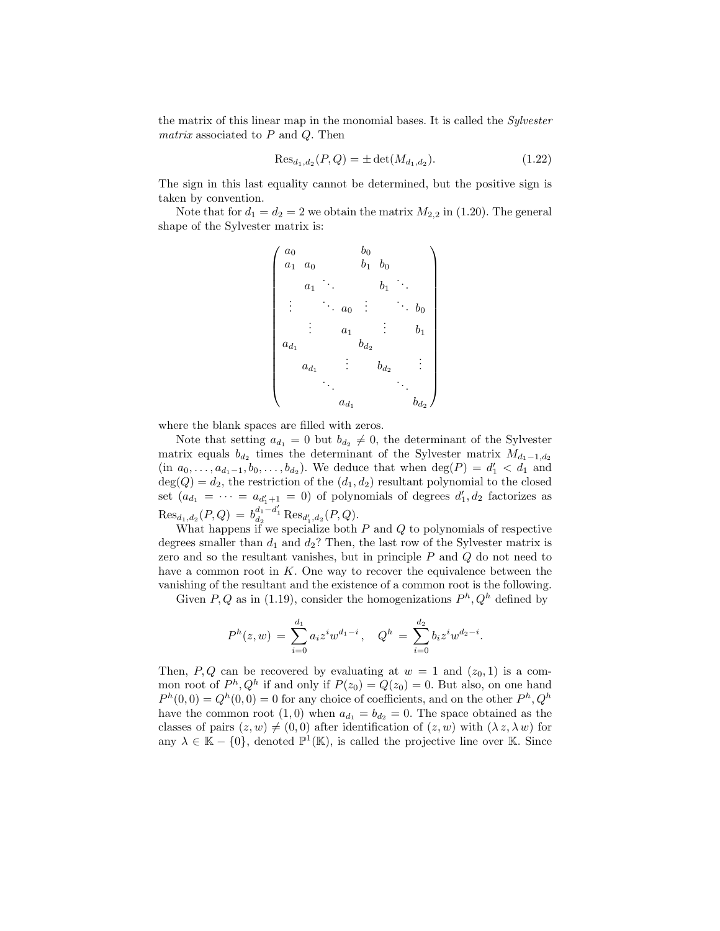the matrix of this linear map in the monomial bases. It is called the Sylvester matrix associated to  $P$  and  $Q$ . Then

$$
\text{Res}_{d_1, d_2}(P, Q) = \pm \det(M_{d_1, d_2}).\tag{1.22}
$$

The sign in this last equality cannot be determined, but the positive sign is taken by convention.

Note that for  $d_1 = d_2 = 2$  we obtain the matrix  $M_{2,2}$  in (1.20). The general shape of the Sylvester matrix is:

$$
\begin{pmatrix} a_0 & b_0 & b_0 \ a_1 & a_0 & b_1 & b_0 \ a_1 & \cdots & b_1 & \ddots \ \vdots & \ddots & a_0 & \vdots & \ddots & b_0 \ \vdots & a_1 & \vdots & b_1 \ a_{d_1} & \cdots & b_{d_2} & \vdots \ \vdots & \ddots & \ddots & \ddots & \vdots \\ a_{d_1} & \cdots & a_{d_1} & b_{d_2} & \cdots & b_{d_2} \end{pmatrix}
$$

where the blank spaces are filled with zeros.

Note that setting  $a_{d_1} = 0$  but  $b_{d_2} \neq 0$ , the determinant of the Sylvester matrix equals  $b_{d_2}$  times the determinant of the Sylvester matrix  $M_{d_1-1,d_2}$  $(in \ a_0, \ldots, a_{d_1-1}, b_0, \ldots, b_{d_2})$ . We deduce that when  $deg(P) = d'_1 < d_1$  and  $deg(Q) = d_2$ , the restriction of the  $(d_1, d_2)$  resultant polynomial to the closed set  $(a_{d_1} = \cdots = a_{d'_1+1} = 0)$  of polynomials of degrees  $d'_1, d_2$  factorizes as  $\text{Res}_{d_1, d_2}(P, Q) = b_{d_2}^{d_1 - d'_1} \text{Res}_{d'_1, d_2}(P, Q).$ 

What happens if we specialize both  $P$  and  $Q$  to polynomials of respective degrees smaller than  $d_1$  and  $d_2$ ? Then, the last row of the Sylvester matrix is zero and so the resultant vanishes, but in principle  $P$  and  $Q$  do not need to have a common root in  $K$ . One way to recover the equivalence between the vanishing of the resultant and the existence of a common root is the following.

Given P, Q as in (1.19), consider the homogenizations  $P<sup>h</sup>$ ,  $Q<sup>h</sup>$  defined by

$$
P^{h}(z,w) = \sum_{i=0}^{d_1} a_i z^{i} w^{d_1-i}, \quad Q^{h} = \sum_{i=0}^{d_2} b_i z^{i} w^{d_2-i}.
$$

Then, P, Q can be recovered by evaluating at  $w = 1$  and  $(z_0, 1)$  is a common root of  $P^h, Q^h$  if and only if  $P(z_0) = Q(z_0) = 0$ . But also, on one hand  $P<sup>h</sup>(0,0) = Q<sup>h</sup>(0,0) = 0$  for any choice of coefficients, and on the other  $P<sup>h</sup>, Q<sup>h</sup>$ have the common root  $(1, 0)$  when  $a_{d_1} = b_{d_2} = 0$ . The space obtained as the classes of pairs  $(z, w) \neq (0, 0)$  after identification of  $(z, w)$  with  $(\lambda z, \lambda w)$  for any  $\lambda \in \mathbb{K} - \{0\}$ , denoted  $\mathbb{P}^1(\mathbb{K})$ , is called the projective line over K. Since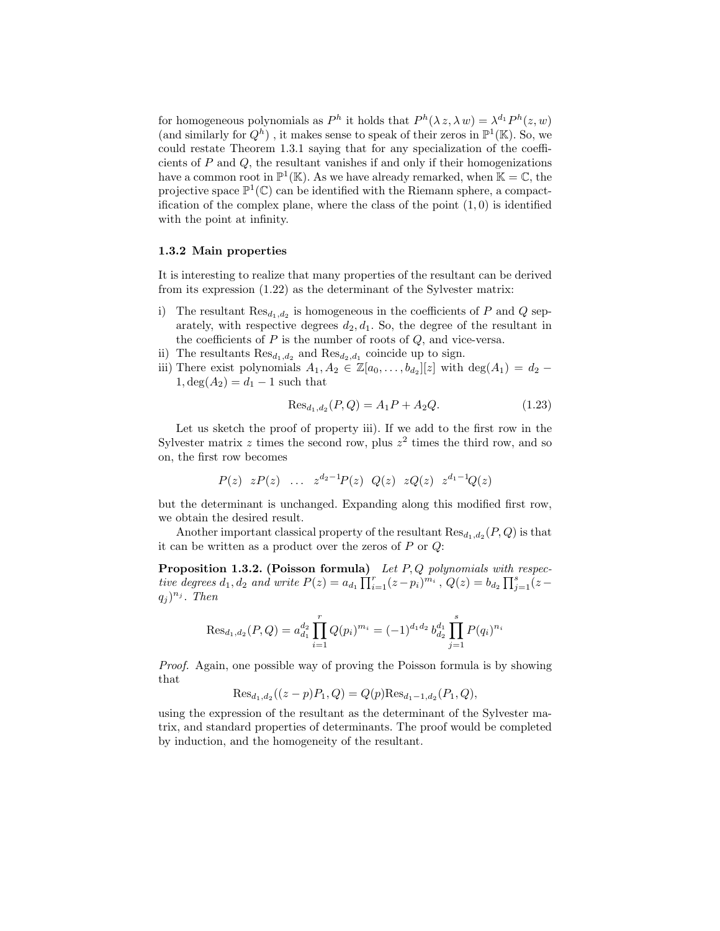for homogeneous polynomials as  $P^h$  it holds that  $P^h(\lambda z, \lambda w) = \lambda^{d_1} P^h(z, w)$ (and similarly for  $Q^h$ ), it makes sense to speak of their zeros in  $\mathbb{P}^1(\mathbb{K})$ . So, we could restate Theorem 1.3.1 saying that for any specialization of the coefficients of  $P$  and  $Q$ , the resultant vanishes if and only if their homogenizations have a common root in  $\mathbb{P}^1(\mathbb{K})$ . As we have already remarked, when  $\mathbb{K} = \mathbb{C}$ , the projective space  $\mathbb{P}^1(\mathbb{C})$  can be identified with the Riemann sphere, a compactification of the complex plane, where the class of the point  $(1, 0)$  is identified with the point at infinity.

### 1.3.2 Main properties

It is interesting to realize that many properties of the resultant can be derived from its expression (1.22) as the determinant of the Sylvester matrix:

- i) The resultant  $\text{Res}_{d_1,d_2}$  is homogeneous in the coefficients of P and Q separately, with respective degrees  $d_2, d_1$ . So, the degree of the resultant in the coefficients of  $P$  is the number of roots of  $Q$ , and vice-versa.
- ii) The resultants  $\text{Res}_{d_1,d_2}$  and  $\text{Res}_{d_2,d_1}$  coincide up to sign.
- iii) There exist polynomials  $A_1, A_2 \in \mathbb{Z}[a_0, \ldots, b_{d_2}][z]$  with  $\deg(A_1) = d_2$   $1, \deg(A_2) = d_1 - 1$  such that

$$
\text{Res}_{d_1, d_2}(P, Q) = A_1 P + A_2 Q. \tag{1.23}
$$

Let us sketch the proof of property iii). If we add to the first row in the Sylvester matrix z times the second row, plus  $z^2$  times the third row, and so on, the first row becomes

$$
P(z)
$$
  $zP(z)$  ...  $z^{d_2-1}P(z)$   $Q(z)$   $zQ(z)$   $z^{d_1-1}Q(z)$ 

but the determinant is unchanged. Expanding along this modified first row, we obtain the desired result.

Another important classical property of the resultant  $\text{Res}_{d_1,d_2}(P,Q)$  is that it can be written as a product over the zeros of  $P$  or  $Q$ :

**Proposition 1.3.2. (Poisson formula)** Let  $P, Q$  polynomials with respective degrees  $d_1, d_2$  and write  $P(z) = a_{d_1} \prod_{i=1}^{r} (z - p_i)^{m_i}$ ,  $Q(z) = b_{d_2} \prod_{j=1}^{s} (z - p_j)^{m_j}$  $(q_j)^{n_j}$ . Then

$$
\operatorname{Res}_{d_1,d_2}(P,Q) = a_{d_1}^{d_2} \prod_{i=1}^r Q(p_i)^{m_i} = (-1)^{d_1 d_2} b_{d_2}^{d_1} \prod_{j=1}^s P(q_i)^{n_i}
$$

Proof. Again, one possible way of proving the Poisson formula is by showing that

$$
\text{Res}_{d_1,d_2}((z-p)P_1,Q) = Q(p)\text{Res}_{d_1-1,d_2}(P_1,Q),
$$

using the expression of the resultant as the determinant of the Sylvester matrix, and standard properties of determinants. The proof would be completed by induction, and the homogeneity of the resultant.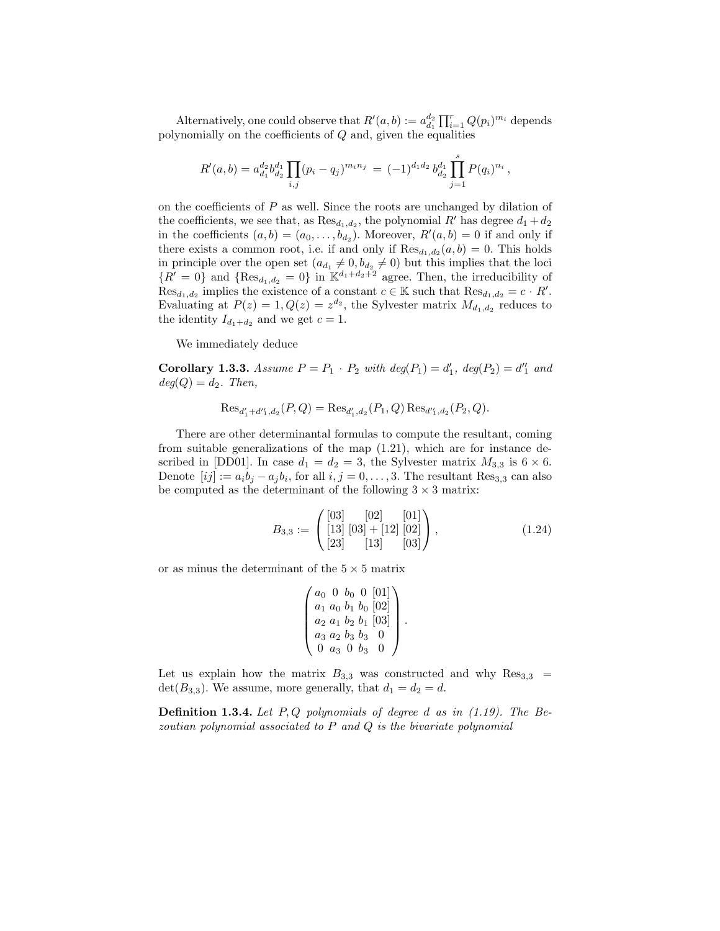Alternatively, one could observe that  $R'(a, b) := a_{d_1}^{d_2} \prod_{i=1}^r Q(p_i)^{m_i}$  depends polynomially on the coefficients of  $Q$  and, given the equalities

$$
R'(a,b) = a_{d_1}^{d_2} b_{d_2}^{d_1} \prod_{i,j} (p_i - q_j)^{m_i n_j} = (-1)^{d_1 d_2} b_{d_2}^{d_1} \prod_{j=1}^s P(q_i)^{n_i},
$$

on the coefficients of  $P$  as well. Since the roots are unchanged by dilation of the coefficients, we see that, as  $\text{Res}_{d_1, d_2}$ , the polynomial R' has degree  $d_1 + d_2$ in the coefficients  $(a, b) = (a_0, \ldots, b_{d_2})$ . Moreover,  $R'(a, b) = 0$  if and only if there exists a common root, i.e. if and only if  $\text{Res}_{d_1,d_2}(a,b) = 0$ . This holds in principle over the open set  $(a_{d_1} \neq 0, b_{d_2} \neq 0)$  but this implies that the loci  ${R' = 0}$  and  ${Res_{d_1,d_2} = 0}$  in  $\mathbb{K}^{d_1+d_2+2}$  agree. Then, the irreducibility of  $Res_{d_1,d_2}$  implies the existence of a constant  $c \in \mathbb{K}$  such that  $Res_{d_1,d_2} = c \cdot R'$ . Evaluating at  $P(z) = 1, Q(z) = z^{d_2}$ , the Sylvester matrix  $M_{d_1, d_2}$  reduces to the identity  $I_{d_1+d_2}$  and we get  $c=1$ .

We immediately deduce

**Corollary 1.3.3.** Assume  $P = P_1 \cdot P_2$  with  $deg(P_1) = d'_1$ ,  $deg(P_2) = d''_1$  and  $deg(Q) = d_2$ . Then,

$$
\text{Res}_{d'_1+d'_1,d_2}(P,Q) = \text{Res}_{d'_1,d_2}(P_1,Q) \text{Res}_{d'_1,d_2}(P_2,Q).
$$

There are other determinantal formulas to compute the resultant, coming from suitable generalizations of the map (1.21), which are for instance described in [DD01]. In case  $d_1 = d_2 = 3$ , the Sylvester matrix  $M_{3,3}$  is  $6 \times 6$ . Denote  $[ij] := a_i b_j - a_j b_i$ , for all  $i, j = 0, \ldots, 3$ . The resultant Res<sub>3,3</sub> can also be computed as the determinant of the following  $3 \times 3$  matrix:

$$
B_{3,3} := \begin{pmatrix} [03] & [02] & [01] \\ [13] & [03] + [12] & [02] \\ [23] & [13] & [03] \end{pmatrix}, \tag{1.24}
$$

or as minus the determinant of the  $5 \times 5$  matrix

$$
\begin{pmatrix} a_0 & 0 & b_0 & 0 & [01] \\ a_1 & a_0 & b_1 & b_0 & [02] \\ a_2 & a_1 & b_2 & b_1 & [03] \\ a_3 & a_2 & b_3 & b_3 & 0 \\ 0 & a_3 & 0 & b_3 & 0 \end{pmatrix}.
$$

Let us explain how the matrix  $B_{3,3}$  was constructed and why  $\text{Res}_{3,3}$  =  $\det(B_{3,3})$ . We assume, more generally, that  $d_1 = d_2 = d$ .

**Definition 1.3.4.** Let  $P, Q$  polynomials of degree d as in (1.19). The Bezoutian polynomial associated to P and Q is the bivariate polynomial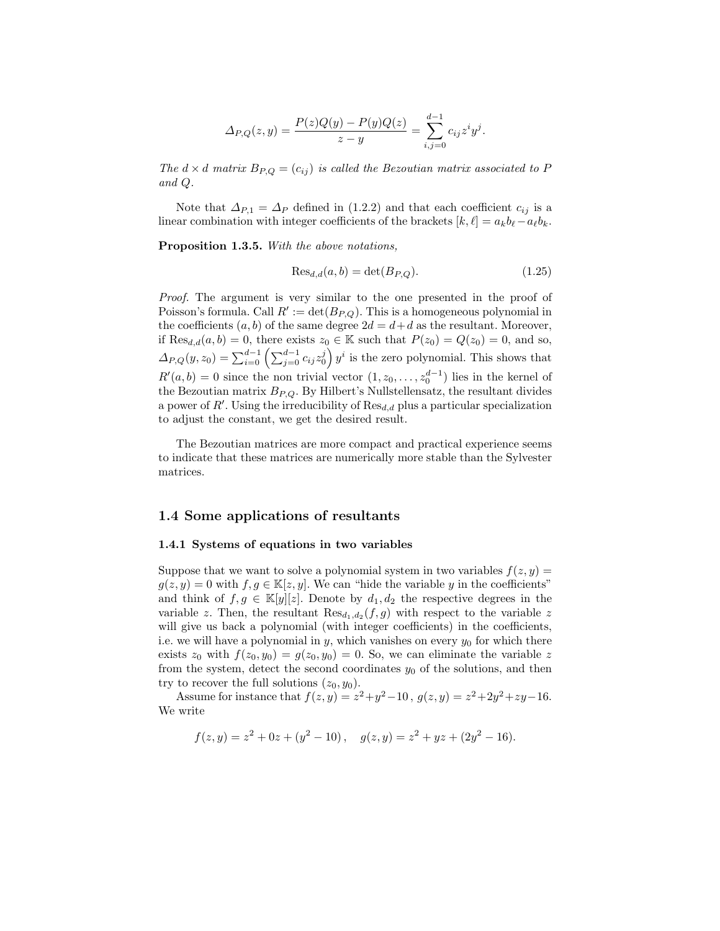$$
\Delta_{P,Q}(z,y) = \frac{P(z)Q(y) - P(y)Q(z)}{z - y} = \sum_{i,j=0}^{d-1} c_{ij} z^i y^j.
$$

The  $d \times d$  matrix  $B_{P,Q} = (c_{ij})$  is called the Bezoutian matrix associated to P and Q.

Note that  $\Delta_{P,1} = \Delta_P$  defined in (1.2.2) and that each coefficient  $c_{ij}$  is a linear combination with integer coefficients of the brackets  $[k, \ell] = a_k b_\ell - a_\ell b_k$ .

Proposition 1.3.5. With the above notations,

$$
\text{Res}_{d,d}(a,b) = \det(B_{P,Q}).\tag{1.25}
$$

Proof. The argument is very similar to the one presented in the proof of Poisson's formula. Call  $R' := det(B_{P,Q})$ . This is a homogeneous polynomial in the coefficients  $(a, b)$  of the same degree  $2d = d + d$  as the resultant. Moreover, if  $\text{Res}_{d,d}(a, b) = 0$ , there exists  $z_0 \in \mathbb{K}$  such that  $P(z_0) = Q(z_0) = 0$ , and so,  $\Delta_{P,Q}(y,z_0) = \sum_{i=0}^{d-1} \left( \sum_{j=0}^{d-1} c_{ij} z_0^j \right) y^i$  is the zero polynomial. This shows that  $R'(a, b) = 0$  since the non trivial vector  $(1, z_0, \ldots, z_0^{d-1})$  lies in the kernel of the Bezoutian matrix  $B_{P,Q}$ . By Hilbert's Nullstellensatz, the resultant divides a power of  $R'$ . Using the irreducibility of  $\text{Res}_{d,d}$  plus a particular specialization to adjust the constant, we get the desired result.

The Bezoutian matrices are more compact and practical experience seems to indicate that these matrices are numerically more stable than the Sylvester matrices.

## 1.4 Some applications of resultants

#### 1.4.1 Systems of equations in two variables

Suppose that we want to solve a polynomial system in two variables  $f(z, y) =$  $g(z, y) = 0$  with  $f, g \in \mathbb{K}[z, y]$ . We can "hide the variable y in the coefficients" and think of  $f, g \in \mathbb{K}[y][z]$ . Denote by  $d_1, d_2$  the respective degrees in the variable z. Then, the resultant  $\text{Res}_{d_1,d_2}(f,g)$  with respect to the variable z will give us back a polynomial (with integer coefficients) in the coefficients, i.e. we will have a polynomial in  $y$ , which vanishes on every  $y_0$  for which there exists  $z_0$  with  $f(z_0, y_0) = g(z_0, y_0) = 0$ . So, we can eliminate the variable z from the system, detect the second coordinates  $y_0$  of the solutions, and then try to recover the full solutions  $(z_0, y_0)$ .

Assume for instance that  $f(z, y) = z^2 + y^2 - 10$ ,  $g(z, y) = z^2 + 2y^2 + zy - 16$ . We write

$$
f(z, y) = z2 + 0z + (y2 - 10), \quad g(z, y) = z2 + yz + (2y2 - 16).
$$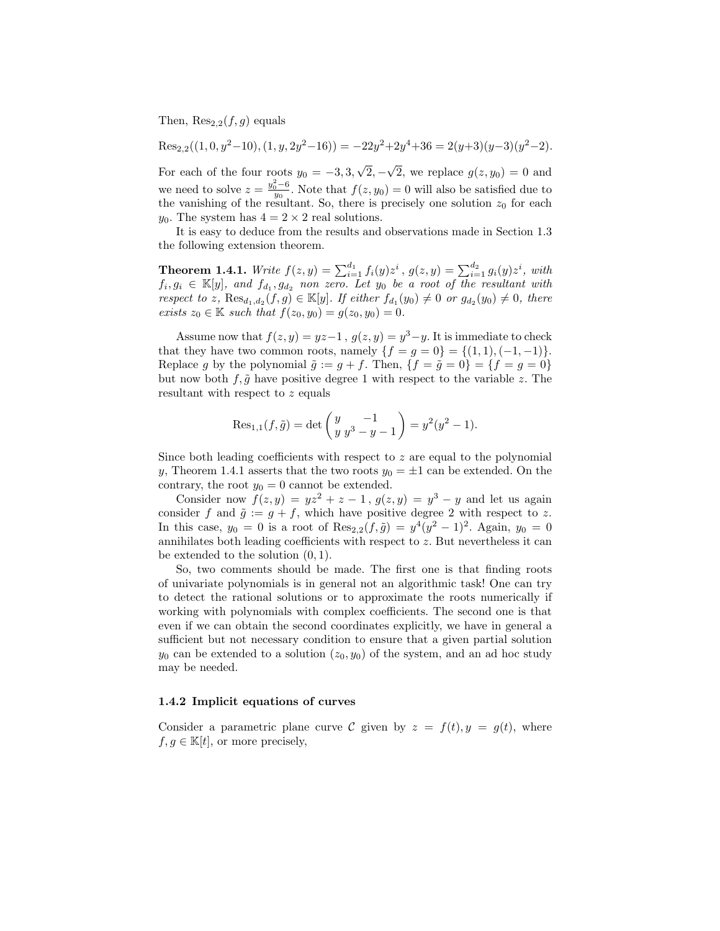Then,  $\text{Res}_{2,2}(f,g)$  equals

$$
Res_{2,2}((1,0,y^2-10),(1,y,2y^2-16)) = -22y^2+2y^4+36 = 2(y+3)(y-3)(y^2-2).
$$

For each of the four roots  $y_0 = -3, 3,$ √  $2, -$ √ 2, we replace  $g(z, y_0) = 0$  and we need to solve  $z = \frac{y_0^2 - 6}{y_0}$ . Note that  $f(z, y_0) = 0$  will also be satisfied due to the vanishing of the resultant. So, there is precisely one solution  $z_0$  for each  $y_0$ . The system has  $4 = 2 \times 2$  real solutions.

It is easy to deduce from the results and observations made in Section 1.3 the following extension theorem.

**Theorem 1.4.1.** Write  $f(z, y) = \sum_{i=1}^{d_1} f_i(y) z^i$ ,  $g(z, y) = \sum_{i=1}^{d_2} g_i(y) z^i$ , with  $f_i, g_i \in \mathbb{K}[y]$ , and  $f_{d_1}, g_{d_2}$  non zero. Let  $y_0$  be a root of the resultant with respect to z,  $\text{Res}_{d_1,d_2}(f,g) \in \mathbb{K}[y]$ . If either  $f_{d_1}(y_0) \neq 0$  or  $g_{d_2}(y_0) \neq 0$ , there exists  $z_0 \in \mathbb{K}$  such that  $f(z_0, y_0) = g(z_0, y_0) = 0$ .

Assume now that  $f(z, y) = yz-1$ ,  $g(z, y) = y^3 - y$ . It is immediate to check that they have two common roots, namely  $\{f = g = 0\} = \{(1, 1), (-1, -1)\}.$ Replace g by the polynomial  $\tilde{g} := g + f$ . Then,  $\{f = \tilde{g} = 0\} = \{f = g = 0\}$ but now both  $f, \tilde{g}$  have positive degree 1 with respect to the variable z. The resultant with respect to z equals

$$
\text{Res}_{1,1}(f,\tilde{g}) = \det\begin{pmatrix} y & -1 \\ y & y^3 - y - 1 \end{pmatrix} = y^2(y^2 - 1).
$$

Since both leading coefficients with respect to  $z$  are equal to the polynomial y, Theorem 1.4.1 asserts that the two roots  $y_0 = \pm 1$  can be extended. On the contrary, the root  $y_0 = 0$  cannot be extended.

Consider now  $f(z, y) = yz^2 + z - 1$ ,  $g(z, y) = y^3 - y$  and let us again consider f and  $\tilde{g} := g + f$ , which have positive degree 2 with respect to z. In this case,  $y_0 = 0$  is a root of  $\text{Res}_{2,2}(f, \tilde{g}) = y^4(y^2 - 1)^2$ . Again,  $y_0 = 0$ annihilates both leading coefficients with respect to z. But nevertheless it can be extended to the solution (0, 1).

So, two comments should be made. The first one is that finding roots of univariate polynomials is in general not an algorithmic task! One can try to detect the rational solutions or to approximate the roots numerically if working with polynomials with complex coefficients. The second one is that even if we can obtain the second coordinates explicitly, we have in general a sufficient but not necessary condition to ensure that a given partial solution  $y_0$  can be extended to a solution  $(z_0, y_0)$  of the system, and an ad hoc study may be needed.

### 1.4.2 Implicit equations of curves

Consider a parametric plane curve C given by  $z = f(t), y = g(t)$ , where  $f, g \in \mathbb{K}[t]$ , or more precisely,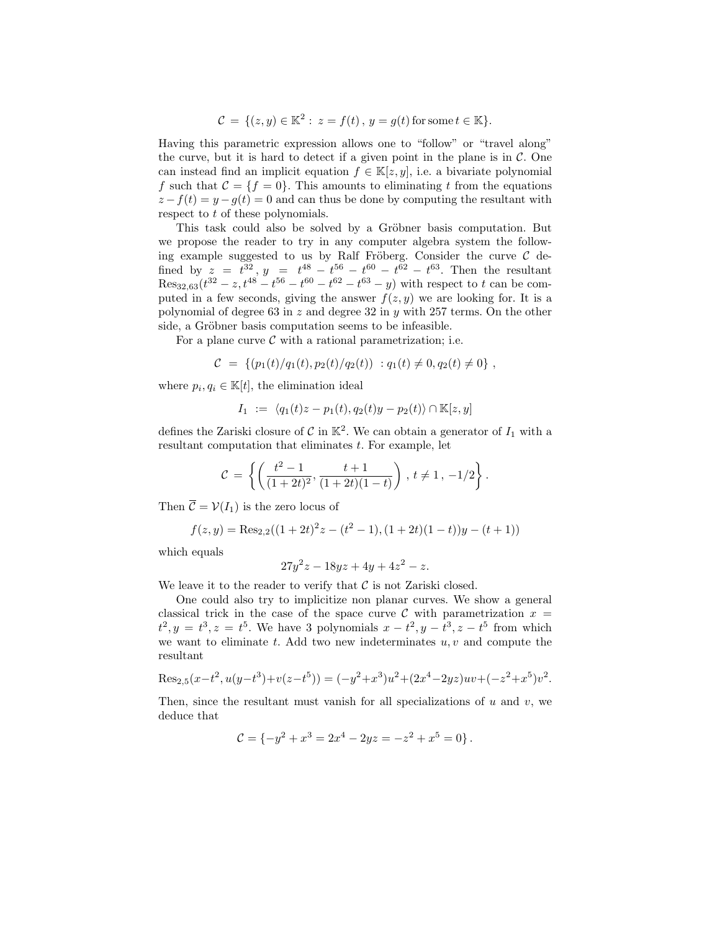$$
C = \{ (z, y) \in \mathbb{K}^2 : z = f(t), y = g(t) \text{ for some } t \in \mathbb{K} \}.
$$

Having this parametric expression allows one to "follow" or "travel along" the curve, but it is hard to detect if a given point in the plane is in  $\mathcal{C}$ . One can instead find an implicit equation  $f \in \mathbb{K}[z, y]$ , i.e. a bivariate polynomial f such that  $\mathcal{C} = \{f = 0\}$ . This amounts to eliminating t from the equations  $z - f(t) = y - g(t) = 0$  and can thus be done by computing the resultant with respect to t of these polynomials.

This task could also be solved by a Gröbner basis computation. But we propose the reader to try in any computer algebra system the following example suggested to us by Ralf Fröberg. Consider the curve  $\mathcal C$  defined by  $z = t^{32}$ ,  $y = t^{48} - t^{56} - t^{60} - t^{62} - t^{63}$ . Then the resultant  $\text{Res}_{32,63}(t^{32} - z, t^{48} - t^{56} - t^{60} - t^{62} - t^{63} - y)$  with respect to t can be computed in a few seconds, giving the answer  $f(z, y)$  we are looking for. It is a polynomial of degree 63 in  $z$  and degree 32 in  $y$  with 257 terms. On the other side, a Gröbner basis computation seems to be infeasible.

For a plane curve  $\mathcal C$  with a rational parametrization; i.e.

$$
C = \{ (p_1(t)/q_1(t), p_2(t)/q_2(t)) : q_1(t) \neq 0, q_2(t) \neq 0 \},
$$

where  $p_i, q_i \in \mathbb{K}[t]$ , the elimination ideal

$$
I_1 := \langle q_1(t)z - p_1(t), q_2(t)y - p_2(t) \rangle \cap \mathbb{K}[z, y]
$$

defines the Zariski closure of  $\mathcal C$  in  $\mathbb K^2$ . We can obtain a generator of  $I_1$  with a resultant computation that eliminates  $t$ . For example, let

$$
\mathcal{C} = \left\{ \left( \frac{t^2 - 1}{(1 + 2t)^2}, \frac{t + 1}{(1 + 2t)(1 - t)} \right), t \neq 1, -1/2 \right\}.
$$

Then  $\overline{\mathcal{C}} = \mathcal{V}(I_1)$  is the zero locus of

$$
f(z, y) = \text{Res}_{2,2}((1+2t)^{2}z - (t^{2} - 1), (1+2t)(1-t))y - (t+1))
$$

which equals

$$
27y^2z - 18yz + 4y + 4z^2 - z.
$$

We leave it to the reader to verify that  $\mathcal C$  is not Zariski closed.

One could also try to implicitize non planar curves. We show a general classical trick in the case of the space curve C with parametrization  $x =$  $t^2, y = t^3, z = t^5$ . We have 3 polynomials  $x - t^2, y - t^3, z - t^5$  from which we want to eliminate t. Add two new indeterminates  $u, v$  and compute the resultant

$$
\operatorname{Res}_{2,5}(x-t^2, u(y-t^3) + v(z-t^5)) = (-y^2 + x^3)u^2 + (2x^4 - 2yz)uv + (-z^2 + x^5)v^2.
$$

Then, since the resultant must vanish for all specializations of  $u$  and  $v$ , we deduce that

$$
\mathcal{C} = \{-y^2 + x^3 = 2x^4 - 2yz = -z^2 + x^5 = 0\}.
$$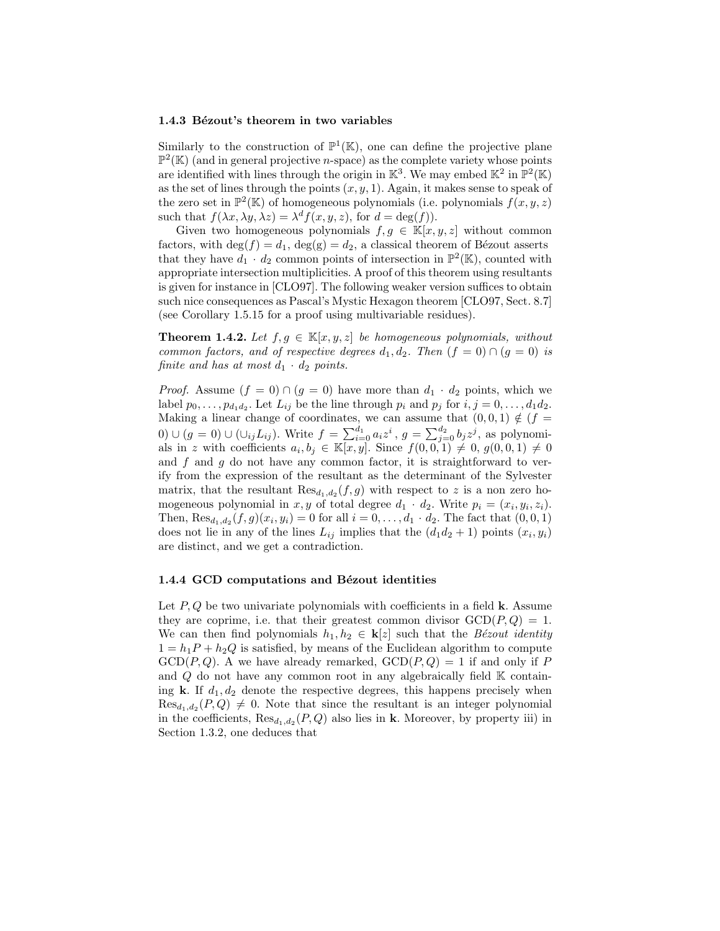#### 1.4.3 Bézout's theorem in two variables

Similarly to the construction of  $\mathbb{P}^1(\mathbb{K})$ , one can define the projective plane  $\mathbb{P}^2(\mathbb{K})$  (and in general projective *n*-space) as the complete variety whose points are identified with lines through the origin in  $\mathbb{K}^3$ . We may embed  $\mathbb{K}^2$  in  $\mathbb{P}^2(\mathbb{K})$ as the set of lines through the points  $(x, y, 1)$ . Again, it makes sense to speak of the zero set in  $\mathbb{P}^2(\mathbb{K})$  of homogeneous polynomials (i.e. polynomials  $f(x, y, z)$ ) such that  $f(\lambda x, \lambda y, \lambda z) = \lambda^d f(x, y, z)$ , for  $d = \deg(f)$ ).

Given two homogeneous polynomials  $f, g \in \mathbb{K}[x, y, z]$  without common factors, with  $\deg(f) = d_1$ ,  $\deg(g) = d_2$ , a classical theorem of Bézout asserts that they have  $d_1 \cdot d_2$  common points of intersection in  $\mathbb{P}^2(\mathbb{K})$ , counted with appropriate intersection multiplicities. A proof of this theorem using resultants is given for instance in [CLO97]. The following weaker version suffices to obtain such nice consequences as Pascal's Mystic Hexagon theorem [CLO97, Sect. 8.7] (see Corollary 1.5.15 for a proof using multivariable residues).

**Theorem 1.4.2.** Let  $f, g \in \mathbb{K}[x, y, z]$  be homogeneous polynomials, without common factors, and of respective degrees  $d_1, d_2$ . Then  $(f = 0) \cap (g = 0)$  is finite and has at most  $d_1 \cdot d_2$  points.

*Proof.* Assume  $(f = 0) \cap (g = 0)$  have more than  $d_1 \cdot d_2$  points, which we label  $p_0, \ldots, p_{d_1 d_2}$ . Let  $L_{ij}$  be the line through  $p_i$  and  $p_j$  for  $i, j = 0, \ldots, d_1 d_2$ . Making a linear change of coordinates, we can assume that  $(0, 0, 1) \notin (f =$ 0) ∪ ( $g = 0$ ) ∪ (∪<sub>ij</sub>L<sub>ij</sub>). Write  $f = \sum_{i=0}^{d_1} a_i z^i$ ,  $g = \sum_{j=0}^{d_2} b_j z^j$ , as polynomials in z with coefficients  $a_i, b_j \in \mathbb{K}[x, y]$ . Since  $f(0, 0, 1) \neq 0, g(0, 0, 1) \neq 0$ and f and  $q$  do not have any common factor, it is straightforward to verify from the expression of the resultant as the determinant of the Sylvester matrix, that the resultant  $\text{Res}_{d_1,d_2}(f,g)$  with respect to z is a non zero homogeneous polynomial in  $x, y$  of total degree  $d_1 \cdot d_2$ . Write  $p_i = (x_i, y_i, z_i)$ . Then,  $\text{Res}_{d_1, d_2}(f, g)(x_i, y_i) = 0$  for all  $i = 0, ..., d_1 \cdot d_2$ . The fact that  $(0, 0, 1)$ does not lie in any of the lines  $L_{ij}$  implies that the  $(d_1d_2 + 1)$  points  $(x_i, y_i)$ are distinct, and we get a contradiction.

### 1.4.4 GCD computations and Bézout identities

Let  $P, Q$  be two univariate polynomials with coefficients in a field **k**. Assume they are coprime, i.e. that their greatest common divisor  $GCD(P,Q) = 1$ . We can then find polynomials  $h_1, h_2 \in \mathbf{k}[z]$  such that the *Bézout identity*  $1 = h_1 P + h_2 Q$  is satisfied, by means of the Euclidean algorithm to compute  $GCD(P,Q)$ . A we have already remarked,  $GCD(P,Q) = 1$  if and only if P and  $Q$  do not have any common root in any algebraically field  $\mathbb K$  containing k. If  $d_1, d_2$  denote the respective degrees, this happens precisely when  $Res_{d_1,d_2}(P,Q) \neq 0$ . Note that since the resultant is an integer polynomial in the coefficients,  $\text{Res}_{d_1,d_2}(P,Q)$  also lies in **k**. Moreover, by property iii) in Section 1.3.2, one deduces that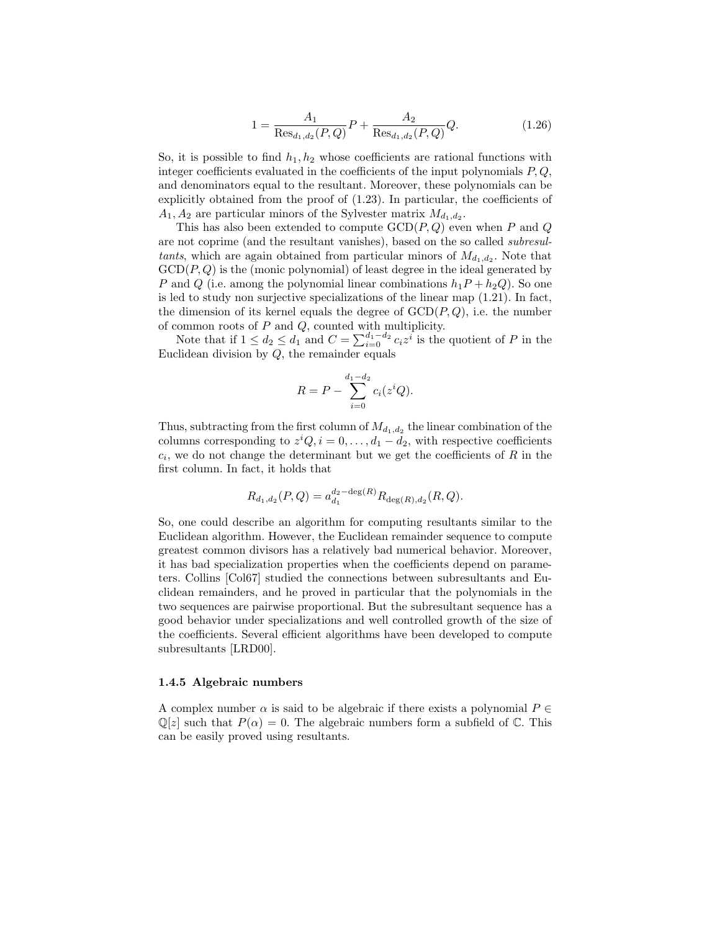$$
1 = \frac{A_1}{\text{Res}_{d_1, d_2}(P, Q)} P + \frac{A_2}{\text{Res}_{d_1, d_2}(P, Q)} Q.
$$
 (1.26)

So, it is possible to find  $h_1, h_2$  whose coefficients are rational functions with integer coefficients evaluated in the coefficients of the input polynomials  $P, Q$ , and denominators equal to the resultant. Moreover, these polynomials can be explicitly obtained from the proof of (1.23). In particular, the coefficients of  $A_1, A_2$  are particular minors of the Sylvester matrix  $M_{d_1, d_2}$ .

This has also been extended to compute  $GCD(P,Q)$  even when P and Q are not coprime (and the resultant vanishes), based on the so called subresultants, which are again obtained from particular minors of  $M_{d_1,d_2}$ . Note that  $GCD(P, Q)$  is the (monic polynomial) of least degree in the ideal generated by P and Q (i.e. among the polynomial linear combinations  $h_1P + h_2Q$ ). So one is led to study non surjective specializations of the linear map (1.21). In fact, the dimension of its kernel equals the degree of  $GCD(P,Q)$ , i.e. the number of common roots of  $P$  and  $Q$ , counted with multiplicity.

Note that if  $1 \leq d_2 \leq d_1$  and  $C = \sum_{i=0}^{d_1-d_2} c_i z^i$  is the quotient of P in the Euclidean division by Q, the remainder equals

$$
R = P - \sum_{i=0}^{d_1 - d_2} c_i(z^i Q).
$$

Thus, subtracting from the first column of  $M_{d_1,d_2}$  the linear combination of the columns corresponding to  $z^i Q, i = 0, \ldots, d_1 - d_2$ , with respective coefficients  $c_i$ , we do not change the determinant but we get the coefficients of  $R$  in the first column. In fact, it holds that

$$
R_{d_1,d_2}(P,Q) = a_{d_1}^{d_2-\deg(R)} R_{\deg(R),d_2}(R,Q).
$$

So, one could describe an algorithm for computing resultants similar to the Euclidean algorithm. However, the Euclidean remainder sequence to compute greatest common divisors has a relatively bad numerical behavior. Moreover, it has bad specialization properties when the coefficients depend on parameters. Collins [Col67] studied the connections between subresultants and Euclidean remainders, and he proved in particular that the polynomials in the two sequences are pairwise proportional. But the subresultant sequence has a good behavior under specializations and well controlled growth of the size of the coefficients. Several efficient algorithms have been developed to compute subresultants [LRD00].

#### 1.4.5 Algebraic numbers

A complex number  $\alpha$  is said to be algebraic if there exists a polynomial  $P \in$  $\mathbb{Q}[z]$  such that  $P(\alpha) = 0$ . The algebraic numbers form a subfield of C. This can be easily proved using resultants.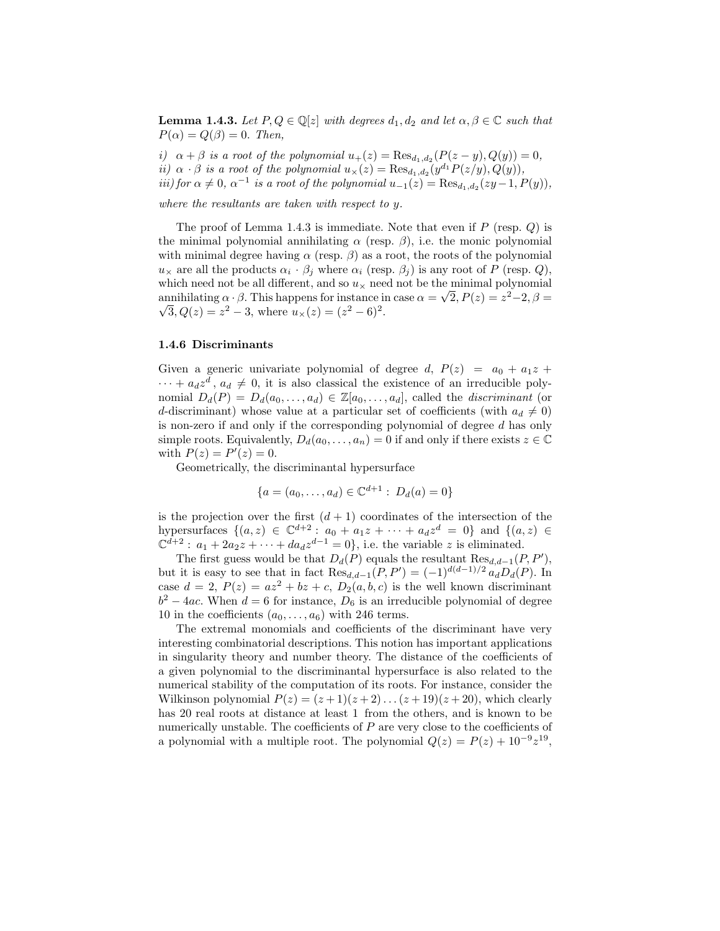**Lemma 1.4.3.** Let  $P, Q \in \mathbb{Q}[z]$  with degrees  $d_1, d_2$  and let  $\alpha, \beta \in \mathbb{C}$  such that  $P(\alpha) = Q(\beta) = 0$ . Then,

i)  $\alpha + \beta$  is a root of the polynomial  $u_+(z) = \text{Res}_{d_1, d_2}(P(z - y), Q(y)) = 0$ , *ii*)  $\alpha \cdot \beta$  *is a root of the polynomial*  $u_{\times}(z) = \text{Res}_{d_1, d_2}(y^{d_1}P(z/y), Q(y)),$ iii) for  $\alpha \neq 0$ ,  $\alpha^{-1}$  is a root of the polynomial  $u_{-1}(z) = \text{Res}_{d_1, d_2}(zy-1, P(y)),$ 

where the resultants are taken with respect to y.

The proof of Lemma 1.4.3 is immediate. Note that even if  $P$  (resp.  $Q$ ) is the minimal polynomial annihilating  $\alpha$  (resp.  $\beta$ ), i.e. the monic polynomial with minimal degree having  $\alpha$  (resp.  $\beta$ ) as a root, the roots of the polynomial  $u_{\times}$  are all the products  $\alpha_i \cdot \beta_j$  where  $\alpha_i$  (resp.  $\beta_j$ ) is any root of P (resp. Q), which need not be all different, and so  $u_{\times}$  need not be the minimal polynomial annihilating  $\alpha \cdot \beta$ . This happens for instance in case  $\alpha = \sqrt{2}$ ,  $P(z) = z^2 - 2$ ,  $\beta = \sqrt{2}$  $\overline{3}, Q(z) = z^2 - 3$ , where  $u_{\times}(z) = (z^2 - 6)^2$ .

#### 1.4.6 Discriminants

Given a generic univariate polynomial of degree d,  $P(z) = a_0 + a_1 z +$  $\cdots + a_d z^d$ ,  $a_d \neq 0$ , it is also classical the existence of an irreducible polynomial  $D_d(P) = D_d(a_0, \ldots, a_d) \in \mathbb{Z}[a_0, \ldots, a_d]$ , called the *discriminant* (or d-discriminant) whose value at a particular set of coefficients (with  $a_d \neq 0$ ) is non-zero if and only if the corresponding polynomial of degree  $d$  has only simple roots. Equivalently,  $D_d(a_0, \ldots, a_n) = 0$  if and only if there exists  $z \in \mathbb{C}$ with  $P(z) = P'(z) = 0$ .

Geometrically, the discriminantal hypersurface

$$
\{a = (a_0, \dots, a_d) \in \mathbb{C}^{d+1} : D_d(a) = 0\}
$$

is the projection over the first  $(d + 1)$  coordinates of the intersection of the hypersurfaces  $\{(a, z) \in \mathbb{C}^{d+2} : a_0 + a_1 z + \cdots + a_d z^d = 0\}$  and  $\{(a, z) \in$  $\mathbb{C}^{\bar{d}+2}: a_1+2a_2z+\cdots+da_dz^{d-1}=0\},$  i.e. the variable z is eliminated.

The first guess would be that  $D_d(P)$  equals the resultant  $\text{Res}_{d,d-1}(P, P'),$ but it is easy to see that in fact  $\text{Res}_{d,d-1}(P, P') = (-1)^{d(d-1)/2} a_d D_d(P)$ . In case  $d = 2$ ,  $P(z) = az^2 + bz + c$ ,  $D_2(a, b, c)$  is the well known discriminant  $b^2 - 4ac$ . When  $d = 6$  for instance,  $D_6$  is an irreducible polynomial of degree 10 in the coefficients  $(a_0, \ldots, a_6)$  with 246 terms.

The extremal monomials and coefficients of the discriminant have very interesting combinatorial descriptions. This notion has important applications in singularity theory and number theory. The distance of the coefficients of a given polynomial to the discriminantal hypersurface is also related to the numerical stability of the computation of its roots. For instance, consider the Wilkinson polynomial  $P(z) = (z+1)(z+2)...(z+19)(z+20)$ , which clearly has 20 real roots at distance at least 1 from the others, and is known to be numerically unstable. The coefficients of  $P$  are very close to the coefficients of a polynomial with a multiple root. The polynomial  $Q(z) = P(z) + 10^{-9}z^{19}$ ,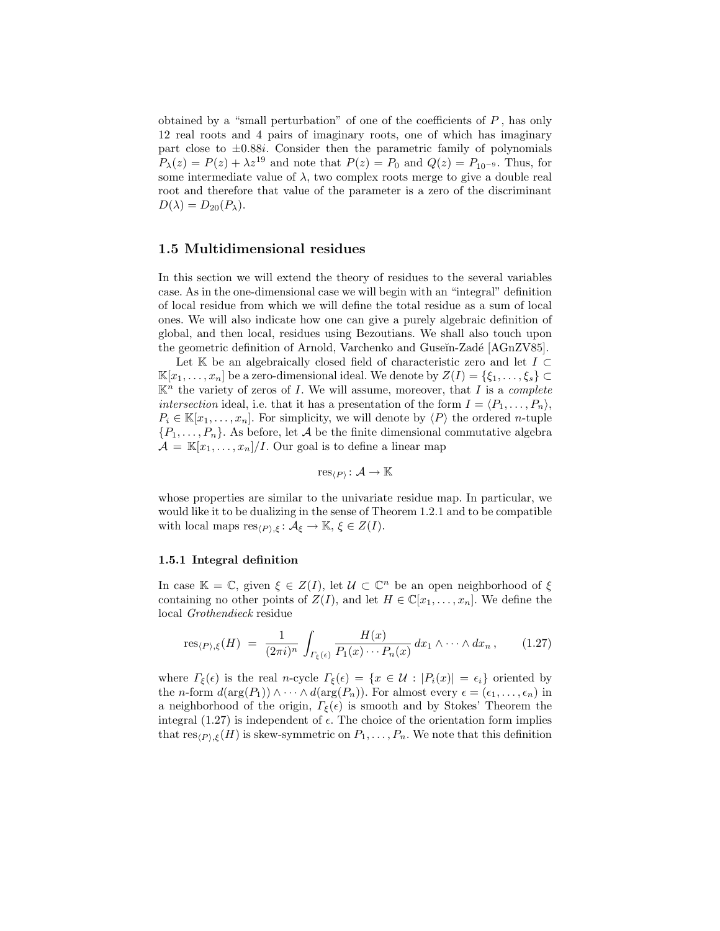obtained by a "small perturbation" of one of the coefficients of  $P$ , has only 12 real roots and 4 pairs of imaginary roots, one of which has imaginary part close to  $\pm 0.88i$ . Consider then the parametric family of polynomials  $P_{\lambda}(z) = P(z) + \lambda z^{19}$  and note that  $P(z) = P_0$  and  $Q(z) = P_{10^{-9}}$ . Thus, for some intermediate value of  $\lambda$ , two complex roots merge to give a double real root and therefore that value of the parameter is a zero of the discriminant  $D(\lambda) = D_{20}(P_{\lambda}).$ 

# 1.5 Multidimensional residues

In this section we will extend the theory of residues to the several variables case. As in the one-dimensional case we will begin with an "integral" definition of local residue from which we will define the total residue as a sum of local ones. We will also indicate how one can give a purely algebraic definition of global, and then local, residues using Bezoutians. We shall also touch upon the geometric definition of Arnold, Varchenko and Guseĭn-Zadé [AGnZV85].

Let K be an algebraically closed field of characteristic zero and let  $I \subset$  $\mathbb{K}[x_1,\ldots,x_n]$  be a zero-dimensional ideal. We denote by  $Z(I) = \{\xi_1,\ldots,\xi_s\} \subset$  $\mathbb{K}^n$  the variety of zeros of I. We will assume, moreover, that I is a *complete* intersection ideal, i.e. that it has a presentation of the form  $I = \langle P_1, \ldots, P_n \rangle$ ,  $P_i \in \mathbb{K}[x_1,\ldots,x_n]$ . For simplicity, we will denote by  $\langle P \rangle$  the ordered *n*-tuple  $\{P_1, \ldots, P_n\}$ . As before, let A be the finite dimensional commutative algebra  $\mathcal{A} = \mathbb{K}[x_1,\ldots,x_n]/I$ . Our goal is to define a linear map

$$
\operatorname{res}_{\langle P\rangle}\colon \mathcal{A}\to \mathbb{K}
$$

whose properties are similar to the univariate residue map. In particular, we would like it to be dualizing in the sense of Theorem 1.2.1 and to be compatible with local maps  $res_{\langle P \rangle,\xi} : A_{\xi} \to \mathbb{K}, \xi \in Z(I).$ 

#### 1.5.1 Integral definition

In case  $\mathbb{K} = \mathbb{C}$ , given  $\xi \in Z(I)$ , let  $\mathcal{U} \subset \mathbb{C}^n$  be an open neighborhood of  $\xi$ containing no other points of  $Z(I)$ , and let  $H \in \mathbb{C}[x_1,\ldots,x_n]$ . We define the local Grothendieck residue

$$
res_{\langle P \rangle, \xi}(H) = \frac{1}{(2\pi i)^n} \int_{\Gamma_{\xi}(\epsilon)} \frac{H(x)}{P_1(x) \cdots P_n(x)} dx_1 \wedge \cdots \wedge dx_n, \qquad (1.27)
$$

where  $\Gamma_{\xi}(\epsilon)$  is the real n-cycle  $\Gamma_{\xi}(\epsilon) = \{x \in \mathcal{U} : |P_i(x)| = \epsilon_i\}$  oriented by the *n*-form  $d(\arg(P_1)) \wedge \cdots \wedge d(\arg(P_n))$ . For almost every  $\epsilon = (\epsilon_1, \ldots, \epsilon_n)$  in a neighborhood of the origin,  $\Gamma_{\xi}(\epsilon)$  is smooth and by Stokes' Theorem the integral (1.27) is independent of  $\epsilon$ . The choice of the orientation form implies that  $res_{(P),\xi}(H)$  is skew-symmetric on  $P_1, \ldots, P_n$ . We note that this definition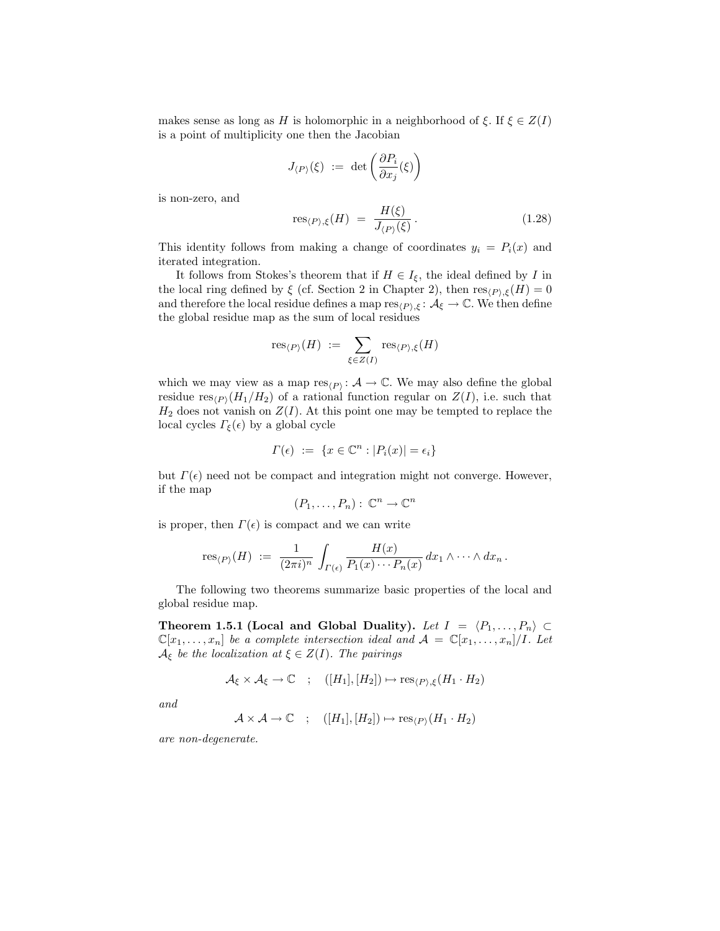makes sense as long as H is holomorphic in a neighborhood of  $\xi$ . If  $\xi \in Z(I)$ is a point of multiplicity one then the Jacobian

$$
J_{\langle P\rangle}(\xi) \ :=\ \det\left(\frac{\partial P_i}{\partial x_j}(\xi)\right)
$$

is non-zero, and

res<sub>(P),
$$
\xi
$$</sub>(H) =  $\frac{H(\xi)}{J_{(P)}(\xi)}$ . (1.28)

This identity follows from making a change of coordinates  $y_i = P_i(x)$  and iterated integration.

It follows from Stokes's theorem that if  $H \in I_{\xi}$ , the ideal defined by I in the local ring defined by  $\xi$  (cf. Section 2 in Chapter 2), then  $res_{(P),\xi}(H) = 0$ and therefore the local residue defines a map  $res_{(P),\xi} : A_{\xi} \to \mathbb{C}$ . We then define the global residue map as the sum of local residues

$$
\operatorname{res}_{\langle P\rangle}(H) \;:=\; \sum_{\xi\in Z(I)} \operatorname{res}_{\langle P\rangle,\xi}(H)
$$

which we may view as a map  $res_{(P)}: A \to \mathbb{C}$ . We may also define the global residue  $res_{(P)}(H_1/H_2)$  of a rational function regular on  $Z(I)$ , i.e. such that  $H_2$  does not vanish on  $Z(I)$ . At this point one may be tempted to replace the local cycles  $\Gamma_{\xi}(\epsilon)$  by a global cycle

$$
\Gamma(\epsilon) \ := \ \{ x \in \mathbb{C}^n : |P_i(x)| = \epsilon_i \}
$$

but  $\Gamma(\epsilon)$  need not be compact and integration might not converge. However, if the map

$$
(P_1,\ldots,P_n): \mathbb{C}^n \to \mathbb{C}^n
$$

is proper, then  $\Gamma(\epsilon)$  is compact and we can write

$$
\operatorname{res}_{\langle P\rangle}(H) \;:=\; \frac{1}{(2\pi i)^n} \,\int_{\Gamma(\epsilon)} \frac{H(x)}{P_1(x)\cdots P_n(x)}\,dx_1\wedge\cdots\wedge dx_n\,.
$$

The following two theorems summarize basic properties of the local and global residue map.

Theorem 1.5.1 (Local and Global Duality). Let  $I = \langle P_1, \ldots, P_n \rangle \subset$  $\mathbb{C}[x_1,\ldots,x_n]$  be a complete intersection ideal and  $\mathcal{A} = \mathbb{C}[x_1,\ldots,x_n]/I$ . Let  $\mathcal{A}_{\xi}$  be the localization at  $\xi \in Z(I)$ . The pairings

$$
\mathcal{A}_{\xi} \times \mathcal{A}_{\xi} \to \mathbb{C} \quad ; \quad ([H_1], [H_2]) \mapsto \text{res}_{\langle P \rangle, \xi} (H_1 \cdot H_2)
$$

and

$$
\mathcal{A} \times \mathcal{A} \to \mathbb{C} \quad ; \quad ([H_1], [H_2]) \mapsto \text{res}_{\langle P \rangle}(H_1 \cdot H_2)
$$

are non-degenerate.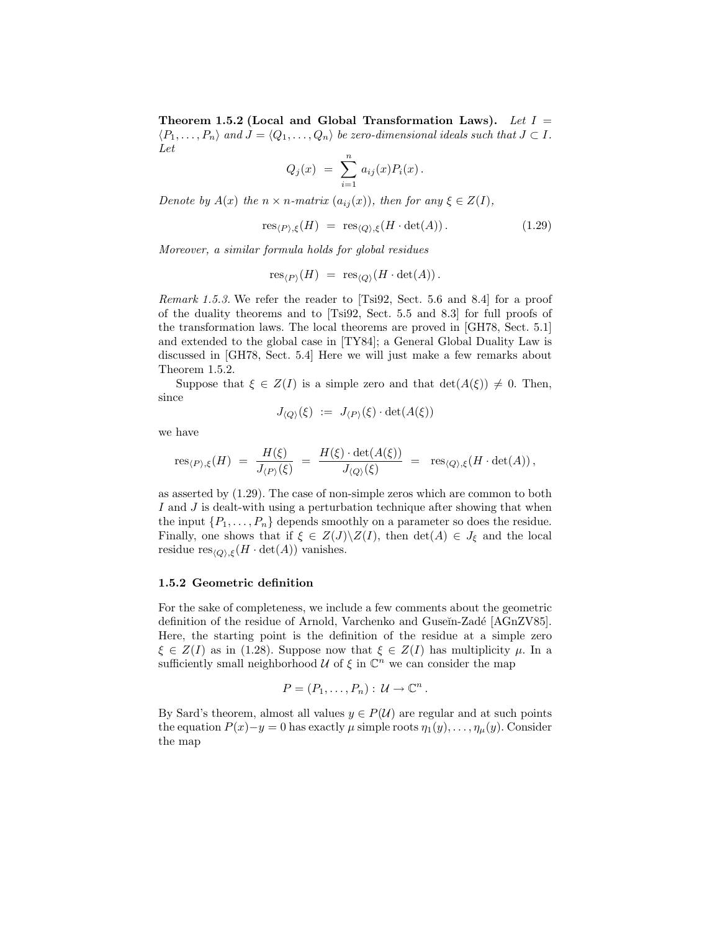Theorem 1.5.2 (Local and Global Transformation Laws). Let  $I =$  $\langle P_1, \ldots, P_n \rangle$  and  $J = \langle Q_1, \ldots, Q_n \rangle$  be zero-dimensional ideals such that  $J \subset I$ . Let

$$
Q_j(x) = \sum_{i=1}^n a_{ij}(x) P_i(x).
$$

Denote by  $A(x)$  the  $n \times n$ -matrix  $(a_{ij}(x))$ , then for any  $\xi \in Z(I)$ ,

$$
res_{\langle P \rangle, \xi}(H) = res_{\langle Q \rangle, \xi}(H \cdot \det(A)). \tag{1.29}
$$

Moreover, a similar formula holds for global residues

$$
\operatorname{res}_{\langle P\rangle}(H)\,\,=\,\, \operatorname{res}_{\langle Q\rangle}(H\cdot\det(A))\,.
$$

Remark 1.5.3. We refer the reader to [Tsi92, Sect. 5.6 and 8.4] for a proof of the duality theorems and to [Tsi92, Sect. 5.5 and 8.3] for full proofs of the transformation laws. The local theorems are proved in [GH78, Sect. 5.1] and extended to the global case in [TY84]; a General Global Duality Law is discussed in [GH78, Sect. 5.4] Here we will just make a few remarks about Theorem 1.5.2.

Suppose that  $\xi \in Z(I)$  is a simple zero and that  $\det(A(\xi)) \neq 0$ . Then, since

$$
J_{\langle Q \rangle}(\xi) \; := \; J_{\langle P \rangle}(\xi) \cdot \det(A(\xi))
$$

we have

$$
\operatorname{res}_{\langle P \rangle,\xi}(H) \,\,=\,\,\frac{H(\xi)}{J_{\langle P \rangle}(\xi)} \,\,=\,\,\frac{H(\xi) \cdot \det(A(\xi))}{J_{\langle Q \rangle}(\xi)} \,\,=\,\,\, \operatorname{res}_{\langle Q \rangle,\xi}(H \cdot \det(A))\,,
$$

as asserted by (1.29). The case of non-simple zeros which are common to both I and J is dealt-with using a perturbation technique after showing that when the input  $\{P_1, \ldots, P_n\}$  depends smoothly on a parameter so does the residue. Finally, one shows that if  $\xi \in Z(J)\backslash Z(I)$ , then  $\det(A) \in J_{\xi}$  and the local residue  $res_{\langle Q \rangle, \xi}(H \cdot det(A))$  vanishes.

### 1.5.2 Geometric definition

For the sake of completeness, we include a few comments about the geometric definition of the residue of Arnold, Varchenko and Guseĭn-Zadé [AGnZV85]. Here, the starting point is the definition of the residue at a simple zero  $\xi \in Z(I)$  as in (1.28). Suppose now that  $\xi \in Z(I)$  has multiplicity  $\mu$ . In a sufficiently small neighborhood  $\mathcal U$  of  $\xi$  in  $\mathbb C^n$  we can consider the map

$$
P=(P_1,\ldots,P_n): \mathcal{U} \to \mathbb{C}^n.
$$

By Sard's theorem, almost all values  $y \in P(\mathcal{U})$  are regular and at such points the equation  $P(x)-y=0$  has exactly  $\mu$  simple roots  $\eta_1(y), \ldots, \eta_\mu(y)$ . Consider the map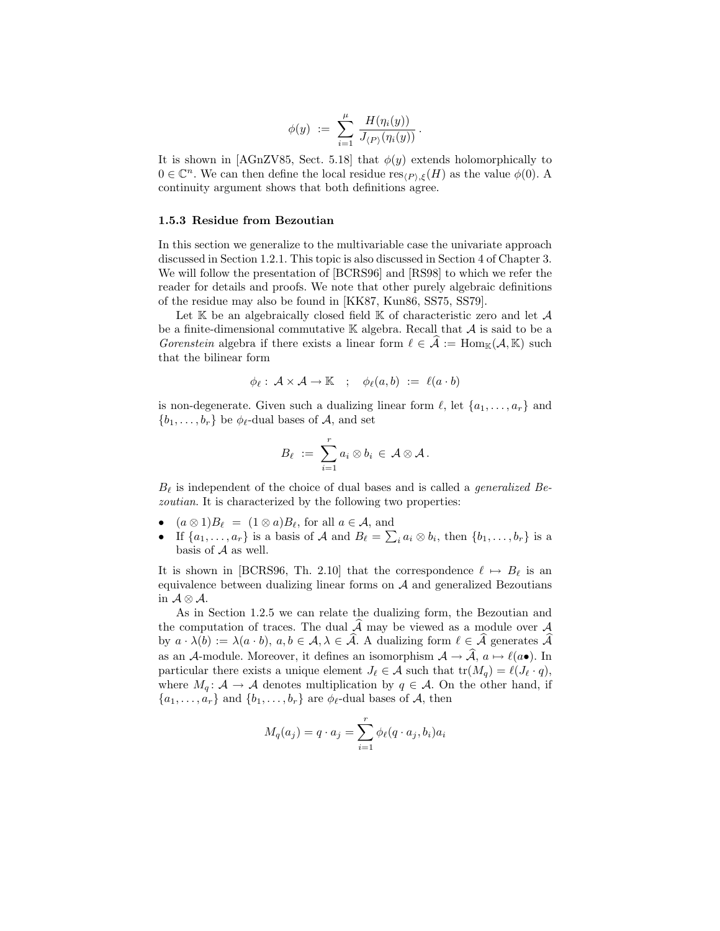$$
\phi(y) \ := \ \sum_{i=1}^\mu \, \frac{H(\eta_i(y))}{J_{\langle P \rangle}(\eta_i(y))} \, .
$$

It is shown in [AGnZV85, Sect. 5.18] that  $\phi(y)$  extends holomorphically to  $0 \in \mathbb{C}^n$ . We can then define the local residue res<sub> $\langle P \rangle, \xi(H)$ </sub> as the value  $\phi(0)$ . A continuity argument shows that both definitions agree.

### 1.5.3 Residue from Bezoutian

In this section we generalize to the multivariable case the univariate approach discussed in Section 1.2.1. This topic is also discussed in Section 4 of Chapter 3. We will follow the presentation of [BCRS96] and [RS98] to which we refer the reader for details and proofs. We note that other purely algebraic definitions of the residue may also be found in [KK87, Kun86, SS75, SS79].

Let  $K$  be an algebraically closed field  $K$  of characteristic zero and let  $A$ be a finite-dimensional commutative  $\mathbb K$  algebra. Recall that  $\mathcal A$  is said to be a Gorenstein algebra if there exists a linear form  $\ell \in \mathcal{A} := \text{Hom}_{\mathbb{K}}(\mathcal{A}, \mathbb{K})$  such that the bilinear form

$$
\phi_{\ell} : \mathcal{A} \times \mathcal{A} \to \mathbb{K} \quad ; \quad \phi_{\ell}(a, b) \; := \; \ell(a \cdot b)
$$

is non-degenerate. Given such a dualizing linear form  $\ell$ , let  $\{a_1, \ldots, a_r\}$  and  $\{b_1, \ldots, b_r\}$  be  $\phi_{\ell}$ -dual bases of A, and set

$$
B_\ell \ := \ \sum_{i=1}^r a_i \otimes b_i \ \in \ \mathcal{A} \otimes \mathcal{A} \, .
$$

 $B_{\ell}$  is independent of the choice of dual bases and is called a *generalized Be*zoutian. It is characterized by the following two properties:

- $(a \otimes 1)B_{\ell} = (1 \otimes a)B_{\ell}$ , for all  $a \in \mathcal{A}$ , and
- If  $\{a_1, \ldots, a_r\}$  is a basis of A and  $B_\ell = \sum_i a_i \otimes b_i$ , then  $\{b_1, \ldots, b_r\}$  is a basis of A as well.

It is shown in [BCRS96, Th. 2.10] that the correspondence  $\ell \mapsto B_{\ell}$  is an equivalence between dualizing linear forms on  $A$  and generalized Bezoutians in  $\mathcal{A} \otimes \mathcal{A}$ .

As in Section 1.2.5 we can relate the dualizing form, the Bezoutian and the computation of traces. The dual  $\widehat{A}$  may be viewed as a module over A by  $a \cdot \lambda(b) := \lambda(a \cdot b)$ ,  $a, b \in \mathcal{A}, \lambda \in \widehat{\mathcal{A}}$ . A dualizing form  $\ell \in \widehat{\mathcal{A}}$  generates  $\widehat{\mathcal{A}}$ as an A-module. Moreover, it defines an isomorphism  $A \to \hat{A}$ ,  $a \mapsto \ell(a\bullet)$ . In particular there exists a unique element  $J_\ell \in \mathcal{A}$  such that  $tr(M_q) = \ell(J_\ell \cdot q),$ where  $M_q: \mathcal{A} \to \mathcal{A}$  denotes multiplication by  $q \in \mathcal{A}$ . On the other hand, if  $\{a_1, \ldots, a_r\}$  and  $\{b_1, \ldots, b_r\}$  are  $\phi_{\ell}$ -dual bases of A, then

$$
M_q(a_j) = q \cdot a_j = \sum_{i=1}^r \phi_\ell(q \cdot a_j, b_i) a_i
$$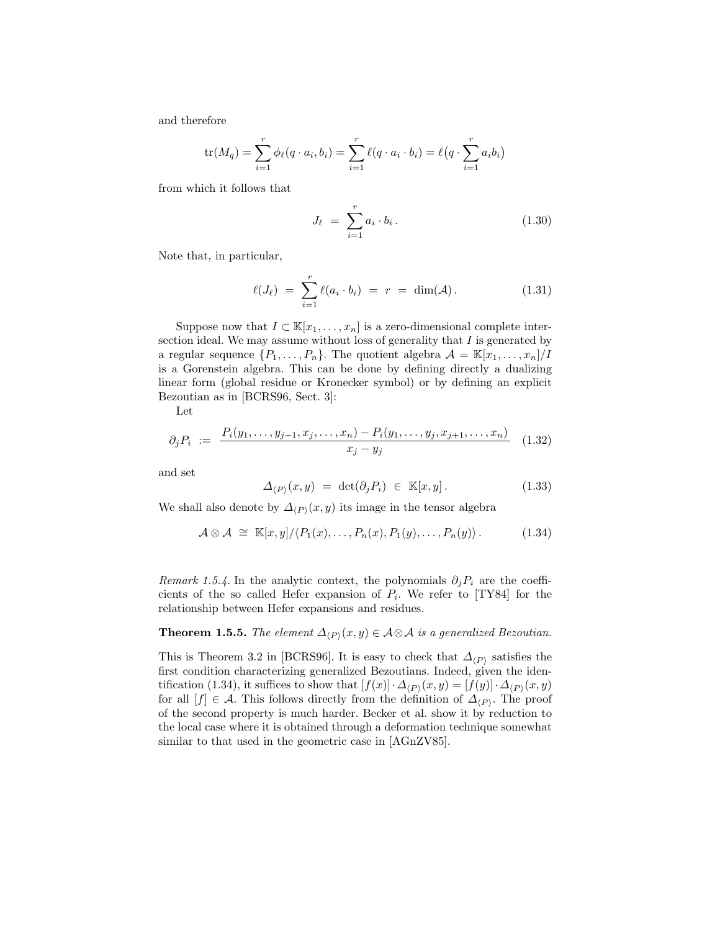and therefore

$$
\text{tr}(M_q) = \sum_{i=1}^r \phi_\ell(q \cdot a_i, b_i) = \sum_{i=1}^r \ell(q \cdot a_i \cdot b_i) = \ell(q \cdot \sum_{i=1}^r a_i b_i)
$$

from which it follows that

$$
J_{\ell} = \sum_{i=1}^{r} a_i \cdot b_i.
$$
 (1.30)

Note that, in particular,

$$
\ell(J_{\ell}) = \sum_{i=1}^{r} \ell(a_i \cdot b_i) = r = \dim(\mathcal{A}). \qquad (1.31)
$$

Suppose now that  $I \subset \mathbb{K}[x_1,\ldots,x_n]$  is a zero-dimensional complete intersection ideal. We may assume without loss of generality that  $I$  is generated by a regular sequence  $\{P_1, \ldots, P_n\}$ . The quotient algebra  $\mathcal{A} = \mathbb{K}[x_1, \ldots, x_n]/I$ is a Gorenstein algebra. This can be done by defining directly a dualizing linear form (global residue or Kronecker symbol) or by defining an explicit Bezoutian as in [BCRS96, Sect. 3]:

Let

$$
\partial_j P_i := \frac{P_i(y_1, \dots, y_{j-1}, x_j, \dots, x_n) - P_i(y_1, \dots, y_j, x_{j+1}, \dots, x_n)}{x_j - y_j} \tag{1.32}
$$

and set

$$
\Delta_{\langle P \rangle}(x, y) = \det(\partial_j P_i) \in \mathbb{K}[x, y]. \tag{1.33}
$$

We shall also denote by  $\Delta_{\langle P \rangle}(x, y)$  its image in the tensor algebra

$$
\mathcal{A}\otimes\mathcal{A} \cong \mathbb{K}[x,y]/\langle P_1(x),\ldots,P_n(x),P_1(y),\ldots,P_n(y)\rangle. \tag{1.34}
$$

Remark 1.5.4. In the analytic context, the polynomials  $\partial_j P_i$  are the coefficients of the so called Hefer expansion of  $P_i$ . We refer to [TY84] for the relationship between Hefer expansions and residues.

**Theorem 1.5.5.** The element  $\Delta_{\langle P \rangle}(x, y) \in A \otimes A$  is a generalized Bezoutian.

This is Theorem 3.2 in [BCRS96]. It is easy to check that  $\Delta_{\langle P \rangle}$  satisfies the first condition characterizing generalized Bezoutians. Indeed, given the identification (1.34), it suffices to show that  $[f(x)] \cdot \Delta_{\langle P \rangle}(x, y) = [f(y)] \cdot \Delta_{\langle P \rangle}(x, y)$ for all  $[f] \in \mathcal{A}$ . This follows directly from the definition of  $\Delta_{(P)}$ . The proof of the second property is much harder. Becker et al. show it by reduction to the local case where it is obtained through a deformation technique somewhat similar to that used in the geometric case in [AGnZV85].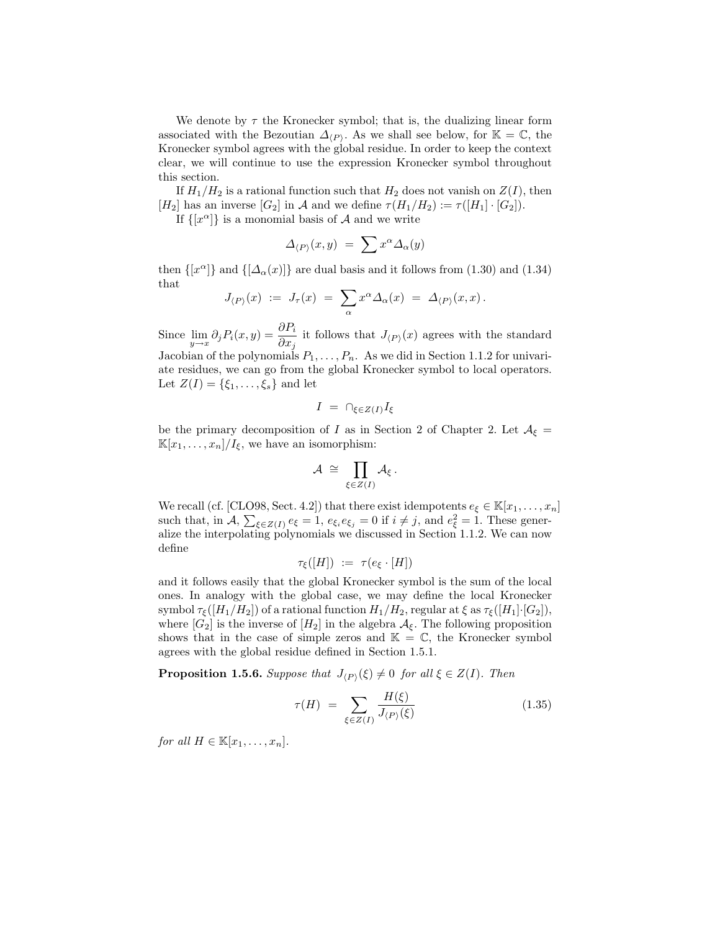We denote by  $\tau$  the Kronecker symbol; that is, the dualizing linear form associated with the Bezoutian  $\Delta_{(P)}$ . As we shall see below, for K = C, the Kronecker symbol agrees with the global residue. In order to keep the context clear, we will continue to use the expression Kronecker symbol throughout this section.

If  $H_1/H_2$  is a rational function such that  $H_2$  does not vanish on  $Z(I)$ , then [H<sub>2</sub>] has an inverse [G<sub>2</sub>] in A and we define  $\tau(H_1/H_2) := \tau([H_1] \cdot [G_2])$ .

If  $\{x^{\alpha}\}\$ is a monomial basis of A and we write

$$
\Delta_{\langle P\rangle}(x,y) \;=\; \sum x^\alpha \Delta_\alpha(y)
$$

then  $\{ [x^{\alpha}] \}$  and  $\{ [\Delta_{\alpha}(x)] \}$  are dual basis and it follows from (1.30) and (1.34) that

$$
J_{\langle P \rangle}(x) \; := \; J_{\tau}(x) \; = \; \sum_{\alpha} x^{\alpha} \Delta_{\alpha}(x) \; = \; \Delta_{\langle P \rangle}(x,x) \, .
$$

Since  $\lim_{y\to x} \partial_j P_i(x, y) = \frac{\partial P_i}{\partial x_j}$  it follows that  $J_{\langle P \rangle}(x)$  agrees with the standard Jacobian of the polynomials  $P_1, \ldots, P_n$ . As we did in Section 1.1.2 for univariate residues, we can go from the global Kronecker symbol to local operators. Let  $Z(I) = \{\xi_1, \ldots, \xi_s\}$  and let

$$
I = \bigcap_{\xi \in Z(I)} I_{\xi}
$$

be the primary decomposition of I as in Section 2 of Chapter 2. Let  $A_{\xi} =$  $\mathbb{K}[x_1,\ldots,x_n]/I_{\xi}$ , we have an isomorphism:

$$
\mathcal{A} \;\cong\; \prod_{\xi\in Z(I)}\mathcal{A}_\xi\,.
$$

We recall (cf. [CLO98, Sect. 4.2]) that there exist idempotents  $e_{\xi} \in \mathbb{K}[x_1, \ldots, x_n]$ such that, in  $\mathcal{A}, \sum_{\xi \in Z(I)} e_{\xi} = 1$ ,  $e_{\xi_i} e_{\xi_j} = 0$  if  $i \neq j$ , and  $e_{\xi}^2 = 1$ . These generalize the interpolating polynomials we discussed in Section 1.1.2. We can now define

$$
\tau_{\xi}([H]) := \tau(e_{\xi} \cdot [H])
$$

and it follows easily that the global Kronecker symbol is the sum of the local ones. In analogy with the global case, we may define the local Kronecker symbol  $\tau_{\xi}([H_1/H_2])$  of a rational function  $H_1/H_2$ , regular at  $\xi$  as  $\tau_{\xi}([H_1]\cdot [G_2])$ , where  $[G_2]$  is the inverse of  $[H_2]$  in the algebra  $\mathcal{A}_{\xi}$ . The following proposition shows that in the case of simple zeros and  $\mathbb{K} = \mathbb{C}$ , the Kronecker symbol agrees with the global residue defined in Section 1.5.1.

**Proposition 1.5.6.** Suppose that  $J_{(P)}(\xi) \neq 0$  for all  $\xi \in Z(I)$ . Then

$$
\tau(H) = \sum_{\xi \in Z(I)} \frac{H(\xi)}{J_{(P)}(\xi)} \tag{1.35}
$$

for all  $H \in \mathbb{K}[x_1,\ldots,x_n].$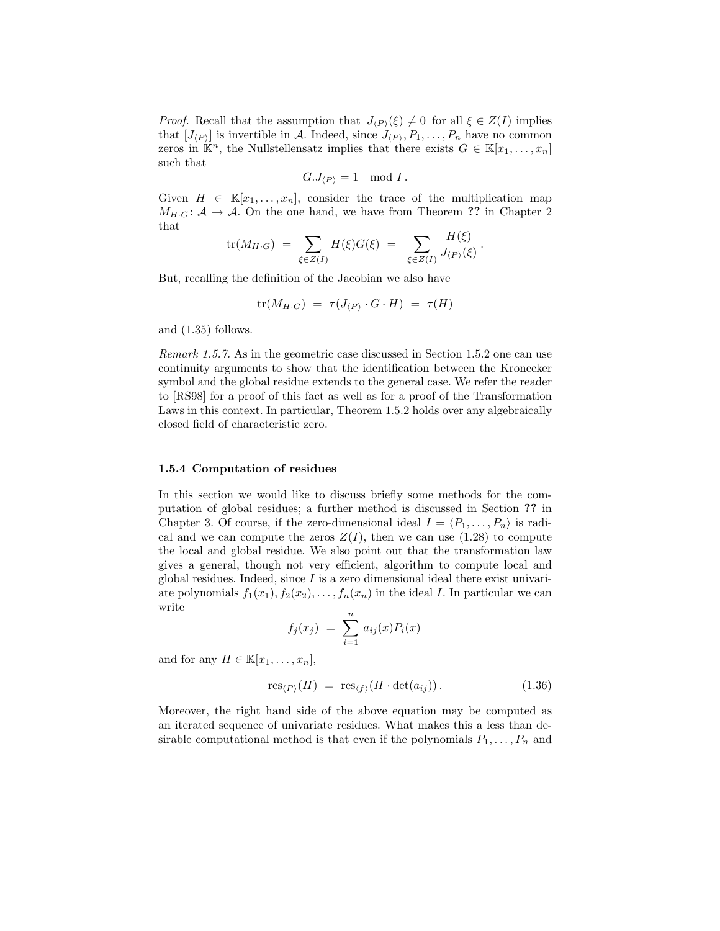*Proof.* Recall that the assumption that  $J_{\langle P \rangle}(\xi) \neq 0$  for all  $\xi \in Z(I)$  implies that  $[J_{(P)}]$  is invertible in A. Indeed, since  $J_{(P)}, P_1, \ldots, P_n$  have no common zeros in  $\mathbb{K}^n$ , the Nullstellensatz implies that there exists  $G \in \mathbb{K}[x_1,\ldots,x_n]$ such that

$$
G.J_{\langle P\rangle}=1\mod I\,.
$$

Given  $H \in \mathbb{K}[x_1,\ldots,x_n]$ , consider the trace of the multiplication map  $M_{H \cdot G}: A \to A$ . On the one hand, we have from Theorem ?? in Chapter 2 that  $\pm$  +  $\pm$  +  $\pm$ 

$$
\text{tr}(M_{H\cdot G}) \;=\; \sum_{\xi\in Z(I)} H(\xi) G(\xi) \;=\; \; \sum_{\xi\in Z(I)} \frac{H(\xi)}{J_{\langle P\rangle}(\xi)}\,.
$$

But, recalling the definition of the Jacobian we also have

$$
\operatorname{tr}(M_{H\cdot G}) \,\,=\,\, \tau(J_{\langle P \rangle} \cdot G \cdot H) \,\,=\,\, \tau(H)
$$

and (1.35) follows.

Remark 1.5.7. As in the geometric case discussed in Section 1.5.2 one can use continuity arguments to show that the identification between the Kronecker symbol and the global residue extends to the general case. We refer the reader to [RS98] for a proof of this fact as well as for a proof of the Transformation Laws in this context. In particular, Theorem 1.5.2 holds over any algebraically closed field of characteristic zero.

## 1.5.4 Computation of residues

In this section we would like to discuss briefly some methods for the computation of global residues; a further method is discussed in Section ?? in Chapter 3. Of course, if the zero-dimensional ideal  $I = \langle P_1, \ldots, P_n \rangle$  is radical and we can compute the zeros  $Z(I)$ , then we can use  $(1.28)$  to compute the local and global residue. We also point out that the transformation law gives a general, though not very efficient, algorithm to compute local and global residues. Indeed, since  $I$  is a zero dimensional ideal there exist univariate polynomials  $f_1(x_1), f_2(x_2), \ldots, f_n(x_n)$  in the ideal I. In particular we can write

$$
f_j(x_j) \ = \ \sum_{i=1}^n \, a_{ij}(x) P_i(x)
$$

and for any  $H \in \mathbb{K}[x_1,\ldots,x_n],$ 

$$
res_{\langle P \rangle}(H) = res_{\langle f \rangle}(H \cdot det(a_{ij})). \qquad (1.36)
$$

Moreover, the right hand side of the above equation may be computed as an iterated sequence of univariate residues. What makes this a less than desirable computational method is that even if the polynomials  $P_1, \ldots, P_n$  and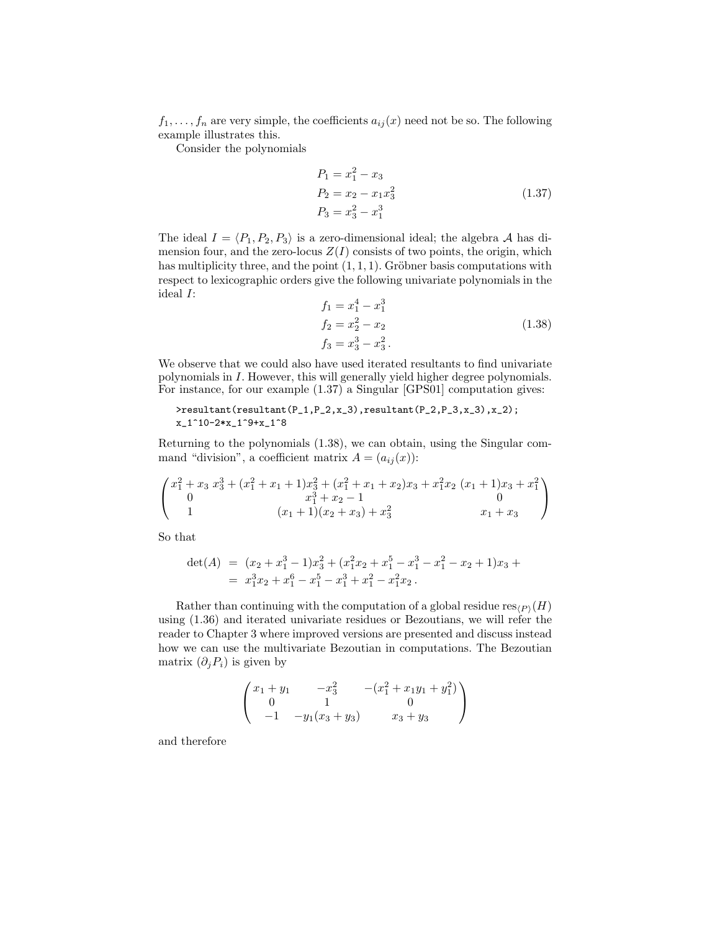$f_1, \ldots, f_n$  are very simple, the coefficients  $a_{ij}(x)$  need not be so. The following example illustrates this.

Consider the polynomials

$$
P_1 = x_1^2 - x_3
$$
  
\n
$$
P_2 = x_2 - x_1 x_3^2
$$
  
\n
$$
P_3 = x_3^2 - x_1^3
$$
\n(1.37)

The ideal  $I = \langle P_1, P_2, P_3 \rangle$  is a zero-dimensional ideal; the algebra A has dimension four, and the zero-locus  $Z(I)$  consists of two points, the origin, which has multiplicity three, and the point  $(1, 1, 1)$ . Gröbner basis computations with respect to lexicographic orders give the following univariate polynomials in the ideal I: 4 3

$$
f_1 = x_1^4 - x_1^3
$$
  
\n
$$
f_2 = x_2^2 - x_2
$$
  
\n
$$
f_3 = x_3^3 - x_3^2.
$$
\n(1.38)

We observe that we could also have used iterated resultants to find univariate polynomials in I. However, this will generally yield higher degree polynomials. For instance, for our example (1.37) a Singular [GPS01] computation gives:

$$
\\ \verb|\resultant(resultant(P_1, P_2, x_3), resultant(P_2, P_3, x_3), x_2); \\ x_1^10-2*x_1^9+x_1^8
$$

Returning to the polynomials (1.38), we can obtain, using the Singular command "division", a coefficient matrix  $A = (a_{ij}(x))$ :

$$
\begin{pmatrix} x_1^2 + x_3 x_3^3 + (x_1^2 + x_1 + 1)x_3^2 + (x_1^2 + x_1 + x_2)x_3 + x_1^2x_2 (x_1 + 1)x_3 + x_1^2\\ 0 & x_1^3 + x_2 - 1 & 0\\ 1 & (x_1 + 1)(x_2 + x_3) + x_3^2 & x_1 + x_3 \end{pmatrix}
$$

So that

$$
det(A) = (x_2 + x_1^3 - 1)x_3^2 + (x_1^2x_2 + x_1^5 - x_1^3 - x_1^2 - x_2 + 1)x_3 +
$$
  
=  $x_1^3x_2 + x_1^6 - x_1^5 - x_1^3 + x_1^2 - x_1^2x_2.$ 

Rather than continuing with the computation of a global residue  $res_{(P)}(H)$ using (1.36) and iterated univariate residues or Bezoutians, we will refer the reader to Chapter 3 where improved versions are presented and discuss instead how we can use the multivariate Bezoutian in computations. The Bezoutian matrix  $(\partial_j P_i)$  is given by

$$
\begin{pmatrix} x_1 + y_1 & -x_3^2 & -(x_1^2 + x_1y_1 + y_1^2) \\ 0 & 1 & 0 \\ -1 & -y_1(x_3 + y_3) & x_3 + y_3 \end{pmatrix}
$$

and therefore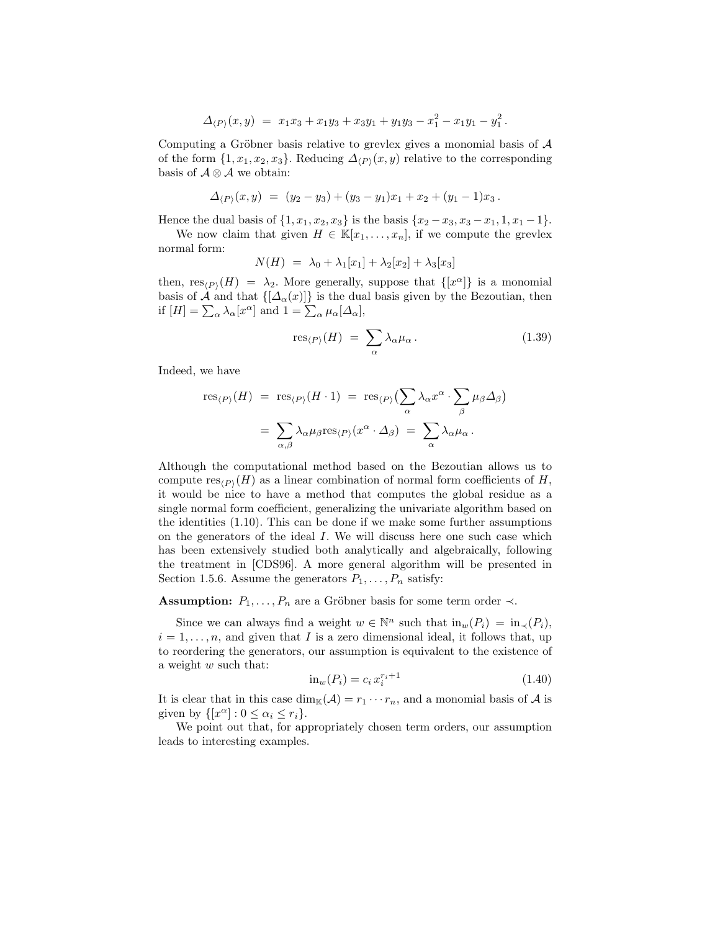$$
\Delta_{\langle P\rangle}(x,y) \;=\; x_1x_3 + x_1y_3 + x_3y_1 + y_1y_3 - x_1^2 - x_1y_1 - y_1^2\,.
$$

Computing a Gröbner basis relative to grevlex gives a monomial basis of  $A$ of the form  $\{1, x_1, x_2, x_3\}$ . Reducing  $\Delta_{(P)}(x, y)$  relative to the corresponding basis of  $\mathcal{A} \otimes \mathcal{A}$  we obtain:

$$
\Delta_{(P)}(x,y) = (y_2 - y_3) + (y_3 - y_1)x_1 + x_2 + (y_1 - 1)x_3.
$$

Hence the dual basis of  $\{1, x_1, x_2, x_3\}$  is the basis  $\{x_2 - x_3, x_3 - x_1, 1, x_1 - 1\}.$ 

We now claim that given  $H \in \mathbb{K}[x_1,\ldots,x_n]$ , if we compute the grevlex normal form:

$$
N(H) = \lambda_0 + \lambda_1[x_1] + \lambda_2[x_2] + \lambda_3[x_3]
$$

then,  $res_{(P)}(H) = \lambda_2$ . More generally, suppose that  $\{ [x^{\alpha}] \}$  is a monomial basis of  $\mathcal{A}$  and that  $\{\big|\Delta_{\alpha}(x)\big|\}$  is the dual basis given by the Bezoutian, then if  $[H] = \sum_{\alpha} \lambda_{\alpha} [x^{\alpha}]$  and  $1 = \sum_{\alpha} \mu_{\alpha} [\Delta_{\alpha}],$ 

$$
\operatorname{res}_{\langle P\rangle}(H) \;=\; \sum_{\alpha} \lambda_{\alpha} \mu_{\alpha} \,. \tag{1.39}
$$

Indeed, we have

$$
\text{res}_{\langle P \rangle}(H) = \text{res}_{\langle P \rangle}(H \cdot 1) = \text{res}_{\langle P \rangle} \left( \sum_{\alpha} \lambda_{\alpha} x^{\alpha} \cdot \sum_{\beta} \mu_{\beta} \Delta_{\beta} \right)
$$

$$
= \sum_{\alpha, \beta} \lambda_{\alpha} \mu_{\beta} \text{res}_{\langle P \rangle}(x^{\alpha} \cdot \Delta_{\beta}) = \sum_{\alpha} \lambda_{\alpha} \mu_{\alpha}.
$$

Although the computational method based on the Bezoutian allows us to compute  $res_{(P)}(H)$  as a linear combination of normal form coefficients of H, it would be nice to have a method that computes the global residue as a single normal form coefficient, generalizing the univariate algorithm based on the identities (1.10). This can be done if we make some further assumptions on the generators of the ideal I. We will discuss here one such case which has been extensively studied both analytically and algebraically, following the treatment in [CDS96]. A more general algorithm will be presented in Section 1.5.6. Assume the generators  $P_1, \ldots, P_n$  satisfy:

**Assumption:**  $P_1, \ldots, P_n$  are a Gröbner basis for some term order  $\prec$ .

Since we can always find a weight  $w \in \mathbb{N}^n$  such that  $\text{in}_w(P_i) = \text{in}_\prec(P_i)$ ,  $i = 1, \ldots, n$ , and given that I is a zero dimensional ideal, it follows that, up to reordering the generators, our assumption is equivalent to the existence of a weight w such that:

$$
\text{in}_{w}(P_i) = c_i x_i^{r_i + 1} \tag{1.40}
$$

It is clear that in this case  $\dim_{\mathbb{K}}(\mathcal{A}) = r_1 \cdots r_n$ , and a monomial basis of A is given by  $\{ [x^{\alpha}] : 0 \leq \alpha_i \leq r_i \}.$ 

We point out that, for appropriately chosen term orders, our assumption leads to interesting examples.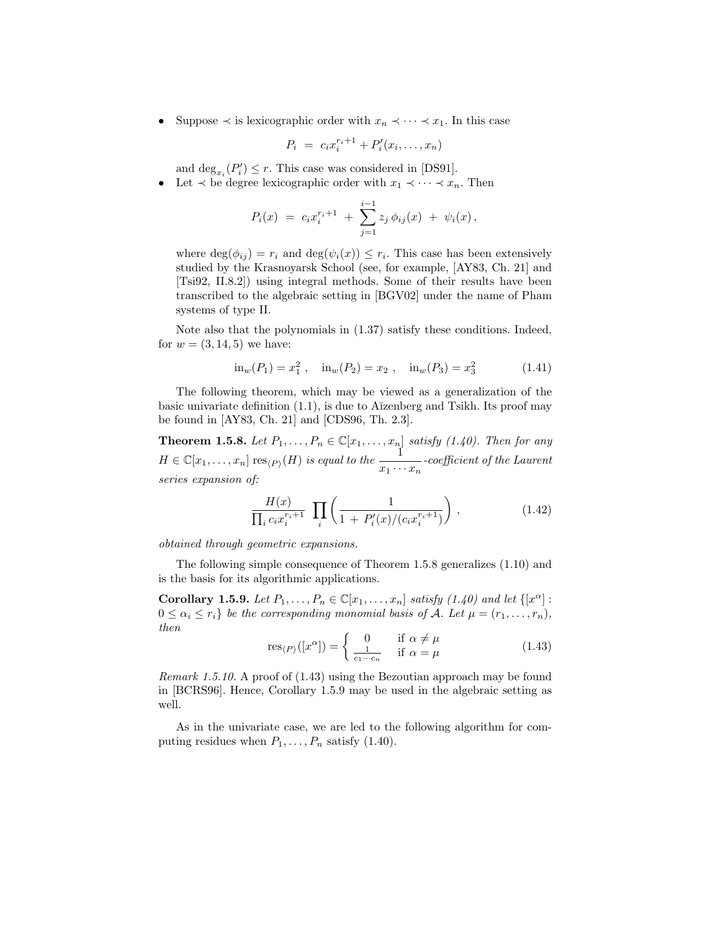• Suppose  $\prec$  is lexicographic order with  $x_n \prec \cdots \prec x_1$ . In this case

$$
P_i = c_i x_i^{r_i+1} + P'_i(x_i, \ldots, x_n)
$$

and  $\deg_{x_i}(P'_i) \leq r$ . This case was considered in [DS91].

Let  $\prec$  be degree lexicographic order with  $x_1 \prec \cdots \prec x_n$ . Then

$$
P_i(x) = c_i x_i^{r_i+1} + \sum_{j=1}^{i-1} z_j \phi_{ij}(x) + \psi_i(x),
$$

where  $\deg(\phi_{ij}) = r_i$  and  $\deg(\psi_i(x)) \leq r_i$ . This case has been extensively studied by the Krasnoyarsk School (see, for example, [AY83, Ch. 21] and [Tsi92, II.8.2]) using integral methods. Some of their results have been transcribed to the algebraic setting in [BGV02] under the name of Pham systems of type II.

Note also that the polynomials in (1.37) satisfy these conditions. Indeed, for  $w = (3, 14, 5)$  we have:

$$
\text{in}_{w}(P_1) = x_1^2 \ , \quad \text{in}_{w}(P_2) = x_2 \ , \quad \text{in}_{w}(P_3) = x_3^2 \tag{1.41}
$$

The following theorem, which may be viewed as a generalization of the basic univariate definition  $(1.1)$ , is due to A $\tilde{i}$ zenberg and Tsikh. Its proof may be found in [AY83, Ch. 21] and [CDS96, Th. 2.3].

**Theorem 1.5.8.** Let  $P_1, \ldots, P_n \in \mathbb{C}[x_1, \ldots, x_n]$  satisfy (1.40). Then for any  $H \in \mathbb{C}[x_1,\ldots,x_n]$  res $\langle P \rangle(H)$  is equal to the  $\frac{1}{x_1 \cdots x_n}$ -coefficient of the Laurent series expansion of:

$$
\frac{H(x)}{\prod_i c_i x_i^{r_i+1}} \prod_i \left( \frac{1}{1 + P'_i(x)/(c_i x_i^{r_i+1})} \right), \qquad (1.42)
$$

obtained through geometric expansions.

The following simple consequence of Theorem 1.5.8 generalizes (1.10) and is the basis for its algorithmic applications.

Corollary 1.5.9. Let  $P_1, \ldots, P_n \in \mathbb{C}[x_1, \ldots, x_n]$  satisfy  $(1.40)$  and let  $\{[x^\alpha] :$  $0 \leq \alpha_i \leq r_i$  be the corresponding monomial basis of A. Let  $\mu = (r_1, \ldots, r_n)$ , then

$$
res_{\langle P \rangle}([x^{\alpha}]) = \begin{cases} 0 & \text{if } \alpha \neq \mu \\ \frac{1}{c_1 \cdots c_n} & \text{if } \alpha = \mu \end{cases}
$$
 (1.43)

Remark 1.5.10. A proof of (1.43) using the Bezoutian approach may be found in [BCRS96]. Hence, Corollary 1.5.9 may be used in the algebraic setting as well.

As in the univariate case, we are led to the following algorithm for computing residues when  $P_1, \ldots, P_n$  satisfy (1.40).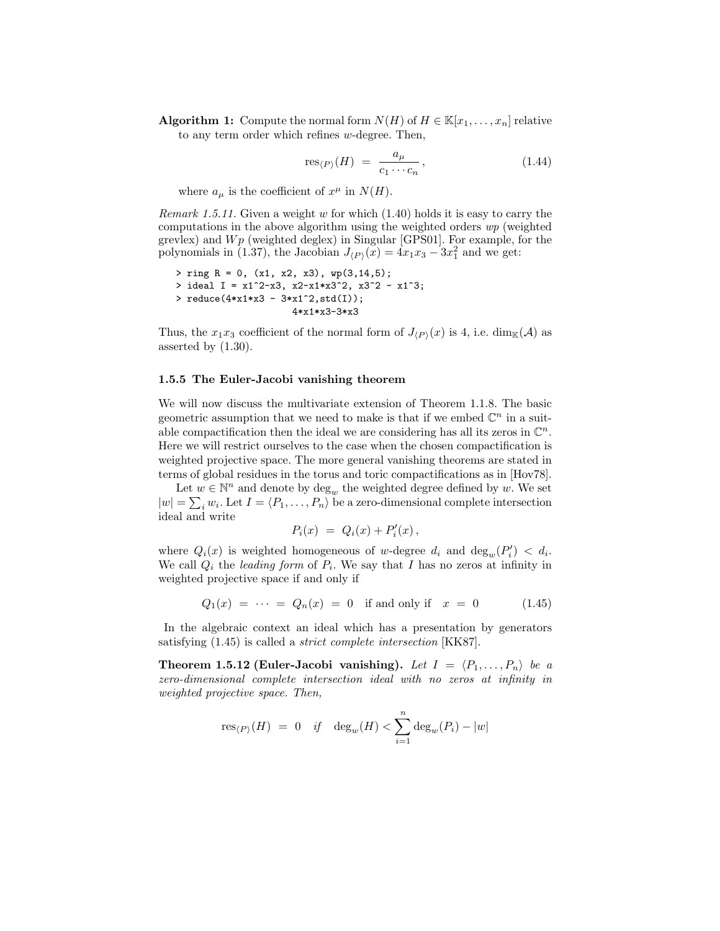**Algorithm 1:** Compute the normal form  $N(H)$  of  $H \in \mathbb{K}[x_1, \ldots, x_n]$  relative to any term order which refines w-degree. Then,

$$
res_{\langle P \rangle}(H) = \frac{a_{\mu}}{c_1 \cdots c_n}, \qquad (1.44)
$$

where  $a_{\mu}$  is the coefficient of  $x^{\mu}$  in  $N(H)$ .

Remark 1.5.11. Given a weight w for which  $(1.40)$  holds it is easy to carry the computations in the above algorithm using the weighted orders wp (weighted grevlex) and  $Wp$  (weighted deglex) in Singular [GPS01]. For example, for the polynomials in (1.37), the Jacobian  $J_{\langle P \rangle}(x) = 4x_1x_3 - 3x_1^2$  and we get:

```
> ring R = 0, (x1, x2, x3), wp(3,14,5);
> ideal I = x1^2-x3, x2-x1*x3^2, x3^2 - x1^3;
> reduce(4*x1*x3 - 3*x1^2,std(I));
                     4*x1*x3-3*x3
```
Thus, the  $x_1x_3$  coefficient of the normal form of  $J_{(P)}(x)$  is 4, i.e. dim<sub>K</sub>(A) as asserted by (1.30).

### 1.5.5 The Euler-Jacobi vanishing theorem

We will now discuss the multivariate extension of Theorem 1.1.8. The basic geometric assumption that we need to make is that if we embed  $\mathbb{C}^n$  in a suitable compactification then the ideal we are considering has all its zeros in  $\mathbb{C}^n$ . Here we will restrict ourselves to the case when the chosen compactification is weighted projective space. The more general vanishing theorems are stated in terms of global residues in the torus and toric compactifications as in [Hov78].

Let  $w \in \mathbb{N}^n$  and denote by  $\deg_w$  the weighted degree defined by w. We set  $|w| = \sum_i w_i$ . Let  $I = \langle P_1, \ldots, P_n \rangle$  be a zero-dimensional complete intersection ideal and write

$$
P_i(x) = Q_i(x) + P'_i(x),
$$

where  $Q_i(x)$  is weighted homogeneous of w-degree  $d_i$  and  $\deg_w(P'_i) < d_i$ . We call  $Q_i$  the *leading form* of  $P_i$ . We say that I has no zeros at infinity in weighted projective space if and only if

$$
Q_1(x) = \cdots = Q_n(x) = 0 \text{ if and only if } x = 0 \tag{1.45}
$$

In the algebraic context an ideal which has a presentation by generators satisfying (1.45) is called a strict complete intersection [KK87].

**Theorem 1.5.12 (Euler-Jacobi vanishing).** Let  $I = \langle P_1, \ldots, P_n \rangle$  be a zero-dimensional complete intersection ideal with no zeros at infinity in weighted projective space. Then,

$$
res_{\langle P\rangle}(H) = 0 \quad \text{if} \quad deg_w(H) < \sum_{i=1}^n deg_w(P_i) - |w|
$$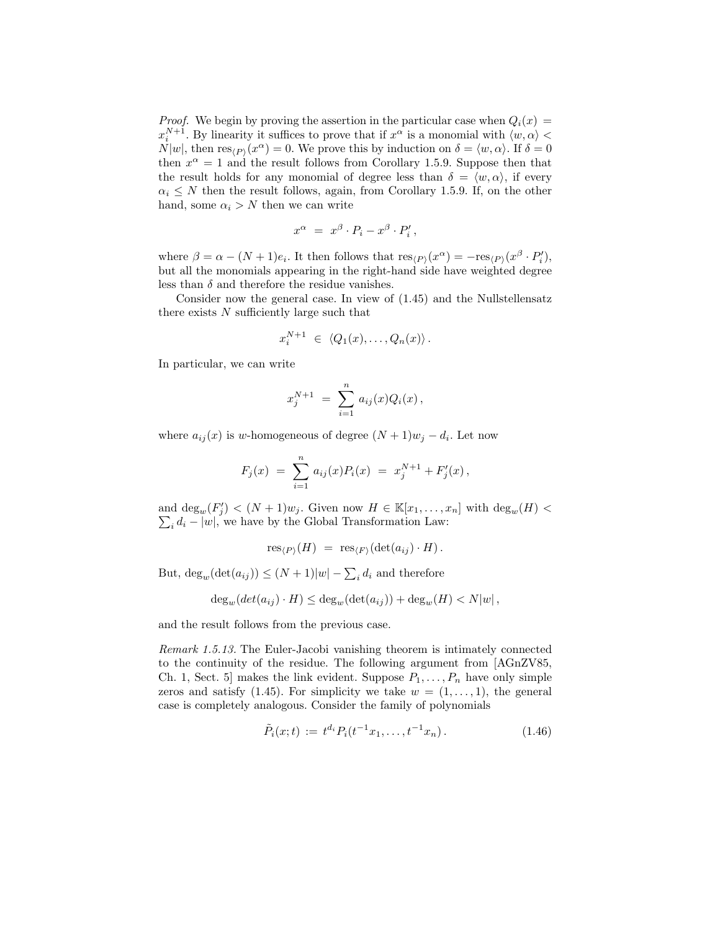*Proof.* We begin by proving the assertion in the particular case when  $Q_i(x)$  =  $x_i^{N+1}$ . By linearity it suffices to prove that if  $x^{\alpha}$  is a monomial with  $\langle w, \alpha \rangle$  <  $N|w|$ , then  $res_{\langle P \rangle}(x^{\alpha}) = 0$ . We prove this by induction on  $\delta = \langle w, \alpha \rangle$ . If  $\delta = 0$ then  $x^{\alpha} = 1$  and the result follows from Corollary 1.5.9. Suppose then that the result holds for any monomial of degree less than  $\delta = \langle w, \alpha \rangle$ , if every  $\alpha_i \leq N$  then the result follows, again, from Corollary 1.5.9. If, on the other hand, some  $\alpha_i > N$  then we can write

$$
x^{\alpha} = x^{\beta} \cdot P_i - x^{\beta} \cdot P'_i,
$$

where  $\beta = \alpha - (N + 1)e_i$ . It then follows that  $res_{\langle P \rangle}(x^{\alpha}) = -res_{\langle P \rangle}(x^{\beta} \cdot P'_i)$ , but all the monomials appearing in the right-hand side have weighted degree less than  $\delta$  and therefore the residue vanishes.

Consider now the general case. In view of (1.45) and the Nullstellensatz there exists  $N$  sufficiently large such that

$$
x_i^{N+1} \ \in \ \langle Q_1(x), \ldots, Q_n(x) \rangle \, .
$$

In particular, we can write

$$
x_j^{N+1} = \sum_{i=1}^n a_{ij}(x) Q_i(x),
$$

where  $a_{ij}(x)$  is w-homogeneous of degree  $(N+1)w_j - d_i$ . Let now

$$
F_j(x) = \sum_{i=1}^n a_{ij}(x) P_i(x) = x_j^{N+1} + F'_j(x),
$$

and  $\deg_w(F'_j) < (N+1)w_j$ . Given now  $H \in \mathbb{K}[x_1,\ldots,x_n]$  with  $\deg_w(H)$  $\sum_i d_i - |w|$ , we have by the Global Transformation Law:

$$
\operatorname{res}_{\langle P\rangle}(H) \,\,=\,\, \operatorname{res}_{\langle F\rangle}(\det(a_{ij})\cdot H)\,.
$$

But,  $\deg_w(\det(a_{ij})) \le (N+1)|w| - \sum_i d_i$  and therefore

$$
\deg_w(det(a_{ij}) \cdot H) \le \deg_w(\det(a_{ij})) + \deg_w(H) < N|w|,
$$

and the result follows from the previous case.

Remark 1.5.13. The Euler-Jacobi vanishing theorem is intimately connected to the continuity of the residue. The following argument from [AGnZV85, Ch. 1, Sect. 5] makes the link evident. Suppose  $P_1, \ldots, P_n$  have only simple zeros and satisfy (1.45). For simplicity we take  $w = (1, \ldots, 1)$ , the general case is completely analogous. Consider the family of polynomials

$$
\tilde{P}_i(x;t) := t^{d_i} P_i(t^{-1}x_1, \dots, t^{-1}x_n).
$$
\n(1.46)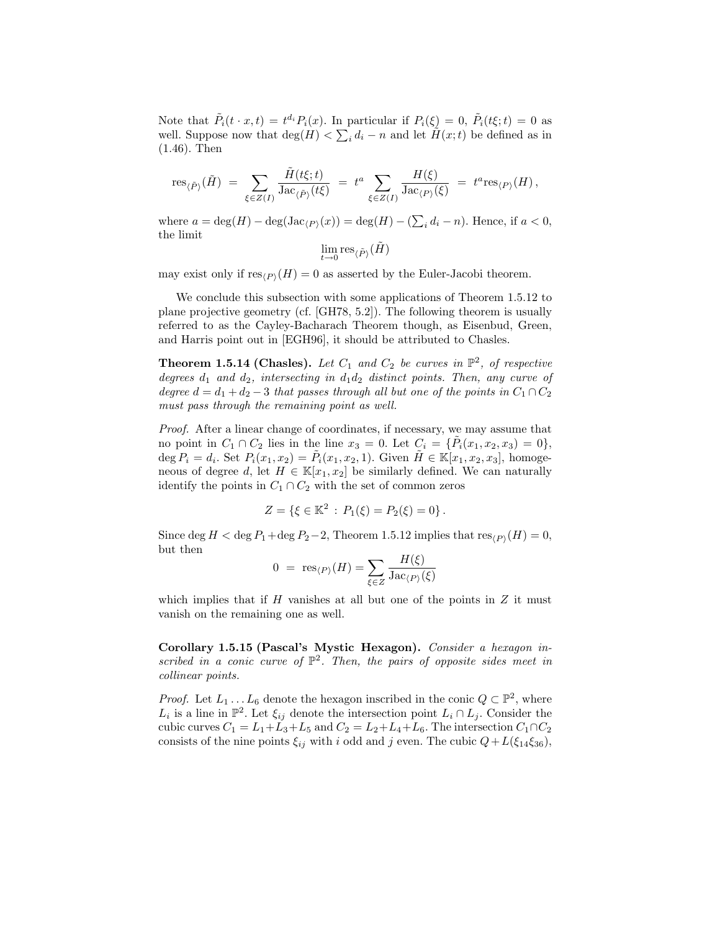Note that  $\tilde{P}_i(t \cdot x,t) = t^{d_i} P_i(x)$ . In particular if  $P_i(\xi) = 0$ ,  $\tilde{P}_i(t\xi;t) = 0$  as well. Suppose now that  $\deg(H) < \sum_i d_i - n$  and let  $H(x; t)$  be defined as in (1.46). Then

$$
\mathrm{res}_{\langle \tilde{P}\rangle}(\tilde{H})\;=\;\sum_{\xi\in Z(I)}\frac{\tilde{H}(t\xi;t)}{\mathrm{Jac}_{\langle \tilde{P}\rangle}(t\xi)}\;=\;t^a\,\sum_{\xi\in Z(I)}\frac{H(\xi)}{\mathrm{Jac}_{\langle P\rangle}(\xi)}\;=\;t^a\mathrm{res}_{\langle P\rangle}(H)\,,
$$

where  $a = \deg(H) - \deg(\operatorname{Jac}_{\langle P \rangle}(x)) = \deg(H) - (\sum_i d_i - n)$ . Hence, if  $a < 0$ , the limit

$$
\lim_{t\to 0} {\rm res}_{\langle \tilde P\rangle}(\tilde H)
$$

may exist only if  $res_{(P)}(H) = 0$  as asserted by the Euler-Jacobi theorem.

We conclude this subsection with some applications of Theorem 1.5.12 to plane projective geometry (cf. [GH78, 5.2]). The following theorem is usually referred to as the Cayley-Bacharach Theorem though, as Eisenbud, Green, and Harris point out in [EGH96], it should be attributed to Chasles.

**Theorem 1.5.14 (Chasles).** Let  $C_1$  and  $C_2$  be curves in  $\mathbb{P}^2$ , of respective degrees  $d_1$  and  $d_2$ , intersecting in  $d_1d_2$  distinct points. Then, any curve of degree  $d = d_1 + d_2 - 3$  that passes through all but one of the points in  $C_1 \cap C_2$ must pass through the remaining point as well.

Proof. After a linear change of coordinates, if necessary, we may assume that no point in  $C_1 \cap C_2$  lies in the line  $x_3 = 0$ . Let  $C_i = {\tilde{P}_i(x_1, x_2, x_3) = 0}$ , deg  $P_i = d_i$ . Set  $P_i(x_1, x_2) = \tilde{P}_i(x_1, x_2, 1)$ . Given  $\tilde{H} \in \mathbb{K}[x_1, x_2, x_3]$ , homogeneous of degree d, let  $H \in \mathbb{K}[x_1, x_2]$  be similarly defined. We can naturally identify the points in  $C_1 \cap C_2$  with the set of common zeros

$$
Z = \{ \xi \in \mathbb{K}^2 \, : \, P_1(\xi) = P_2(\xi) = 0 \} \, .
$$

Since deg  $H <$  deg  $P_1$  + deg  $P_2$  – 2, Theorem 1.5.12 implies that  $res_{(P)}(H) = 0$ , but then

$$
0 = \operatorname{res}_{\langle P \rangle}(H) = \sum_{\xi \in Z} \frac{H(\xi)}{\operatorname{Jac}_{\langle P \rangle}(\xi)}
$$

which implies that if  $H$  vanishes at all but one of the points in  $Z$  it must vanish on the remaining one as well.

Corollary 1.5.15 (Pascal's Mystic Hexagon). Consider a hexagon inscribed in a conic curve of  $\mathbb{P}^2$ . Then, the pairs of opposite sides meet in collinear points.

*Proof.* Let  $L_1 \dots L_6$  denote the hexagon inscribed in the conic  $Q \subset \mathbb{P}^2$ , where  $L_i$  is a line in  $\mathbb{P}^2$ . Let  $\xi_{ij}$  denote the intersection point  $L_i \cap L_j$ . Consider the cubic curves  $C_1 = L_1 + L_3 + L_5$  and  $C_2 = L_2 + L_4 + L_6$ . The intersection  $C_1 \cap C_2$ consists of the nine points  $\xi_{ij}$  with i odd and j even. The cubic  $Q + L(\xi_{14}\xi_{36})$ ,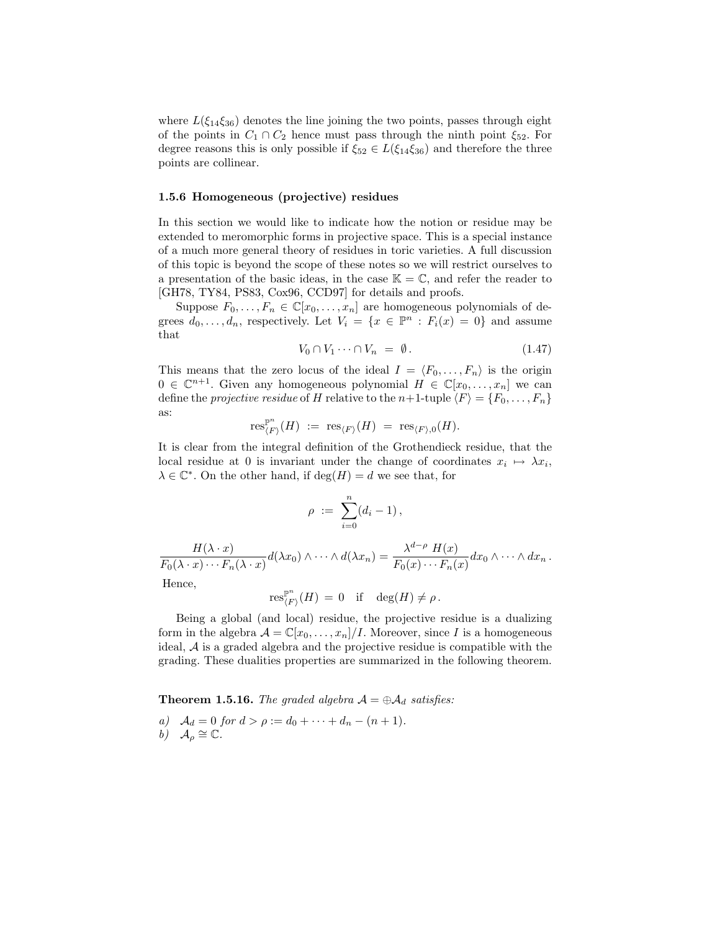where  $L(\xi_{14}\xi_{36})$  denotes the line joining the two points, passes through eight of the points in  $C_1 \cap C_2$  hence must pass through the ninth point  $\xi_{52}$ . For degree reasons this is only possible if  $\xi_{52} \in L(\xi_{14}\xi_{36})$  and therefore the three points are collinear.

#### 1.5.6 Homogeneous (projective) residues

In this section we would like to indicate how the notion or residue may be extended to meromorphic forms in projective space. This is a special instance of a much more general theory of residues in toric varieties. A full discussion of this topic is beyond the scope of these notes so we will restrict ourselves to a presentation of the basic ideas, in the case  $\mathbb{K} = \mathbb{C}$ , and refer the reader to [GH78, TY84, PS83, Cox96, CCD97] for details and proofs.

Suppose  $F_0, \ldots, F_n \in \mathbb{C}[x_0, \ldots, x_n]$  are homogeneous polynomials of degrees  $d_0, \ldots, d_n$ , respectively. Let  $V_i = \{x \in \mathbb{P}^n : F_i(x) = 0\}$  and assume that

$$
V_0 \cap V_1 \cdots \cap V_n = \emptyset. \tag{1.47}
$$

This means that the zero locus of the ideal  $I = \langle F_0, \ldots, F_n \rangle$  is the origin  $0 \in \mathbb{C}^{n+1}$ . Given any homogeneous polynomial  $H \in \mathbb{C}[x_0, \ldots, x_n]$  we can define the projective residue of H relative to the n+1-tuple  $\langle F \rangle = \{F_0, \ldots, F_n\}$ as:

$$
\textup{res}_{\langle F \rangle}^{\mathbb{P}^n}(H) \ := \ \textup{res}_{\langle F \rangle}(H) \ = \ \textup{res}_{\langle F \rangle,0}(H).
$$

It is clear from the integral definition of the Grothendieck residue, that the local residue at 0 is invariant under the change of coordinates  $x_i \mapsto \lambda x_i$ ,  $\lambda \in \mathbb{C}^*$ . On the other hand, if  $\deg(H) = d$  we see that, for

$$
\rho \ := \ \sum_{i=0}^n (d_i - 1) \, ,
$$

 $H(\lambda \cdot x)$  $\frac{H(\lambda \cdot x)}{F_0(\lambda \cdot x) \cdots F_n(\lambda \cdot x)} d(\lambda x_0) \wedge \cdots \wedge d(\lambda x_n) = \frac{\lambda^{d-\rho} \ H(x)}{F_0(x) \cdots F_n(x)}$  $\frac{K}{F_0(x)\cdots F_n(x)}dx_0\wedge\cdots\wedge dx_n.$ Hence, n

$$
\operatorname{res}_{\langle F \rangle}^{\mathbb{P}^n}(H) = 0 \quad \text{if} \quad \deg(H) \neq \rho \, .
$$

Being a global (and local) residue, the projective residue is a dualizing form in the algebra  $\mathcal{A} = \mathbb{C}[x_0, \ldots, x_n]/I$ . Moreover, since I is a homogeneous ideal, A is a graded algebra and the projective residue is compatible with the grading. These dualities properties are summarized in the following theorem.

**Theorem 1.5.16.** The graded algebra  $A = \bigoplus A_d$  satisfies:

a)  $A_d = 0$  for  $d > \rho := d_0 + \cdots + d_n - (n+1)$ . b)  $\mathcal{A}_{\rho} \cong \mathbb{C}.$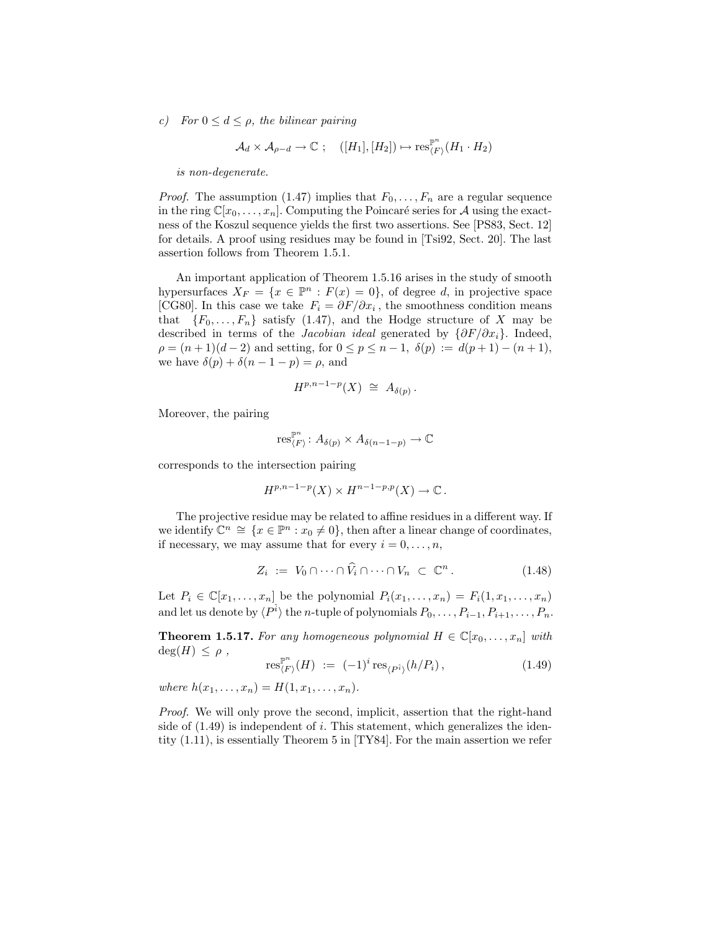c) For  $0 \leq d \leq \rho$ , the bilinear pairing

$$
\mathcal{A}_d \times \mathcal{A}_{\rho-d} \to \mathbb{C} \ ; \quad ([H_1], [H_2]) \mapsto \text{res}_{\langle F \rangle}^{\mathbb{P}^n} (H_1 \cdot H_2)
$$

is non-degenerate.

*Proof.* The assumption (1.47) implies that  $F_0, \ldots, F_n$  are a regular sequence in the ring  $\mathbb{C}[x_0,\ldots,x_n]$ . Computing the Poincaré series for A using the exactness of the Koszul sequence yields the first two assertions. See [PS83, Sect. 12] for details. A proof using residues may be found in [Tsi92, Sect. 20]. The last assertion follows from Theorem 1.5.1.

An important application of Theorem 1.5.16 arises in the study of smooth hypersurfaces  $X_F = \{x \in \mathbb{P}^n : F(x) = 0\}$ , of degree d, in projective space [CG80]. In this case we take  $F_i = \partial F / \partial x_i$ , the smoothness condition means that  $\{F_0, \ldots, F_n\}$  satisfy (1.47), and the Hodge structure of X may be described in terms of the *Jacobian ideal* generated by  $\{\partial F/\partial x_i\}$ . Indeed,  $\rho = (n+1)(d-2)$  and setting, for  $0 \le p \le n-1$ ,  $\delta(p) := d(p+1) - (n+1)$ , we have  $\delta(p) + \delta(n-1-p) = \rho$ , and

$$
H^{p,n-1-p}(X) \ \cong \ A_{\delta(p)} \, .
$$

Moreover, the pairing

$$
\textup{res}_{\langle F \rangle}^{\mathbb{P}^n} \colon A_{\delta(p)} \times A_{\delta(n-1-p)} \to \mathbb{C}
$$

corresponds to the intersection pairing

$$
H^{p,n-1-p}(X) \times H^{n-1-p,p}(X) \to \mathbb{C}.
$$

The projective residue may be related to affine residues in a different way. If we identify  $\mathbb{C}^n \cong \{x \in \mathbb{P}^n : x_0 \neq 0\}$ , then after a linear change of coordinates, if necessary, we may assume that for every  $i = 0, \ldots, n$ ,

$$
Z_i := V_0 \cap \dots \cap \widehat{V}_i \cap \dots \cap V_n \subset \mathbb{C}^n. \tag{1.48}
$$

Let  $P_i \in \mathbb{C}[x_1,\ldots,x_n]$  be the polynomial  $P_i(x_1,\ldots,x_n) = F_i(1,x_1,\ldots,x_n)$ and let us denote by  $\langle P^{\hat{i}} \rangle$  the *n*-tuple of polynomials  $P_0, \ldots, P_{i-1}, P_{i+1}, \ldots, P_n$ .

**Theorem 1.5.17.** For any homogeneous polynomial  $H \in \mathbb{C}[x_0, \ldots, x_n]$  with  $deg(H) \leq \rho$ ,

$$
\operatorname{res}_{\langle F \rangle}^{\mathbb{P}^n}(H) := (-1)^i \operatorname{res}_{\langle P^i \rangle}(h/P_i), \tag{1.49}
$$

where  $h(x_1, ..., x_n) = H(1, x_1, ..., x_n)$ .

Proof. We will only prove the second, implicit, assertion that the right-hand side of  $(1.49)$  is independent of i. This statement, which generalizes the identity (1.11), is essentially Theorem 5 in [TY84]. For the main assertion we refer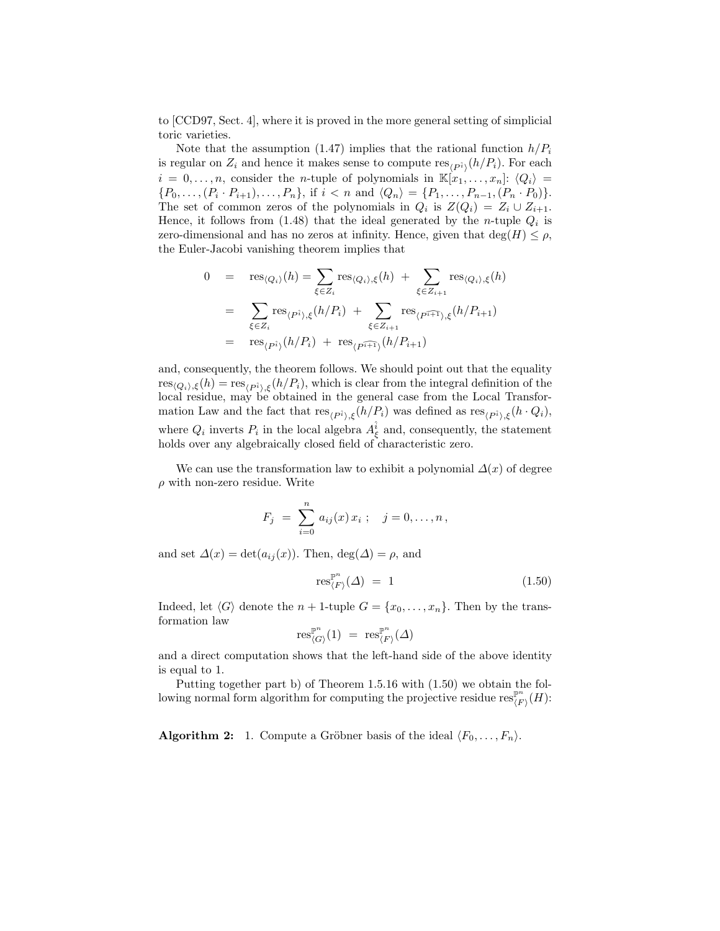to [CCD97, Sect. 4], where it is proved in the more general setting of simplicial toric varieties.

Note that the assumption (1.47) implies that the rational function  $h/P_i$ is regular on  $Z_i$  and hence it makes sense to compute  $\text{res}_{\langle P_i^{\hat{i}} \rangle}(h/P_i)$ . For each  $i = 0, \ldots, n$ , consider the *n*-tuple of polynomials in  $\mathbb{K}[x_1, \ldots, x_n]: \langle Q_i \rangle =$  $\{P_0, \ldots, (P_i \cdot P_{i+1}), \ldots, P_n\},\$ if  $i < n$  and  $\langle Q_n \rangle = \{P_1, \ldots, P_{n-1}, (P_n \cdot P_0)\}.$ The set of common zeros of the polynomials in  $Q_i$  is  $Z(Q_i) = Z_i \cup Z_{i+1}$ . Hence, it follows from  $(1.48)$  that the ideal generated by the *n*-tuple  $Q_i$  is zero-dimensional and has no zeros at infinity. Hence, given that  $\deg(H) \leq \rho$ , the Euler-Jacobi vanishing theorem implies that

$$
0 = \text{res}_{\langle Q_i \rangle}(h) = \sum_{\xi \in Z_i} \text{res}_{\langle Q_i \rangle, \xi}(h) + \sum_{\xi \in Z_{i+1}} \text{res}_{\langle Q_i \rangle, \xi}(h)
$$
  

$$
= \sum_{\xi \in Z_i} \text{res}_{\langle P_i \rangle, \xi}(h/P_i) + \sum_{\xi \in Z_{i+1}} \text{res}_{\langle P_i \rangle, \xi}(h/P_{i+1})
$$
  

$$
= \text{res}_{\langle P_i \rangle}(h/P_i) + \text{res}_{\langle P_i \rangle}(h/P_{i+1})
$$

and, consequently, the theorem follows. We should point out that the equality  $res_{(Q_i),\xi}(h) = res_{(P_i^i),\xi}(h/P_i)$ , which is clear from the integral definition of the local residue, may be obtained in the general case from the Local Transformation Law and the fact that  $res_{\langle P_i \rangle, \xi}(h/P_i)$  was defined as  $res_{\langle P_i \rangle, \xi}(h \cdot Q_i)$ , where  $Q_i$  inverts  $P_i$  in the local algebra  $A_{\xi}^{\hat{i}}$  and, consequently, the statement holds over any algebraically closed field of characteristic zero.

We can use the transformation law to exhibit a polynomial  $\Delta(x)$  of degree  $\rho$  with non-zero residue. Write

$$
F_j = \sum_{i=0}^n a_{ij}(x) x_i ; \quad j = 0, ..., n,
$$

and set  $\Delta(x) = \det(a_{ij}(x))$ . Then,  $\deg(\Delta) = \rho$ , and

$$
\operatorname{res}_{\langle F \rangle}^{\mathbb{P}^n}(\Delta) = 1 \tag{1.50}
$$

Indeed, let  $\langle G \rangle$  denote the  $n + 1$ -tuple  $G = \{x_0, \ldots, x_n\}$ . Then by the transformation law

$$
\text{res}_{\langle G \rangle}^{\mathbb{P}^n}(1) = \text{res}_{\langle F \rangle}^{\mathbb{P}^n}(\Delta)
$$

and a direct computation shows that the left-hand side of the above identity is equal to 1.

Putting together part b) of Theorem 1.5.16 with (1.50) we obtain the following normal form algorithm for computing the projective residue  $\operatorname{res}_{\ell_F}^{\mathbb{P}^n}$  $\frac{\mathbb{P}^n}{\braket{F}}(H)$ :

**Algorithm 2:** 1. Compute a Gröbner basis of the ideal  $\langle F_0, \ldots, F_n \rangle$ .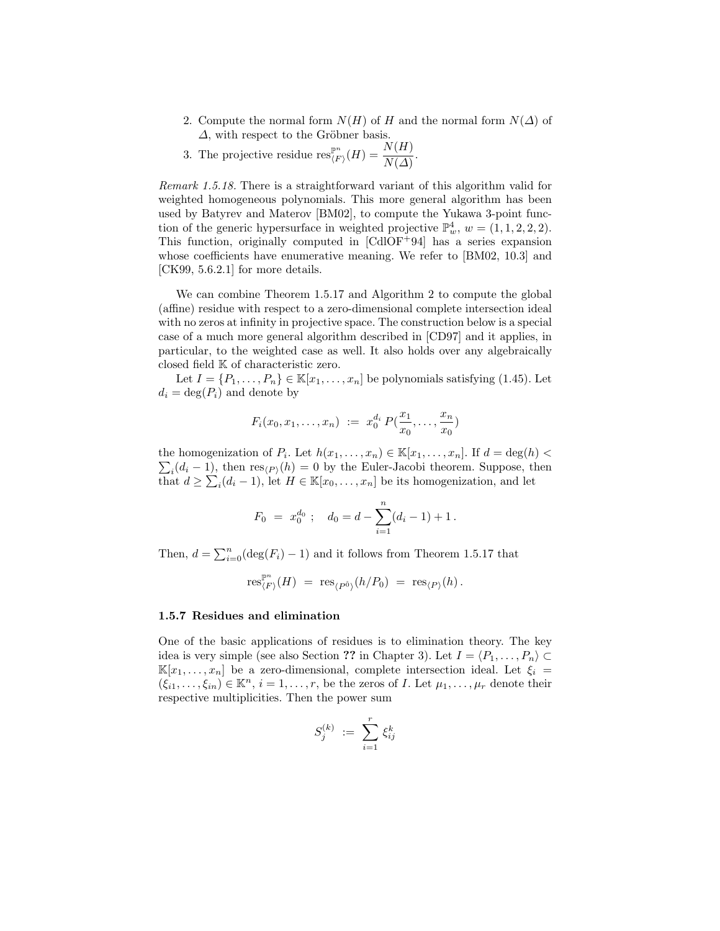- 2. Compute the normal form  $N(H)$  of H and the normal form  $N(\Delta)$  of  $\Delta$ , with respect to the Gröbner basis.
- 3. The projective residue  $\operatorname{res}_{\ell,F}^{\mathbb{P}^n}$  $\frac{\mathbb{P}^n}{\langle F \rangle}(H) = \frac{N(H)}{N(\varDelta)}.$

Remark 1.5.18. There is a straightforward variant of this algorithm valid for weighted homogeneous polynomials. This more general algorithm has been used by Batyrev and Materov [BM02], to compute the Yukawa 3-point function of the generic hypersurface in weighted projective  $\mathbb{P}_w^4$ ,  $w = (1, 1, 2, 2, 2)$ . This function, originally computed in [CdlOF<sup>+</sup>94] has a series expansion whose coefficients have enumerative meaning. We refer to [BM02, 10.3] and [CK99, 5.6.2.1] for more details.

We can combine Theorem 1.5.17 and Algorithm 2 to compute the global (affine) residue with respect to a zero-dimensional complete intersection ideal with no zeros at infinity in projective space. The construction below is a special case of a much more general algorithm described in [CD97] and it applies, in particular, to the weighted case as well. It also holds over any algebraically closed field K of characteristic zero.

Let  $I = \{P_1, \ldots, P_n\} \in \mathbb{K}[x_1, \ldots, x_n]$  be polynomials satisfying (1.45). Let  $d_i = \deg(P_i)$  and denote by

$$
F_i(x_0, x_1, \ldots, x_n) := x_0^{d_i} P(\frac{x_1}{x_0}, \ldots, \frac{x_n}{x_0})
$$

the homogenization of  $P_i$ . Let  $h(x_1, \ldots, x_n) \in \mathbb{K}[x_1, \ldots, x_n]$ . If  $d = \deg(h)$  $\sum_i (d_i - 1)$ , then  $\text{res}_{\langle P \rangle}(h) = 0$  by the Euler-Jacobi theorem. Suppose, then that  $d \geq \sum_i (d_i - 1)$ , let  $H \in \mathbb{K}[x_0, \ldots, x_n]$  be its homogenization, and let

$$
F_0 = x_0^{d_0} ; \quad d_0 = d - \sum_{i=1}^n (d_i - 1) + 1.
$$

Then,  $d = \sum_{i=0}^{n} (\deg(F_i) - 1)$  and it follows from Theorem 1.5.17 that

$$
\textup{res}_{\langle F \rangle}^{\mathbb{P}^n}(H) \;=\; \textup{res}_{\langle P^{\hat{0}}\rangle}(h/P_0) \;=\; \textup{res}_{\langle P \rangle}(h)\,.
$$

### 1.5.7 Residues and elimination

One of the basic applications of residues is to elimination theory. The key idea is very simple (see also Section ?? in Chapter 3). Let  $I = \langle P_1, \ldots, P_n \rangle \subset$  $\mathbb{K}[x_1,\ldots,x_n]$  be a zero-dimensional, complete intersection ideal. Let  $\xi_i =$  $(\xi_{i1},\ldots,\xi_{in})\in\mathbb{K}^n$ ,  $i=1,\ldots,r$ , be the zeros of *I*. Let  $\mu_1,\ldots,\mu_r$  denote their respective multiplicities. Then the power sum

$$
S_j^{(k)} \ := \ \sum_{i=1}^r \, \xi_{ij}^k
$$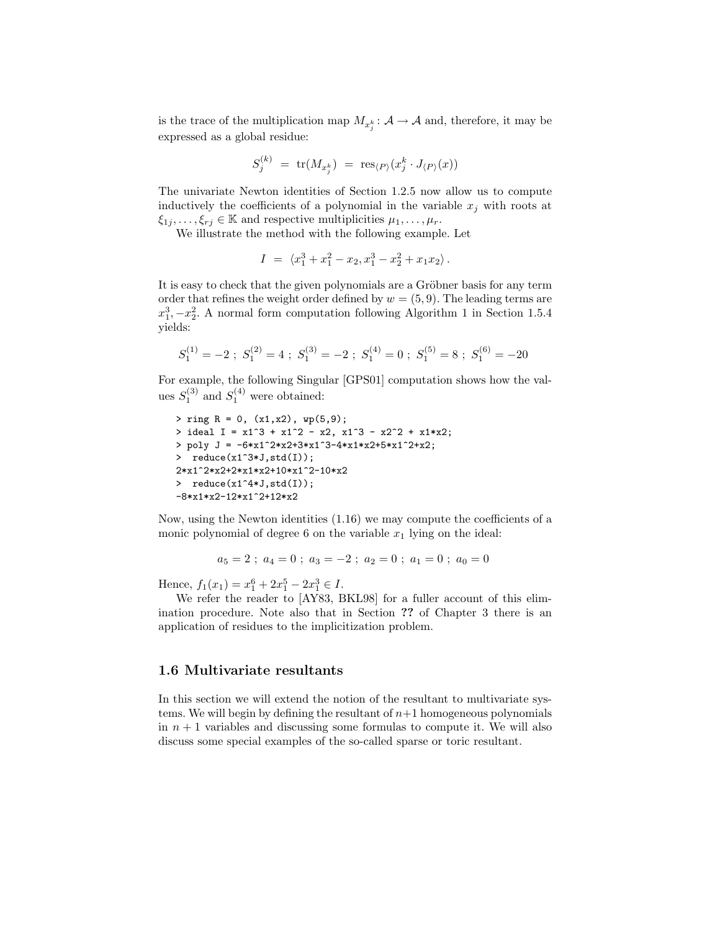is the trace of the multiplication map  $M_{x_j^k}: \mathcal{A} \to \mathcal{A}$  and, therefore, it may be expressed as a global residue:

$$
S_j^{(k)} \,\,=\,\, \text{tr}(M_{x_j^k}) \,\,=\,\, \text{res}_{\langle P \rangle}(x_j^k \cdot J_{\langle P \rangle}(x))
$$

The univariate Newton identities of Section 1.2.5 now allow us to compute inductively the coefficients of a polynomial in the variable  $x_i$  with roots at  $\xi_{1j}, \ldots, \xi_{rj} \in \mathbb{K}$  and respective multiplicities  $\mu_1, \ldots, \mu_r$ .

We illustrate the method with the following example. Let

$$
I = \langle x_1^3 + x_1^2 - x_2, x_1^3 - x_2^2 + x_1 x_2 \rangle.
$$

It is easy to check that the given polynomials are a Gröbner basis for any term order that refines the weight order defined by  $w = (5, 9)$ . The leading terms are  $x_1^3, -x_2^2$ . A normal form computation following Algorithm 1 in Section 1.5.4 yields:

$$
S_1^{(1)} = -2
$$
;  $S_1^{(2)} = 4$ ;  $S_1^{(3)} = -2$ ;  $S_1^{(4)} = 0$ ;  $S_1^{(5)} = 8$ ;  $S_1^{(6)} = -20$ 

For example, the following Singular [GPS01] computation shows how the values  $S_1^{(3)}$  and  $S_1^{(4)}$  were obtained:

```
> ring R = 0, (x1,x2), wp(5,9);
> ideal I = x1^3 + x1^2 - x2, x1^3 - x2^2 + x1*x2;
> poly J = -6*x1^2*x2+3*x1^3-4*x1*x2+5*x1^2+x2;
> reduce(x1^3*J,std(I));
2*x1^2*x2+2*x1*x2+10*x1^2-10*x2
> reduce(x1^4*J,std(I));
-8*x1*x2-12*x1^2+12*x2
```
Now, using the Newton identities (1.16) we may compute the coefficients of a monic polynomial of degree 6 on the variable  $x_1$  lying on the ideal:

$$
a_5 = 2 \; ; \; a_4 = 0 \; ; \; a_3 = -2 \; ; \; a_2 = 0 \; ; \; a_1 = 0 \; ; \; a_0 = 0
$$

Hence,  $f_1(x_1) = x_1^6 + 2x_1^5 - 2x_1^3 \in I$ .

We refer the reader to [AY83, BKL98] for a fuller account of this elimination procedure. Note also that in Section ?? of Chapter 3 there is an application of residues to the implicitization problem.

### 1.6 Multivariate resultants

In this section we will extend the notion of the resultant to multivariate systems. We will begin by defining the resultant of  $n+1$  homogeneous polynomials in  $n + 1$  variables and discussing some formulas to compute it. We will also discuss some special examples of the so-called sparse or toric resultant.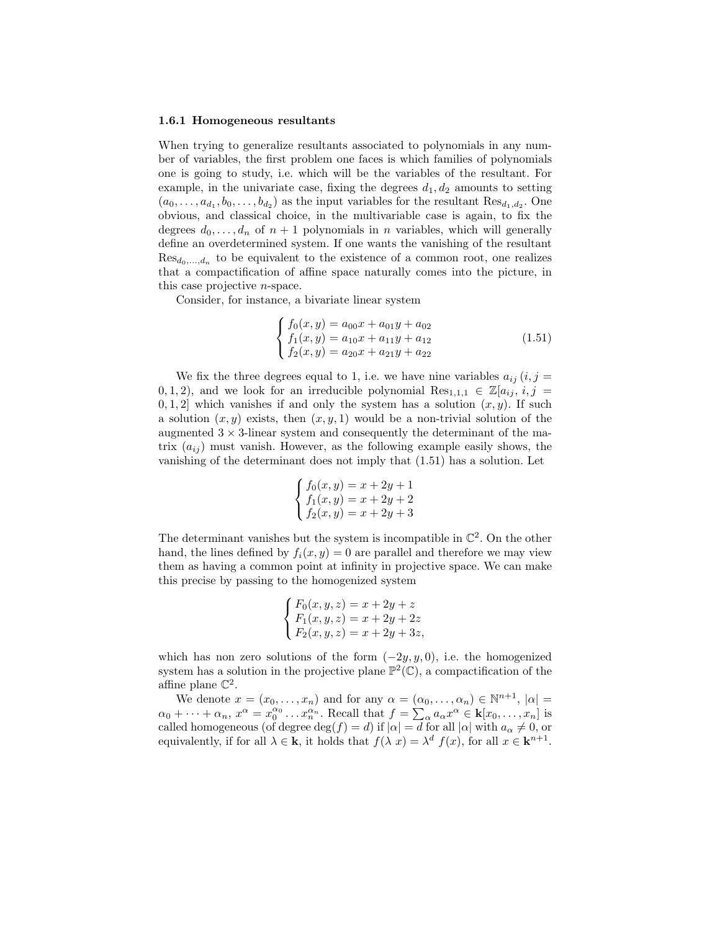#### 1.6.1 Homogeneous resultants

When trying to generalize resultants associated to polynomials in any number of variables, the first problem one faces is which families of polynomials one is going to study, i.e. which will be the variables of the resultant. For example, in the univariate case, fixing the degrees  $d_1, d_2$  amounts to setting  $(a_0, \ldots, a_{d_1}, b_0, \ldots, b_{d_2})$  as the input variables for the resultant  $\text{Res}_{d_1, d_2}$ . One obvious, and classical choice, in the multivariable case is again, to fix the degrees  $d_0, \ldots, d_n$  of  $n+1$  polynomials in n variables, which will generally define an overdetermined system. If one wants the vanishing of the resultant  $\text{Res}_{d_0,\ldots,d_n}$  to be equivalent to the existence of a common root, one realizes that a compactification of affine space naturally comes into the picture, in this case projective n-space.

Consider, for instance, a bivariate linear system

$$
\begin{cases}\nf_0(x,y) = a_{00}x + a_{01}y + a_{02} \\
f_1(x,y) = a_{10}x + a_{11}y + a_{12} \\
f_2(x,y) = a_{20}x + a_{21}y + a_{22}\n\end{cases}
$$
\n(1.51)

We fix the three degrees equal to 1, i.e. we have nine variables  $a_{ij}$  (i, j = 0, 1, 2), and we look for an irreducible polynomial  $\text{Res}_{1,1,1} \in \mathbb{Z}[a_{ij}, i, j]$ 0, 1, 2 which vanishes if and only the system has a solution  $(x, y)$ . If such a solution  $(x, y)$  exists, then  $(x, y, 1)$  would be a non-trivial solution of the augmented  $3 \times 3$ -linear system and consequently the determinant of the matrix  $(a_{ij})$  must vanish. However, as the following example easily shows, the vanishing of the determinant does not imply that (1.51) has a solution. Let

$$
\begin{cases}\nf_0(x,y) = x + 2y + 1 \\
f_1(x,y) = x + 2y + 2 \\
f_2(x,y) = x + 2y + 3\n\end{cases}
$$

The determinant vanishes but the system is incompatible in  $\mathbb{C}^2$ . On the other hand, the lines defined by  $f_i(x, y) = 0$  are parallel and therefore we may view them as having a common point at infinity in projective space. We can make this precise by passing to the homogenized system

$$
\begin{cases}\nF_0(x, y, z) = x + 2y + z \\
F_1(x, y, z) = x + 2y + 2z \\
F_2(x, y, z) = x + 2y + 3z,\n\end{cases}
$$

which has non zero solutions of the form  $(-2y, y, 0)$ , i.e. the homogenized system has a solution in the projective plane  $\mathbb{P}^2(\mathbb{C})$ , a compactification of the affine plane  $\mathbb{C}^2$ .

We denote  $x = (x_0, \ldots, x_n)$  and for any  $\alpha = (\alpha_0, \ldots, \alpha_n) \in \mathbb{N}^{n+1}$ ,  $|\alpha| =$  $\alpha_0 + \cdots + \alpha_n$ ,  $x^{\alpha} = x_0^{\alpha_0} \ldots x_n^{\alpha_n}$ . Recall that  $f = \sum_{\alpha} a_{\alpha} x^{\alpha} \in k[x_0, \ldots, x_n]$  is called homogeneous (of degree  $\deg(f) = d$ ) if  $|\alpha| = d$  for all  $|\alpha|$  with  $a_{\alpha} \neq 0$ , or equivalently, if for all  $\lambda \in \mathbf{k}$ , it holds that  $f(\lambda x) = \lambda^d f(x)$ , for all  $x \in \mathbf{k}^{n+1}$ .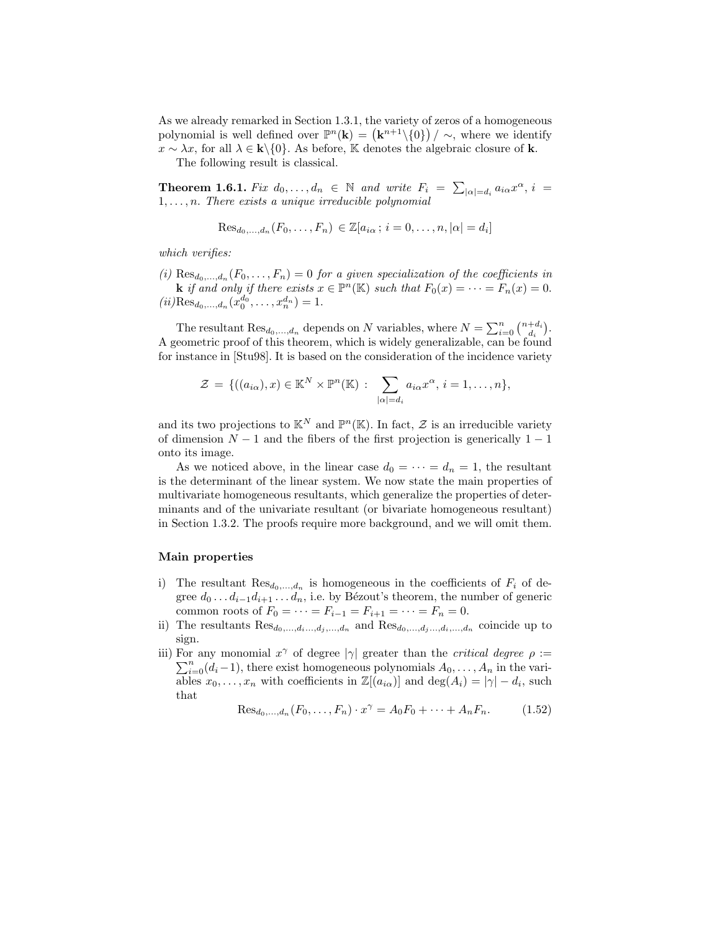As we already remarked in Section 1.3.1, the variety of zeros of a homogeneous polynomial is well defined over  $\mathbb{P}^n(\mathbf{k}) = (\mathbf{k}^{n+1}\setminus\{0\})/\sim$ , where we identify  $x \sim \lambda x$ , for all  $\lambda \in \mathbf{k} \setminus \{0\}$ . As before, K denotes the algebraic closure of k.

The following result is classical.

**Theorem 1.6.1.** Fix  $d_0, \ldots, d_n \in \mathbb{N}$  and write  $F_i = \sum_{|\alpha|=d_i} a_{i\alpha} x^{\alpha}, i =$  $1, \ldots, n$ . There exists a unique irreducible polynomial

$$
\mathrm{Res}_{d_0,\ldots,d_n}(F_0,\ldots,F_n)\in\mathbb{Z}[a_{i\alpha}\,;\,i=0,\ldots,n,|\alpha|=d_i]
$$

which verifies:

(i)  $\text{Res}_{d_0,\ldots,d_n}(F_0,\ldots,F_n) = 0$  for a given specialization of the coefficients in **k** if and only if there exists  $x \in \mathbb{P}^n(\mathbb{K})$  such that  $F_0(x) = \cdots = F_n(x) = 0$ .  $(ii)$ Res $_{d_0,...,d_n}(x_0^{d_0},...,x_n^{d_n})=1.$ 

The resultant  $\text{Res}_{d_0,\dots,d_n}$  depends on N variables, where  $N = \sum_{i=0}^n \binom{n+d_i}{d_i}$ . A geometric proof of this theorem, which is widely generalizable, can be found for instance in [Stu98]. It is based on the consideration of the incidence variety

$$
\mathcal{Z} = \{((a_{i\alpha}), x) \in \mathbb{K}^N \times \mathbb{P}^n(\mathbb{K}) : \sum_{|\alpha|=d_i} a_{i\alpha} x^{\alpha}, i = 1, \dots, n\},\
$$

and its two projections to  $\mathbb{K}^N$  and  $\mathbb{P}^n(\mathbb{K})$ . In fact,  $\mathcal Z$  is an irreducible variety of dimension  $N-1$  and the fibers of the first projection is generically  $1-1$ onto its image.

As we noticed above, in the linear case  $d_0 = \cdots = d_n = 1$ , the resultant is the determinant of the linear system. We now state the main properties of multivariate homogeneous resultants, which generalize the properties of determinants and of the univariate resultant (or bivariate homogeneous resultant) in Section 1.3.2. The proofs require more background, and we will omit them.

#### Main properties

- i) The resultant  $\text{Res}_{d_0,\dots,d_n}$  is homogeneous in the coefficients of  $F_i$  of degree  $d_0 \ldots d_{i-1} d_{i+1} \ldots d_n$ , i.e. by Bézout's theorem, the number of generic common roots of  $F_0 = \cdots = F_{i-1} = F_{i+1} = \cdots = F_n = 0$ .
- ii) The resultants  $\text{Res}_{d_0,\dots,d_i\dots,d_j,\dots,d_n}$  and  $\text{Res}_{d_0,\dots,d_j\dots,d_i,\dots,d_n}$  coincide up to sign.
- iii) For any monomial  $x^{\gamma}$  of degree  $|\gamma|$  greater than the *critical degree*  $\rho$  :=  $\sum_{i=0}^{n} (d_i-1)$ , there exist homogeneous polynomials  $A_0, \ldots, A_n$  in the variables  $x_0, \ldots, x_n$  with coefficients in  $\mathbb{Z}[(a_{i\alpha})]$  and  $\deg(A_i) = |\gamma| - d_i$ , such that

$$
\text{Res}_{d_0,\dots,d_n}(F_0,\dots,F_n) \cdot x^{\gamma} = A_0 F_0 + \dots + A_n F_n. \tag{1.52}
$$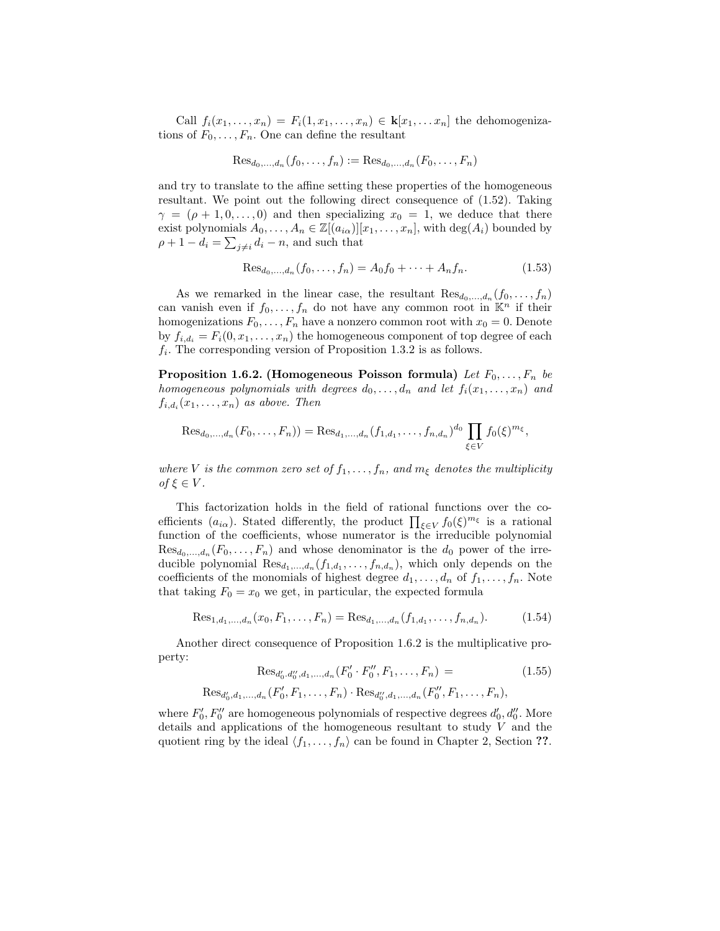Call  $f_i(x_1,\ldots,x_n) = F_i(1,x_1,\ldots,x_n) \in \mathbf{k}[x_1,\ldots,x_n]$  the dehomogenizations of  $F_0, \ldots, F_n$ . One can define the resultant

$$
\text{Res}_{d_0,...,d_n}(f_0,...,f_n) := \text{Res}_{d_0,...,d_n}(F_0,...,F_n)
$$

and try to translate to the affine setting these properties of the homogeneous resultant. We point out the following direct consequence of (1.52). Taking  $\gamma = (\rho + 1, 0, \ldots, 0)$  and then specializing  $x_0 = 1$ , we deduce that there exist polynomials  $A_0, \ldots, A_n \in \mathbb{Z}[(a_{i\alpha})][x_1, \ldots, x_n]$ , with  $\deg(A_i)$  bounded by  $\rho + 1 - d_i = \sum_{j \neq i} d_i - n$ , and such that

$$
\text{Res}_{d_0,\dots,d_n}(f_0,\dots,f_n) = A_0 f_0 + \dots + A_n f_n. \tag{1.53}
$$

As we remarked in the linear case, the resultant  $\text{Res}_{d_0,\ldots,d_n}(f_0,\ldots,f_n)$ can vanish even if  $f_0, \ldots, f_n$  do not have any common root in  $\mathbb{K}^n$  if their homogenizations  $F_0, \ldots, F_n$  have a nonzero common root with  $x_0 = 0$ . Denote by  $f_{i,d_i} = F_i(0, x_1, \ldots, x_n)$  the homogeneous component of top degree of each  $f_i$ . The corresponding version of Proposition 1.3.2 is as follows.

Proposition 1.6.2. (Homogeneous Poisson formula) Let  $F_0, \ldots, F_n$  be homogeneous polynomials with degrees  $d_0, \ldots, d_n$  and let  $f_i(x_1, \ldots, x_n)$  and  $f_{i,d_i}(x_1,\ldots,x_n)$  as above. Then

$$
\text{Res}_{d_0,\dots,d_n}(F_0,\dots,F_n)) = \text{Res}_{d_1,\dots,d_n}(f_{1,d_1},\dots,f_{n,d_n})^{d_0} \prod_{\xi \in V} f_0(\xi)^{m_{\xi}},
$$

where V is the common zero set of  $f_1, \ldots, f_n$ , and  $m_\xi$  denotes the multiplicity of  $\xi \in V$ .

This factorization holds in the field of rational functions over the coefficients  $(a_{i\alpha})$ . Stated differently, the product  $\prod_{\xi \in V} f_0(\xi)^{m_{\xi}}$  is a rational function of the coefficients, whose numerator is the irreducible polynomial  $\text{Res}_{d_0,\ldots,d_n}(F_0,\ldots,F_n)$  and whose denominator is the  $d_0$  power of the irreducible polynomial  $\text{Res}_{d_1,\dots,d_n}(f_{1,d_1},\dots,f_{n,d_n}),$  which only depends on the coefficients of the monomials of highest degree  $d_1, \ldots, d_n$  of  $f_1, \ldots, f_n$ . Note that taking  $F_0 = x_0$  we get, in particular, the expected formula

$$
\text{Res}_{1,d_1,\dots,d_n}(x_0, F_1,\dots, F_n) = \text{Res}_{d_1,\dots,d_n}(f_{1,d_1},\dots, f_{n,d_n}).\tag{1.54}
$$

Another direct consequence of Proposition 1.6.2 is the multiplicative property:

$$
\text{Res}_{d'_0, d''_0, d_1, \dots, d_n}(F'_0 \cdot F''_0, F_1, \dots, F_n) = (1.55)
$$

$$
Res_{d'_0,d_1,...,d_n}(F'_0,F_1,...,F_n)\cdot Res_{d''_0,d_1,...,d_n}(F''_0,F_1,...,F_n),
$$

where  $F'_0, F''_0$  are homogeneous polynomials of respective degrees  $d'_0, d''_0$ . More details and applications of the homogeneous resultant to study  $V$  and the quotient ring by the ideal  $\langle f_1, \ldots, f_n \rangle$  can be found in Chapter 2, Section ??.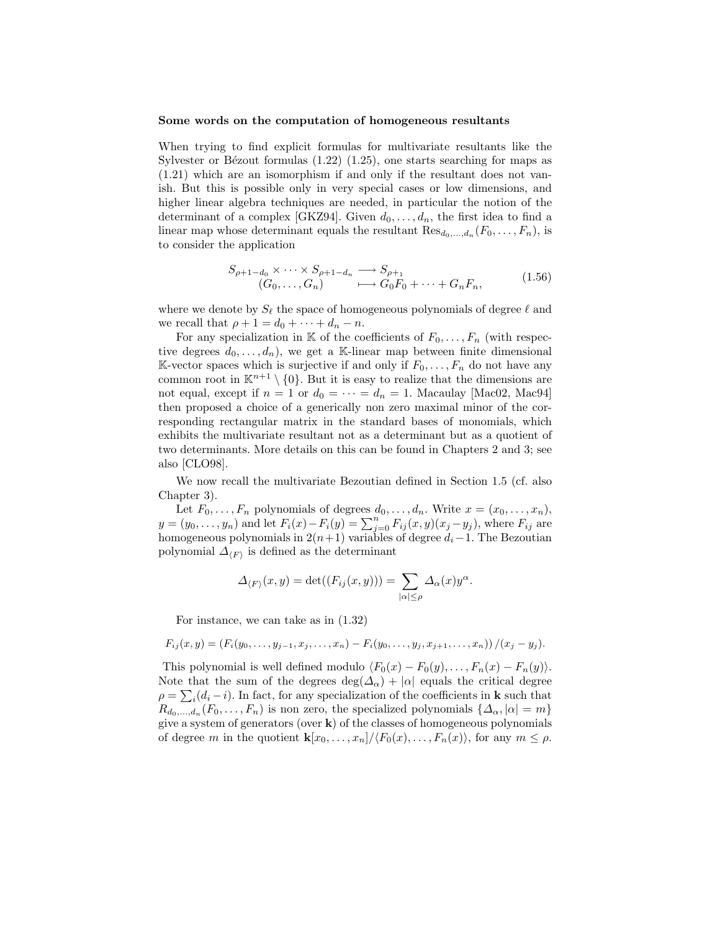#### Some words on the computation of homogeneous resultants

When trying to find explicit formulas for multivariate resultants like the Sylvester or Bézout formulas  $(1.22)$   $(1.25)$ , one starts searching for maps as (1.21) which are an isomorphism if and only if the resultant does not vanish. But this is possible only in very special cases or low dimensions, and higher linear algebra techniques are needed, in particular the notion of the determinant of a complex [GKZ94]. Given  $d_0, \ldots, d_n$ , the first idea to find a linear map whose determinant equals the resultant  $\text{Res}_{d_0,\dots,d_n}(F_0,\dots,F_n)$ , is to consider the application

$$
S_{\rho+1-d_0} \times \cdots \times S_{\rho+1-d_n} \longrightarrow S_{\rho+1}
$$
  
\n
$$
(G_0, \ldots, G_n) \longrightarrow G_0 F_0 + \cdots + G_n F_n,
$$
\n(1.56)

where we denote by  $S_\ell$  the space of homogeneous polynomials of degree  $\ell$  and we recall that  $\rho + 1 = d_0 + \cdots + d_n - n$ .

For any specialization in K of the coefficients of  $F_0, \ldots, F_n$  (with respective degrees  $d_0, \ldots, d_n$ , we get a K-linear map between finite dimensional K-vector spaces which is surjective if and only if  $F_0, \ldots, F_n$  do not have any common root in  $\mathbb{K}^{n+1} \setminus \{0\}$ . But it is easy to realize that the dimensions are not equal, except if  $n = 1$  or  $d_0 = \cdots = d_n = 1$ . Macaulay [Mac02, Mac94] then proposed a choice of a generically non zero maximal minor of the corresponding rectangular matrix in the standard bases of monomials, which exhibits the multivariate resultant not as a determinant but as a quotient of two determinants. More details on this can be found in Chapters 2 and 3; see also [CLO98].

We now recall the multivariate Bezoutian defined in Section 1.5 (cf. also Chapter 3).

Let  $F_0, \ldots, F_n$  polynomials of degrees  $d_0, \ldots, d_n$ . Write  $x = (x_0, \ldots, x_n)$ ,  $y = (y_0, \ldots, y_n)$  and let  $F_i(x) - F_i(y) = \sum_{j=0}^n F_{ij}(x, y)(x_j - y_j)$ , where  $F_{ij}$  are homogeneous polynomials in  $2(n+1)$  variables of degree  $d_i-1$ . The Bezoutian polynomial  $\Delta_{\langle F \rangle}$  is defined as the determinant

$$
\Delta_{\langle F \rangle}(x, y) = \det((F_{ij}(x, y))) = \sum_{|\alpha| \le \rho} \Delta_{\alpha}(x) y^{\alpha}.
$$

For instance, we can take as in (1.32)

$$
F_{ij}(x,y) = (F_i(y_0,\ldots,y_{j-1},x_j,\ldots,x_n) - F_i(y_0,\ldots,y_j,x_{j+1},\ldots,x_n)) / (x_j - y_j).
$$

This polynomial is well defined modulo  $\langle F_0(x) - F_0(y), \ldots, F_n(x) - F_n(y) \rangle$ . Note that the sum of the degrees deg( $\Delta_{\alpha}$ ) + | $\alpha$ | equals the critical degree  $\rho = \sum_i (d_i - i)$ . In fact, for any specialization of the coefficients in **k** such that  $R_{d_0,\dots,d_n}(F_0,\dots,F_n)$  is non zero, the specialized polynomials  $\{\Delta_\alpha,|\alpha|=m\}$ give a system of generators (over  $k$ ) of the classes of homogeneous polynomials of degree m in the quotient  $\mathbf{k}[x_0, \ldots, x_n]/\langle F_0(x), \ldots, F_n(x)\rangle$ , for any  $m \leq \rho$ .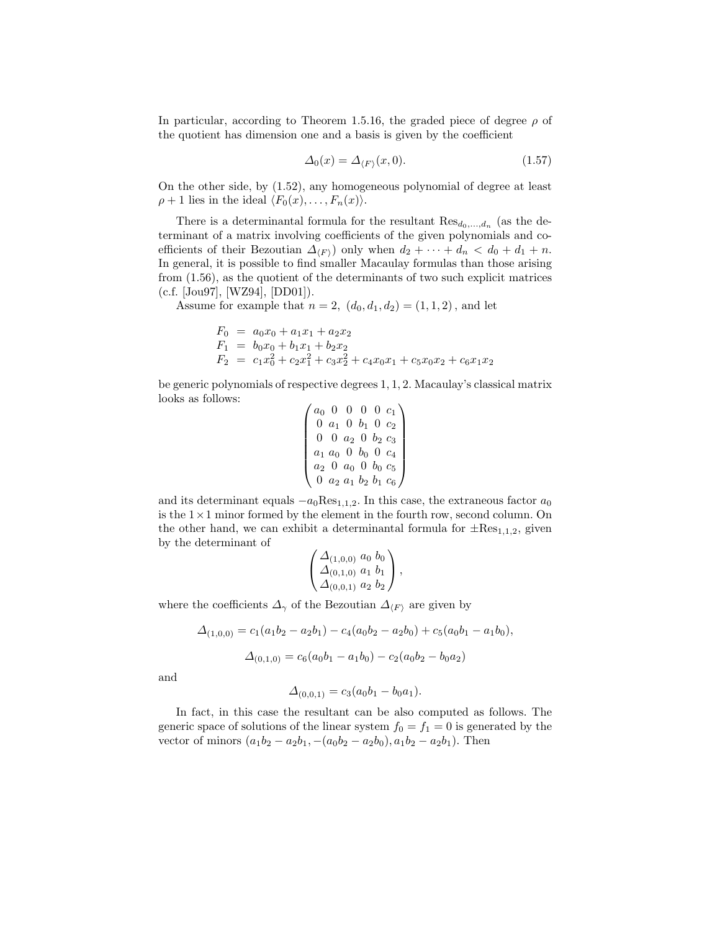In particular, according to Theorem 1.5.16, the graded piece of degree  $\rho$  of the quotient has dimension one and a basis is given by the coefficient

$$
\Delta_0(x) = \Delta_{\langle F \rangle}(x, 0). \tag{1.57}
$$

On the other side, by (1.52), any homogeneous polynomial of degree at least  $\rho + 1$  lies in the ideal  $\langle F_0(x), \ldots, F_n(x)\rangle$ .

There is a determinantal formula for the resultant  $\text{Res}_{d_0,\dots,d_n}$  (as the determinant of a matrix involving coefficients of the given polynomials and coefficients of their Bezoutian  $\Delta_F$  only when  $d_2 + \cdots + d_n < d_0 + d_1 + n$ . In general, it is possible to find smaller Macaulay formulas than those arising from (1.56), as the quotient of the determinants of two such explicit matrices (c.f. [Jou97], [WZ94], [DD01]).

Assume for example that  $n = 2$ ,  $(d_0, d_1, d_2) = (1, 1, 2)$ , and let

$$
F_0 = a_0x_0 + a_1x_1 + a_2x_2
$$
  
\n
$$
F_1 = b_0x_0 + b_1x_1 + b_2x_2
$$
  
\n
$$
F_2 = c_1x_0^2 + c_2x_1^2 + c_3x_2^2 + c_4x_0x_1 + c_5x_0x_2 + c_6x_1x_2
$$

be generic polynomials of respective degrees 1, 1, 2. Macaulay's classical matrix looks as follows:

$$
\begin{pmatrix} a_0 & 0 & 0 & 0 & 0 & c_1 \\ 0 & a_1 & 0 & b_1 & 0 & c_2 \\ 0 & 0 & a_2 & 0 & b_2 & c_3 \\ a_1 & a_0 & 0 & b_0 & 0 & c_4 \\ a_2 & 0 & a_0 & 0 & b_0 & c_5 \\ 0 & a_2 & a_1 & b_2 & b_1 & c_6 \end{pmatrix}
$$

and its determinant equals  $-a_0 Res_{1,1,2}$ . In this case, the extraneous factor  $a_0$ is the  $1 \times 1$  minor formed by the element in the fourth row, second column. On the other hand, we can exhibit a determinantal formula for  $\pm$ Res<sub>1,1,2</sub>, given by the determinant of

$$
\begin{pmatrix} \Delta_{(1,0,0)} & a_0 & b_0 \\ \Delta_{(0,1,0)} & a_1 & b_1 \\ \Delta_{(0,0,1)} & a_2 & b_2 \end{pmatrix},
$$

where the coefficients  $\Delta_{\gamma}$  of the Bezoutian  $\Delta_{\langle F \rangle}$  are given by

$$
\Delta_{(1,0,0)} = c_1(a_1b_2 - a_2b_1) - c_4(a_0b_2 - a_2b_0) + c_5(a_0b_1 - a_1b_0),
$$
  

$$
\Delta_{(0,1,0)} = c_6(a_0b_1 - a_1b_0) - c_2(a_0b_2 - b_0a_2)
$$

and

$$
\Delta_{(0,0,1)} = c_3(a_0b_1 - b_0a_1).
$$

In fact, in this case the resultant can be also computed as follows. The generic space of solutions of the linear system  $f_0 = f_1 = 0$  is generated by the vector of minors  $(a_1b_2 - a_2b_1, -(a_0b_2 - a_2b_0), a_1b_2 - a_2b_1)$ . Then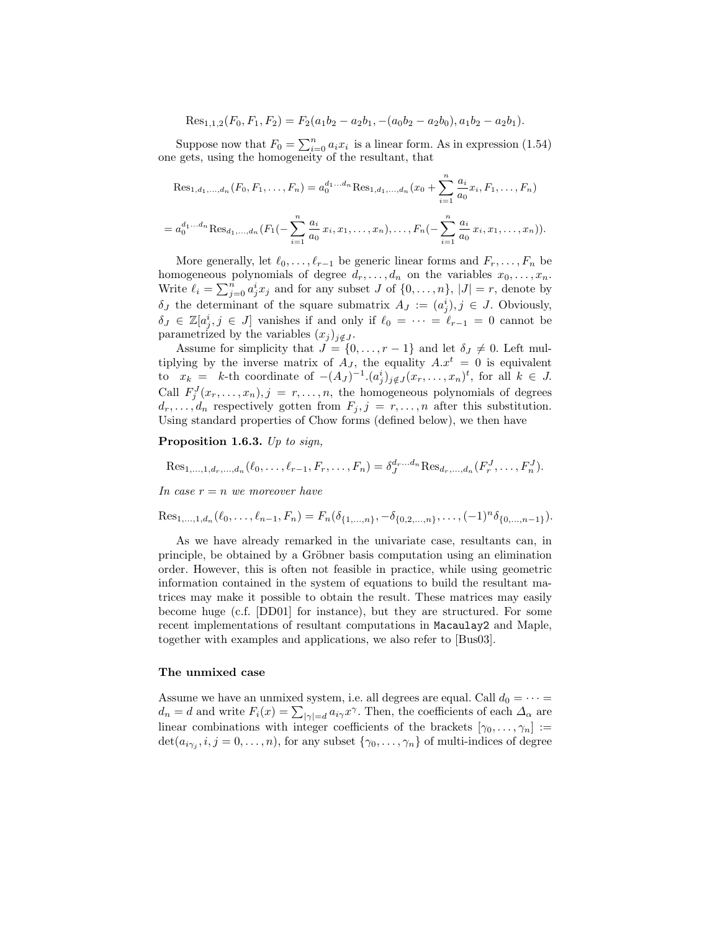$$
Res_{1,1,2}(F_0, F_1, F_2) = F_2(a_1b_2 - a_2b_1, -(a_0b_2 - a_2b_0), a_1b_2 - a_2b_1).
$$

Suppose now that  $F_0 = \sum_{i=0}^n a_i x_i$  is a linear form. As in expression (1.54) one gets, using the homogeneity of the resultant, that

$$
\text{Res}_{1,d_1,\dots,d_n}(F_0, F_1, \dots, F_n) = a_0^{d_1 \dots d_n} \text{Res}_{1,d_1,\dots,d_n}(x_0 + \sum_{i=1}^n \frac{a_i}{a_0} x_i, F_1, \dots, F_n)
$$
\n
$$
= a_0^{d_1 \dots d_n} \text{Res}_{d_1,\dots,d_n}(F_1(-\sum_{i=1}^n \frac{a_i}{a_0} x_i, x_1, \dots, x_n), \dots, F_n(-\sum_{i=1}^n \frac{a_i}{a_0} x_i, x_1, \dots, x_n)).
$$

More generally, let  $\ell_0, \ldots, \ell_{r-1}$  be generic linear forms and  $F_r, \ldots, F_n$  be homogeneous polynomials of degree  $d_r, \ldots, d_n$  on the variables  $x_0, \ldots, x_n$ . Write  $\ell_i = \sum_{j=0}^n a_j^i x_j$  and for any subset J of  $\{0, \ldots, n\}$ ,  $|J| = r$ , denote by  $\delta_J$  the determinant of the square submatrix  $A_J := (a_j^i), j \in J$ . Obviously,  $\delta_J \in \mathbb{Z}[a_j^i, j \in J]$  vanishes if and only if  $\ell_0 = \cdots = \ell_{r-1} = 0$  cannot be parametrized by the variables  $(x_j)_{j \notin J}$ .

Assume for simplicity that  $J = \{0, \ldots, r-1\}$  and let  $\delta_J \neq 0$ . Left multiplying by the inverse matrix of  $A_J$ , the equality  $A.x^t = 0$  is equivalent to  $x_k = k$ -th coordinate of  $-(A_J)^{-1} \cdot (a_j^i)_{j \notin J} (x_r, \ldots, x_n)^t$ , for all  $k \in J$ . Call  $F_j^J(x_r,\ldots,x_n), j = r,\ldots,n$ , the homogeneous polynomials of degrees  $d_r, \ldots, d_n$  respectively gotten from  $F_j, j = r, \ldots, n$  after this substitution. Using standard properties of Chow forms (defined below), we then have

Proposition 1.6.3. Up to sign,

$$
\text{Res}_{1,...,1,d_r,...,d_n}(\ell_0,...,\ell_{r-1},F_r,...,F_n) = \delta_J^{d_r...d_n} \text{Res}_{d_r,...,d_n} (F_r^J,...,F_n^J).
$$

In case  $r = n$  we moreover have

Res<sub>1,...,1,d<sub>n</sub></sub>(
$$
\ell_0
$$
,..., $\ell_{n-1}$ ,  $F_n$ ) =  $F_n(\delta_{\{1,...,n\}}, -\delta_{\{0,2,...,n\}},...,(-1)^n \delta_{\{0,...,n-1\}}).$ 

As we have already remarked in the univariate case, resultants can, in principle, be obtained by a Gröbner basis computation using an elimination order. However, this is often not feasible in practice, while using geometric information contained in the system of equations to build the resultant matrices may make it possible to obtain the result. These matrices may easily become huge (c.f. [DD01] for instance), but they are structured. For some recent implementations of resultant computations in Macaulay2 and Maple, together with examples and applications, we also refer to [Bus03].

#### The unmixed case

Assume we have an unmixed system, i.e. all degrees are equal. Call  $d_0 = \cdots =$  $d_n = d$  and write  $F_i(x) = \sum_{|\gamma|=d} a_{i\gamma} x^{\gamma}$ . Then, the coefficients of each  $\Delta_{\alpha}$  are linear combinations with integer coefficients of the brackets  $[\gamma_0, \ldots, \gamma_n] :=$  $\det(a_{i\gamma_j}, i, j = 0, \ldots, n)$ , for any subset  $\{\gamma_0, \ldots, \gamma_n\}$  of multi-indices of degree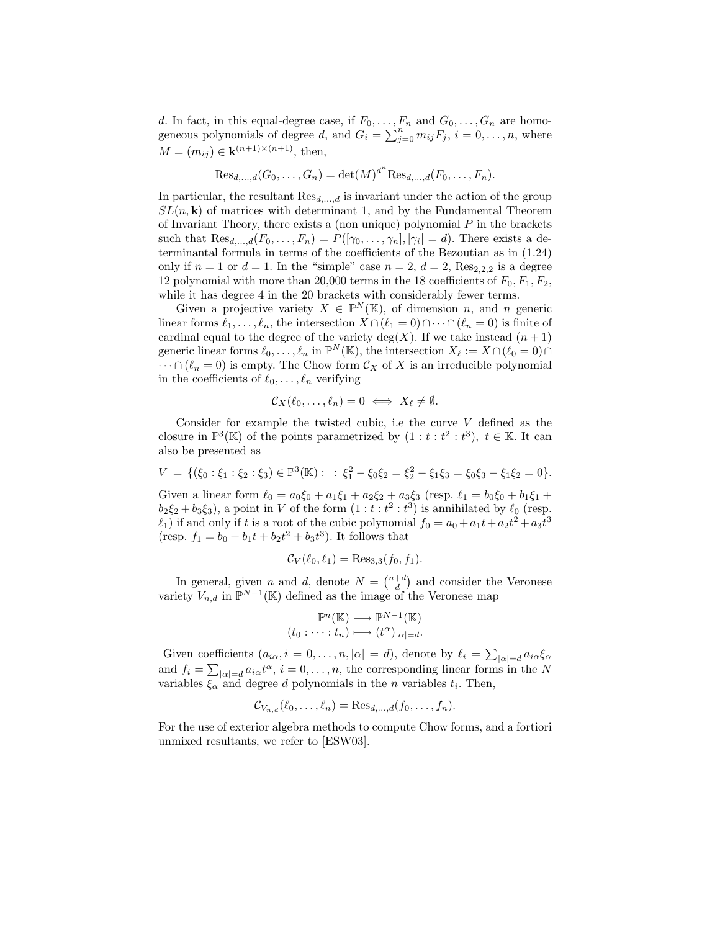d. In fact, in this equal-degree case, if  $F_0, \ldots, F_n$  and  $G_0, \ldots, G_n$  are homogeneous polynomials of degree d, and  $G_i = \sum_{j=0}^n m_{ij} F_j$ ,  $i = 0, \ldots, n$ , where  $M = (m_{ij}) \in \mathbf{k}^{(n+1)\times(n+1)}$ , then,

$$
\text{Res}_{d,...,d}(G_0,...,G_n) = \det(M)^{d^n} \text{Res}_{d,...,d}(F_0,...,F_n).
$$

In particular, the resultant  $\text{Res}_{d,...,d}$  is invariant under the action of the group  $SL(n, \mathbf{k})$  of matrices with determinant 1, and by the Fundamental Theorem of Invariant Theory, there exists a (non unique) polynomial  $P$  in the brackets such that  $\text{Res}_{d,...,d}(F_0,...,F_n) = P([\gamma_0,...,\gamma_n], |\gamma_i| = d)$ . There exists a determinantal formula in terms of the coefficients of the Bezoutian as in (1.24) only if  $n = 1$  or  $d = 1$ . In the "simple" case  $n = 2$ ,  $d = 2$ , Res<sub>2,2,2</sub> is a degree 12 polynomial with more than 20,000 terms in the 18 coefficients of  $F_0, F_1, F_2$ , while it has degree 4 in the 20 brackets with considerably fewer terms.

Given a projective variety  $X \in \mathbb{P}^N(\mathbb{K})$ , of dimension n, and n generic linear forms  $\ell_1, \ldots, \ell_n$ , the intersection  $X \cap (\ell_1 = 0) \cap \cdots \cap (\ell_n = 0)$  is finite of cardinal equal to the degree of the variety  $deg(X)$ . If we take instead  $(n + 1)$ generic linear forms  $\ell_0, \ldots, \ell_n$  in  $\mathbb{P}^N(\mathbb{K})$ , the intersection  $X_\ell := X \cap (\ell_0 = 0) \cap$  $\cdots \cap (\ell_n = 0)$  is empty. The Chow form  $\mathcal{C}_X$  of X is an irreducible polynomial in the coefficients of  $\ell_0, \ldots, \ell_n$  verifying

$$
\mathcal{C}_X(\ell_0,\ldots,\ell_n)=0 \iff X_{\ell} \neq \emptyset.
$$

Consider for example the twisted cubic, i.e the curve  $V$  defined as the closure in  $\mathbb{P}^3(\mathbb{K})$  of the points parametrized by  $(1 : t : t^2 : t^3)$ ,  $t \in \mathbb{K}$ . It can also be presented as

$$
V = \{(\xi_0 : \xi_1 : \xi_2 : \xi_3) \in \mathbb{P}^3(\mathbb{K}) : : \xi_1^2 - \xi_0 \xi_2 = \xi_2^2 - \xi_1 \xi_3 = \xi_0 \xi_3 - \xi_1 \xi_2 = 0\}.
$$

Given a linear form  $\ell_0 = a_0 \xi_0 + a_1 \xi_1 + a_2 \xi_2 + a_3 \xi_3$  (resp.  $\ell_1 = b_0 \xi_0 + b_1 \xi_1 + b_2 \xi_2 + a_3 \xi_3$  $b_2 \xi_2 + b_3 \xi_3$ ), a point in V of the form  $(1 : t : t^2 : t^3)$  is annihilated by  $\ell_0$  (resp.  $\ell_1$ ) if and only if t is a root of the cubic polynomial  $f_0 = a_0 + a_1t + a_2t^2 + a_3t^3$ (resp.  $f_1 = b_0 + b_1t + b_2t^2 + b_3t^3$ ). It follows that

$$
\mathcal{C}_V(\ell_0, \ell_1) = \text{Res}_{3,3}(f_0, f_1).
$$

In general, given *n* and *d*, denote  $N = \binom{n+d}{d}$  and consider the Veronese variety  $V_{n,d}$  in  $\mathbb{P}^{N-1}(\mathbb{K})$  defined as the image of the Veronese map

$$
\mathbb{P}^n(\mathbb{K}) \longrightarrow \mathbb{P}^{N-1}(\mathbb{K})
$$

$$
(t_0 : \dots : t_n) \longmapsto (t^{\alpha})_{|\alpha|=d}.
$$

Given coefficients  $(a_{i\alpha}, i = 0, \ldots, n, |\alpha| = d)$ , denote by  $\ell_i = \sum_{|\alpha|=d} a_{i\alpha} \xi_\alpha$ and  $f_i = \sum_{|\alpha|=d} a_{i\alpha} t^{\alpha}, i = 0, \ldots, n$ , the corresponding linear forms in the N variables  $\xi_{\alpha}$  and degree d polynomials in the *n* variables  $t_i$ . Then,

$$
\mathcal{C}_{V_{n,d}}(\ell_0,\ldots,\ell_n)=\mathrm{Res}_{d,\ldots,d}(f_0,\ldots,f_n).
$$

For the use of exterior algebra methods to compute Chow forms, and a fortiori unmixed resultants, we refer to [ESW03].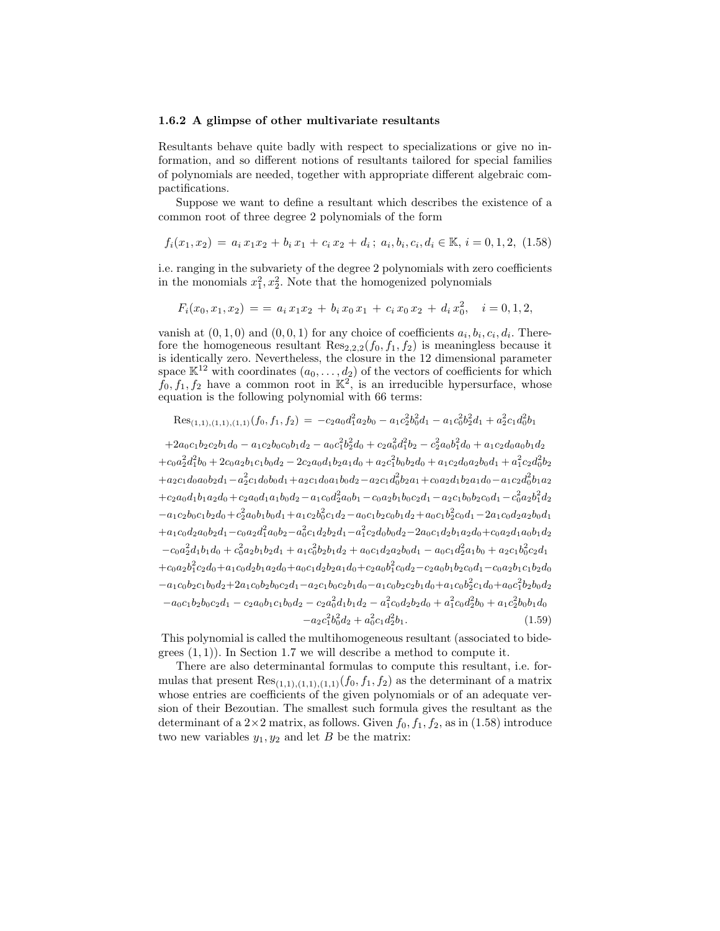#### 1.6.2 A glimpse of other multivariate resultants

Resultants behave quite badly with respect to specializations or give no information, and so different notions of resultants tailored for special families of polynomials are needed, together with appropriate different algebraic compactifications.

Suppose we want to define a resultant which describes the existence of a common root of three degree 2 polynomials of the form

$$
f_i(x_1, x_2) = a_i x_1 x_2 + b_i x_1 + c_i x_2 + d_i; \ a_i, b_i, c_i, d_i \in \mathbb{K}, i = 0, 1, 2, (1.58)
$$

i.e. ranging in the subvariety of the degree 2 polynomials with zero coefficients in the monomials  $x_1^2, x_2^2$ . Note that the homogenized polynomials

$$
F_i(x_0, x_1, x_2) = a_i x_1 x_2 + b_i x_0 x_1 + c_i x_0 x_2 + d_i x_0^2, \quad i = 0, 1, 2,
$$

vanish at  $(0, 1, 0)$  and  $(0, 0, 1)$  for any choice of coefficients  $a_i, b_i, c_i, d_i$ . Therefore the homogeneous resultant  $\text{Res}_{2,2,2}(f_0, f_1, f_2)$  is meaningless because it is identically zero. Nevertheless, the closure in the 12 dimensional parameter space  $\mathbb{K}^{12}$  with coordinates  $(a_0, \ldots, d_2)$  of the vectors of coefficients for which  $f_0, f_1, f_2$  have a common root in  $\mathbb{K}^2$ , is an irreducible hypersurface, whose equation is the following polynomial with 66 terms:

$$
\text{Res}_{(1,1),(1,1),(1,1)}(f_0,f_1,f_2) = -c_2 a_0 d_1^2 a_2 b_0 - a_1 c_2^2 b_0^2 d_1 - a_1 c_0^2 b_2^2 d_1 + a_2^2 c_1 d_0^2 b_1
$$

 $+2a_0c_1b_2c_2b_1d_0 - a_1c_2b_0c_0b_1d_2 - a_0c_1^2b_2^2d_0 + c_2a_0^2d_1^2b_2 - c_2^2a_0b_1^2d_0 + a_1c_2d_0a_0b_1d_2$  $+c_0a_2^2d_1^2b_0+2c_0a_2b_1c_1b_0d_2-2c_2a_0d_1b_2a_1d_0+a_2c_1^2b_0b_2d_0+a_1c_2d_0a_2b_0d_1+a_1^2c_2d_0^2b_2$  $+a_2c_1d_0a_0b_2d_1-a_2^2c_1d_0b_0d_1+a_2c_1d_0a_1b_0d_2-a_2c_1d_0^2b_2a_1+c_0a_2d_1b_2a_1d_0-a_1c_2d_0^2b_1a_2$  $+c_2a_0d_1b_1a_2d_0+c_2a_0d_1a_1b_0d_2-a_1c_0d_2^2a_0b_1-c_0a_2b_1b_0c_2d_1-a_2c_1b_0b_2c_0d_1-c_0^2a_2b_1^2d_2$  $-a_1c_2b_0c_1b_2d_0+c_2^2a_0b_1b_0d_1+a_1c_2b_0^2c_1d_2-a_0c_1b_2c_0b_1d_2+a_0c_1b_2^2c_0d_1-2a_1c_0d_2a_2b_0d_1$  $+a_1c_0d_2a_0b_2d_1-c_0a_2d_1^2a_0b_2-a_0^2c_1d_2b_2d_1-a_1^2c_2d_0b_0d_2-2a_0c_1d_2b_1a_2d_0+c_0a_2d_1a_0b_1d_2$  $-c_0a_2^2d_1b_1d_0 + c_0^2a_2b_1b_2d_1 + a_1c_0^2b_2b_1d_2 + a_0c_1d_2a_2b_0d_1 - a_0c_1d_2^2a_1b_0 + a_2c_1b_0^2c_2d_1$  $+c_0a_2b_1^2c_2d_0+a_1c_0d_2b_1a_2d_0+a_0c_1d_2b_2a_1d_0+c_2a_0b_1^2c_0d_2-c_2a_0b_1b_2c_0d_1-c_0a_2b_1c_1b_2d_0$  $-a_1c_0b_2c_1b_0d_2+2a_1c_0b_2b_0c_2d_1-a_2c_1b_0c_2b_1d_0-a_1c_0b_2c_2b_1d_0+a_1c_0b_2^2c_1d_0+a_0c_1^2b_2b_0d_2$  $-a_0c_1b_2b_0c_2d_1 - c_2a_0b_1c_1b_0d_2 - c_2a_0^2d_1b_1d_2 - a_1^2c_0d_2b_2d_0 + a_1^2c_0d_2^2b_0 + a_1c_2^2b_0b_1d_0$  $-a_2c_1^2b_0^2d_2 + a_0^2c_1d_2^2$  $(1.59)$ 

This polynomial is called the multihomogeneous resultant (associated to bidegrees  $(1, 1)$ ). In Section 1.7 we will describe a method to compute it.

There are also determinantal formulas to compute this resultant, i.e. formulas that present  $\text{Res}_{(1,1),(1,1),(1,1)}(f_0, f_1, f_2)$  as the determinant of a matrix whose entries are coefficients of the given polynomials or of an adequate version of their Bezoutian. The smallest such formula gives the resultant as the determinant of a  $2\times 2$  matrix, as follows. Given  $f_0, f_1, f_2$ , as in (1.58) introduce two new variables  $y_1, y_2$  and let B be the matrix: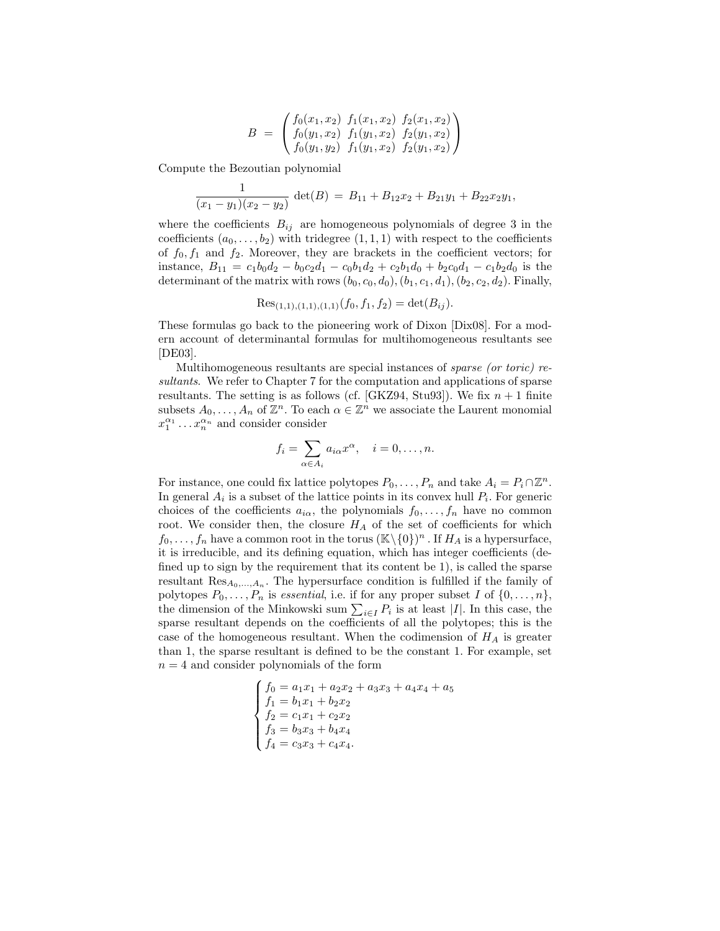$$
B = \begin{pmatrix} f_0(x_1, x_2) & f_1(x_1, x_2) & f_2(x_1, x_2) \\ f_0(y_1, x_2) & f_1(y_1, x_2) & f_2(y_1, x_2) \\ f_0(y_1, y_2) & f_1(y_1, x_2) & f_2(y_1, x_2) \end{pmatrix}
$$

Compute the Bezoutian polynomial

$$
\frac{1}{(x_1-y_1)(x_2-y_2)} \det(B) = B_{11} + B_{12}x_2 + B_{21}y_1 + B_{22}x_2y_1,
$$

where the coefficients  $B_{ij}$  are homogeneous polynomials of degree 3 in the coefficients  $(a_0, \ldots, b_2)$  with tridegree  $(1, 1, 1)$  with respect to the coefficients of  $f_0, f_1$  and  $f_2$ . Moreover, they are brackets in the coefficient vectors; for instance,  $B_{11} = c_1b_0d_2 - b_0c_2d_1 - c_0b_1d_2 + c_2b_1d_0 + b_2c_0d_1 - c_1b_2d_0$  is the determinant of the matrix with rows  $(b_0, c_0, d_0), (b_1, c_1, d_1), (b_2, c_2, d_2)$ . Finally,

$$
Res_{(1,1),(1,1),(1,1)}(f_0, f_1, f_2) = det(B_{ij}).
$$

These formulas go back to the pioneering work of Dixon [Dix08]. For a modern account of determinantal formulas for multihomogeneous resultants see [DE03].

Multihomogeneous resultants are special instances of sparse (or toric) resultants. We refer to Chapter 7 for the computation and applications of sparse resultants. The setting is as follows (cf. [GKZ94, Stu93]). We fix  $n + 1$  finite subsets  $A_0, \ldots, A_n$  of  $\mathbb{Z}^n$ . To each  $\alpha \in \mathbb{Z}^n$  we associate the Laurent monomial  $x_1^{\alpha_1} \dots x_n^{\alpha_n}$  and consider consider

$$
f_i = \sum_{\alpha \in A_i} a_{i\alpha} x^{\alpha}, \quad i = 0, \dots, n.
$$

For instance, one could fix lattice polytopes  $P_0, \ldots, P_n$  and take  $A_i = P_i \cap \mathbb{Z}^n$ . In general  $A_i$  is a subset of the lattice points in its convex hull  $P_i$ . For generic choices of the coefficients  $a_{i\alpha}$ , the polynomials  $f_0, \ldots, f_n$  have no common root. We consider then, the closure  $H_A$  of the set of coefficients for which  $f_0, \ldots, f_n$  have a common root in the torus  $(\mathbb{K}\setminus\{0\})^n$ . If  $H_A$  is a hypersurface, it is irreducible, and its defining equation, which has integer coefficients (defined up to sign by the requirement that its content be 1), is called the sparse resultant  $\text{Res}_{A_0,\ldots,A_n}$ . The hypersurface condition is fulfilled if the family of polytopes  $P_0, \ldots, P_n$  is essential, i.e. if for any proper subset I of  $\{0, \ldots, n\}$ , the dimension of the Minkowski sum  $\sum_{i\in I} P_i$  is at least |I|. In this case, the sparse resultant depends on the coefficients of all the polytopes; this is the case of the homogeneous resultant. When the codimension of  $H_A$  is greater than 1, the sparse resultant is defined to be the constant 1. For example, set  $n = 4$  and consider polynomials of the form

$$
\begin{cases}\nf_0 = a_1x_1 + a_2x_2 + a_3x_3 + a_4x_4 + a_5 \\
f_1 = b_1x_1 + b_2x_2 \\
f_2 = c_1x_1 + c_2x_2 \\
f_3 = b_3x_3 + b_4x_4 \\
f_4 = c_3x_3 + c_4x_4.\n\end{cases}
$$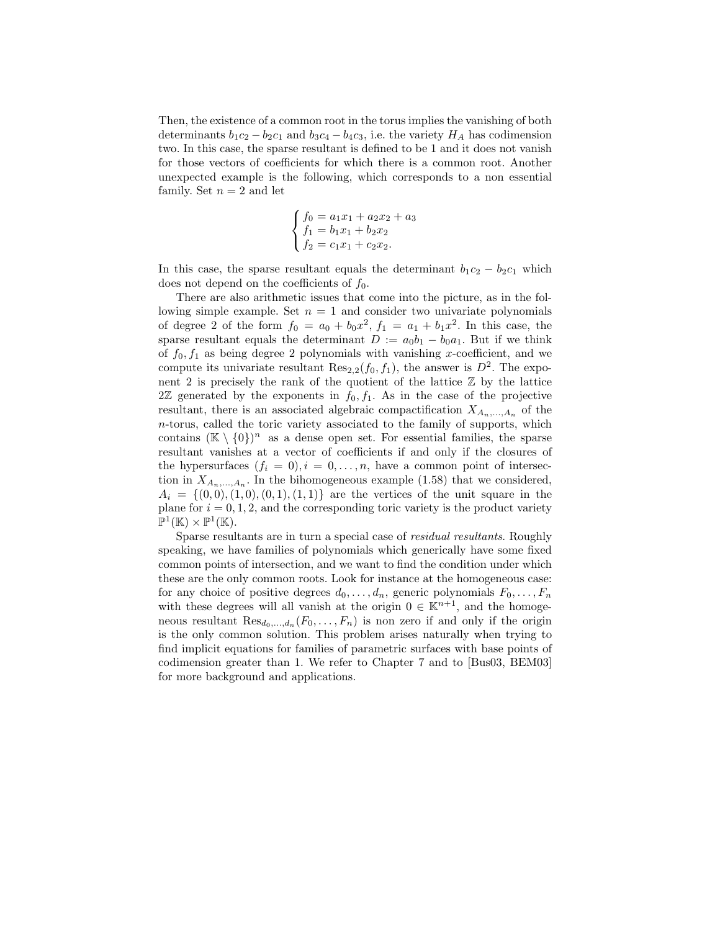Then, the existence of a common root in the torus implies the vanishing of both determinants  $b_1c_2 - b_2c_1$  and  $b_3c_4 - b_4c_3$ , i.e. the variety  $H_A$  has codimension two. In this case, the sparse resultant is defined to be 1 and it does not vanish for those vectors of coefficients for which there is a common root. Another unexpected example is the following, which corresponds to a non essential family. Set  $n = 2$  and let

$$
\begin{cases}\nf_0 = a_1x_1 + a_2x_2 + a_3 \\
f_1 = b_1x_1 + b_2x_2 \\
f_2 = c_1x_1 + c_2x_2.\n\end{cases}
$$

In this case, the sparse resultant equals the determinant  $b_1c_2 - b_2c_1$  which does not depend on the coefficients of  $f_0$ .

There are also arithmetic issues that come into the picture, as in the following simple example. Set  $n = 1$  and consider two univariate polynomials of degree 2 of the form  $f_0 = a_0 + b_0 x^2$ ,  $f_1 = a_1 + b_1 x^2$ . In this case, the sparse resultant equals the determinant  $D := a_0b_1 - b_0a_1$ . But if we think of  $f_0, f_1$  as being degree 2 polynomials with vanishing x-coefficient, and we compute its univariate resultant  $\text{Res}_{2,2}(f_0, f_1)$ , the answer is  $D^2$ . The exponent 2 is precisely the rank of the quotient of the lattice  $\mathbb Z$  by the lattice  $2\mathbb{Z}$  generated by the exponents in  $f_0, f_1$ . As in the case of the projective resultant, there is an associated algebraic compactification  $X_{A_n,\ldots,A_n}$  of the n-torus, called the toric variety associated to the family of supports, which contains  $(\mathbb{K} \setminus \{0\})^n$  as a dense open set. For essential families, the sparse resultant vanishes at a vector of coefficients if and only if the closures of the hypersurfaces  $(f_i = 0), i = 0, \ldots, n$ , have a common point of intersection in  $X_{A_n,\dots,A_n}$ . In the bihomogeneous example (1.58) that we considered,  $A_i = \{(0, 0), (1, 0), (0, 1), (1, 1)\}\$ are the vertices of the unit square in the plane for  $i = 0, 1, 2$ , and the corresponding toric variety is the product variety  $\mathbb{P}^1(\mathbb{K}) \times \mathbb{P}^1(\mathbb{K}).$ 

Sparse resultants are in turn a special case of residual resultants. Roughly speaking, we have families of polynomials which generically have some fixed common points of intersection, and we want to find the condition under which these are the only common roots. Look for instance at the homogeneous case: for any choice of positive degrees  $d_0, \ldots, d_n$ , generic polynomials  $F_0, \ldots, F_n$ with these degrees will all vanish at the origin  $0 \in \mathbb{K}^{n+1}$ , and the homogeneous resultant  $\text{Res}_{d_0,\ldots,d_n}(F_0,\ldots,F_n)$  is non zero if and only if the origin is the only common solution. This problem arises naturally when trying to find implicit equations for families of parametric surfaces with base points of codimension greater than 1. We refer to Chapter 7 and to [Bus03, BEM03] for more background and applications.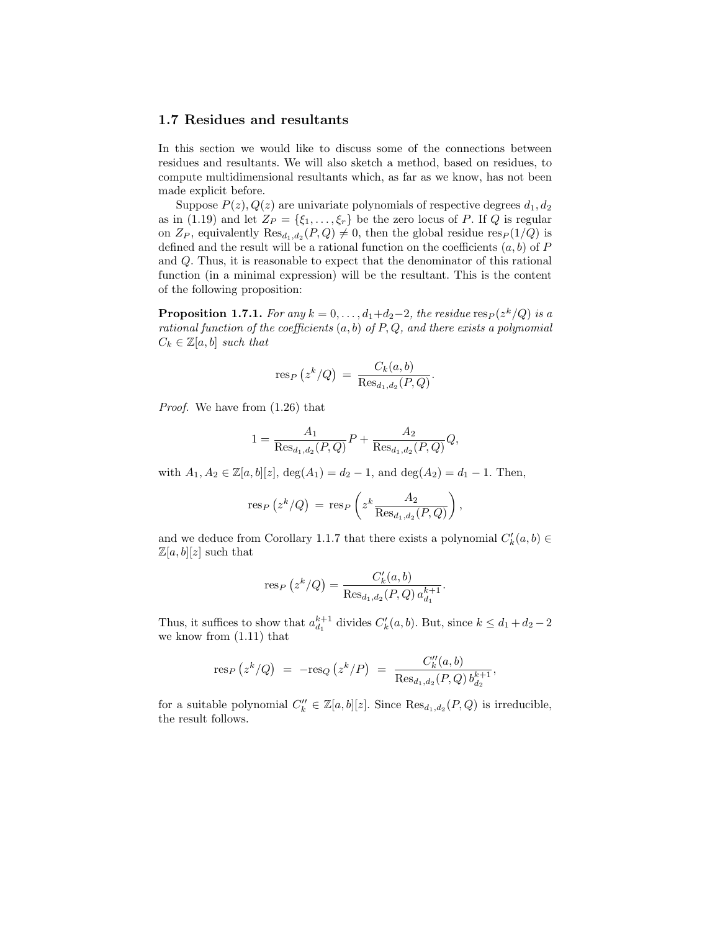# 1.7 Residues and resultants

In this section we would like to discuss some of the connections between residues and resultants. We will also sketch a method, based on residues, to compute multidimensional resultants which, as far as we know, has not been made explicit before.

Suppose  $P(z)$ ,  $Q(z)$  are univariate polynomials of respective degrees  $d_1, d_2$ as in (1.19) and let  $Z_P = \{\xi_1, \ldots, \xi_r\}$  be the zero locus of P. If Q is regular on  $Z_P$ , equivalently  $\text{Res}_{d_1,d_2}(P,Q) \neq 0$ , then the global residue  $\text{res}_P(1/Q)$  is defined and the result will be a rational function on the coefficients  $(a, b)$  of P and Q. Thus, it is reasonable to expect that the denominator of this rational function (in a minimal expression) will be the resultant. This is the content of the following proposition:

**Proposition 1.7.1.** For any  $k = 0, \ldots, d_1+d_2-2$ , the residue  $\operatorname{res}_P(z^k/Q)$  is a rational function of the coefficients  $(a, b)$  of  $P, Q$ , and there exists a polynomial  $C_k \in \mathbb{Z}[a, b]$  such that

$$
\operatorname{res}_P(z^k/Q) = \frac{C_k(a,b)}{\operatorname{Res}_{d_1,d_2}(P,Q)}.
$$

Proof. We have from (1.26) that

$$
1 = \frac{A_1}{\text{Res}_{d_1, d_2}(P, Q)} P + \frac{A_2}{\text{Res}_{d_1, d_2}(P, Q)} Q,
$$

with  $A_1, A_2 \in \mathbb{Z}[a, b][z], \deg(A_1) = d_2 - 1$ , and  $\deg(A_2) = d_1 - 1$ . Then,

$$
\text{res}_P(z^k/Q) = \text{res}_P\left(z^k \frac{A_2}{\text{Res}_{d_1, d_2}(P, Q)}\right),
$$

and we deduce from Corollary 1.1.7 that there exists a polynomial  $C'_{k}(a, b) \in$  $\mathbb{Z}[a, b][z]$  such that

$$
res_P(z^k/Q) = \frac{C'_k(a,b)}{\text{Res}_{d_1,d_2}(P,Q) a_{d_1}^{k+1}}
$$

.

Thus, it suffices to show that  $a_{d_1}^{k+1}$  divides  $C'_k(a, b)$ . But, since  $k \leq d_1 + d_2 - 2$ we know from (1.11) that

$$
\text{res}_P(z^k/Q) = -\text{res}_Q(z^k/P) = \frac{C''_k(a,b)}{\text{Res}_{d_1,d_2}(P,Q) b_{d_2}^{k+1}},
$$

for a suitable polynomial  $C_k'' \in \mathbb{Z}[a, b][z]$ . Since  $\text{Res}_{d_1, d_2}(P, Q)$  is irreducible, the result follows.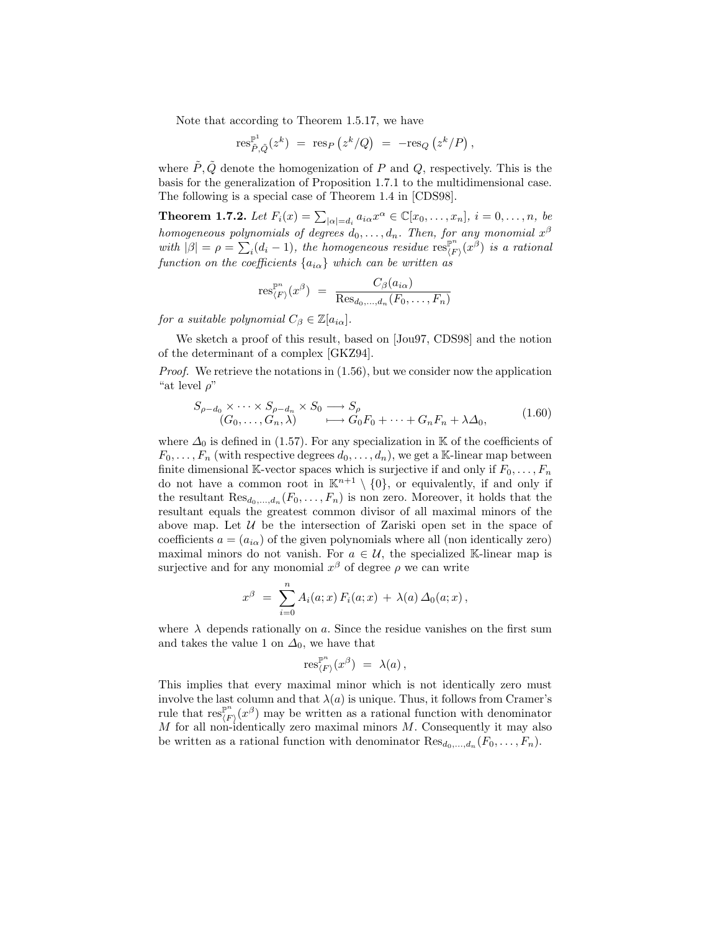Note that according to Theorem 1.5.17, we have

$$
\text{res}_{\tilde{P},\tilde{Q}}^{\mathbb{P}^1}(z^k) \;=\; \text{res}_P\left(z^k/Q\right) \;=\; -\text{res}_Q\left(z^k/P\right),
$$

where  $\tilde{P}, \tilde{Q}$  denote the homogenization of P and Q, respectively. This is the basis for the generalization of Proposition 1.7.1 to the multidimensional case. The following is a special case of Theorem 1.4 in [CDS98].

**Theorem 1.7.2.** Let  $F_i(x) = \sum_{|\alpha|=d_i} a_{i\alpha} x^{\alpha} \in \mathbb{C}[x_0, \ldots, x_n], i = 0, \ldots, n$ , be homogeneous polynomials of degrees  $d_0, \ldots, d_n$ . Then, for any monomial  $x^{\beta}$ with  $|\beta| = \rho = \sum_{i} (d_i - 1)$ , the homogeneous residue  $\operatorname{res}_{\langle F}^{\mathbb{P}^n}$  $\int_{\langle F \rangle}^{\mathbb{P}^n}(x^\beta)$  is a rational function on the coefficients  $\{a_{i\alpha}\}\$  which can be written as

$$
\text{res}_{\langle F \rangle}^{\mathbb{P}^n}(x^\beta) = \frac{C_\beta(a_{i\alpha})}{\text{Res}_{d_0,\dots,d_n}(F_0,\dots,F_n)}
$$

for a suitable polynomial  $C_{\beta} \in \mathbb{Z}[a_{i\alpha}].$ 

We sketch a proof of this result, based on [Jou97, CDS98] and the notion of the determinant of a complex [GKZ94].

Proof. We retrieve the notations in (1.56), but we consider now the application "at level  $\rho$ "

$$
S_{\rho-d_0} \times \cdots \times S_{\rho-d_n} \times S_0 \longrightarrow S_{\rho}
$$
  
\n
$$
(G_0, \ldots, G_n, \lambda) \longrightarrow G_0 F_0 + \cdots + G_n F_n + \lambda \Delta_0,
$$
\n(1.60)

where  $\Delta_0$  is defined in (1.57). For any specialization in K of the coefficients of  $F_0, \ldots, F_n$  (with respective degrees  $d_0, \ldots, d_n$ ), we get a K-linear map between finite dimensional K-vector spaces which is surjective if and only if  $F_0, \ldots, F_n$ do not have a common root in  $\mathbb{K}^{n+1} \setminus \{0\}$ , or equivalently, if and only if the resultant  $\text{Res}_{d_0,\dots,d_n}(F_0,\dots,F_n)$  is non zero. Moreover, it holds that the resultant equals the greatest common divisor of all maximal minors of the above map. Let  $U$  be the intersection of Zariski open set in the space of coefficients  $a = (a_{i\alpha})$  of the given polynomials where all (non identically zero) maximal minors do not vanish. For  $a \in \mathcal{U}$ , the specialized K-linear map is surjective and for any monomial  $x^{\beta}$  of degree  $\rho$  we can write

$$
x^{\beta} = \sum_{i=0}^{n} A_i(a; x) F_i(a; x) + \lambda(a) \Delta_0(a; x),
$$

where  $\lambda$  depends rationally on a. Since the residue vanishes on the first sum and takes the value 1 on  $\Delta_0$ , we have that

$$
\operatorname{res}_{\langle F \rangle}^{\mathbb{P}^n}(x^\beta) \,\, = \,\, \lambda(a) \, ,
$$

This implies that every maximal minor which is not identically zero must involve the last column and that  $\lambda(a)$  is unique. Thus, it follows from Cramer's rule that  $\operatorname{res}_{\ell}^{\mathbb{P}^n}$  $\int_{\langle F \rangle}^{\mathbb{P}^n}(x^{\beta})$  may be written as a rational function with denominator  $M$  for all non-identically zero maximal minors  $M$ . Consequently it may also be written as a rational function with denominator  $\text{Res}_{d_0,\dots,d_n}(F_0,\dots,F_n)$ .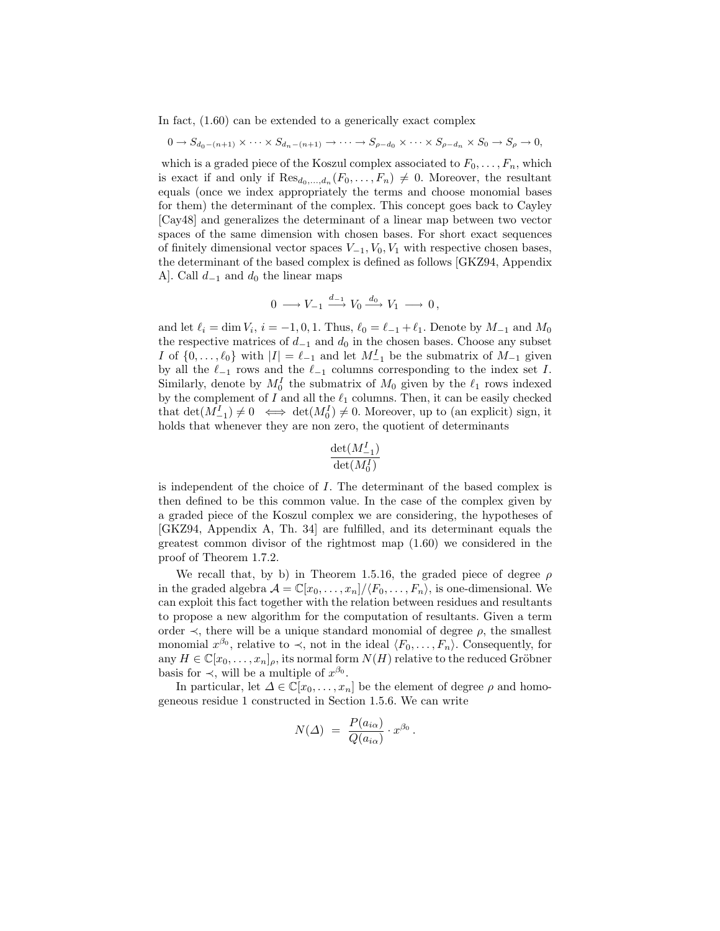In fact, (1.60) can be extended to a generically exact complex

$$
0 \to S_{d_0-(n+1)} \times \cdots \times S_{d_n-(n+1)} \to \cdots \to S_{\rho-d_0} \times \cdots \times S_{\rho-d_n} \times S_0 \to S_{\rho} \to 0,
$$

which is a graded piece of the Koszul complex associated to  $F_0, \ldots, F_n$ , which is exact if and only if  $\text{Res}_{d_0,\dots,d_n}(F_0,\dots,F_n) \neq 0$ . Moreover, the resultant equals (once we index appropriately the terms and choose monomial bases for them) the determinant of the complex. This concept goes back to Cayley [Cay48] and generalizes the determinant of a linear map between two vector spaces of the same dimension with chosen bases. For short exact sequences of finitely dimensional vector spaces  $V_{-1}$ ,  $V_0$ ,  $V_1$  with respective chosen bases, the determinant of the based complex is defined as follows [GKZ94, Appendix A]. Call  $d_{-1}$  and  $d_0$  the linear maps

$$
0 \longrightarrow V_{-1} \stackrel{d_{-1}}{\longrightarrow} V_0 \stackrel{d_0}{\longrightarrow} V_1 \longrightarrow 0,
$$

and let  $\ell_i = \dim V_i$ ,  $i = -1, 0, 1$ . Thus,  $\ell_0 = \ell_{-1} + \ell_1$ . Denote by  $M_{-1}$  and  $M_0$ the respective matrices of  $d_{-1}$  and  $d_0$  in the chosen bases. Choose any subset I of  $\{0, \ldots, \ell_0\}$  with  $|I| = \ell_{-1}$  and let  $M_{-1}$  be the submatrix of  $M_{-1}$  given by all the  $\ell_{-1}$  rows and the  $\ell_{-1}$  columns corresponding to the index set I. Similarly, denote by  $M_0^I$  the submatrix of  $M_0$  given by the  $\ell_1$  rows indexed by the complement of I and all the  $\ell_1$  columns. Then, it can be easily checked that  $\det(M_{-1}^I) \neq 0 \iff \det(M_0^I) \neq 0$ . Moreover, up to (an explicit) sign, it holds that whenever they are non zero, the quotient of determinants

$$
\frac{\det(M^I_{-1})}{\det(M^I_0)}
$$

is independent of the choice of I. The determinant of the based complex is then defined to be this common value. In the case of the complex given by a graded piece of the Koszul complex we are considering, the hypotheses of [GKZ94, Appendix A, Th. 34] are fulfilled, and its determinant equals the greatest common divisor of the rightmost map (1.60) we considered in the proof of Theorem 1.7.2.

We recall that, by b) in Theorem 1.5.16, the graded piece of degree  $\rho$ in the graded algebra  $\mathcal{A} = \mathbb{C}[x_0, \ldots, x_n]/\langle F_0, \ldots, F_n \rangle$ , is one-dimensional. We can exploit this fact together with the relation between residues and resultants to propose a new algorithm for the computation of resultants. Given a term order  $\prec$ , there will be a unique standard monomial of degree  $\rho$ , the smallest monomial  $x^{\beta_0}$ , relative to  $\prec$ , not in the ideal  $\langle F_0, \ldots, F_n \rangle$ . Consequently, for any  $H \in \mathbb{C}[x_0, \ldots, x_n]_\rho$ , its normal form  $N(H)$  relative to the reduced Gröbner basis for  $\prec$ , will be a multiple of  $x^{\beta_0}$ .

In particular, let  $\Delta \in \mathbb{C}[x_0,\ldots,x_n]$  be the element of degree  $\rho$  and homogeneous residue 1 constructed in Section 1.5.6. We can write

$$
N(\varDelta) = \frac{P(a_{i\alpha})}{Q(a_{i\alpha})} \cdot x^{\beta_0}.
$$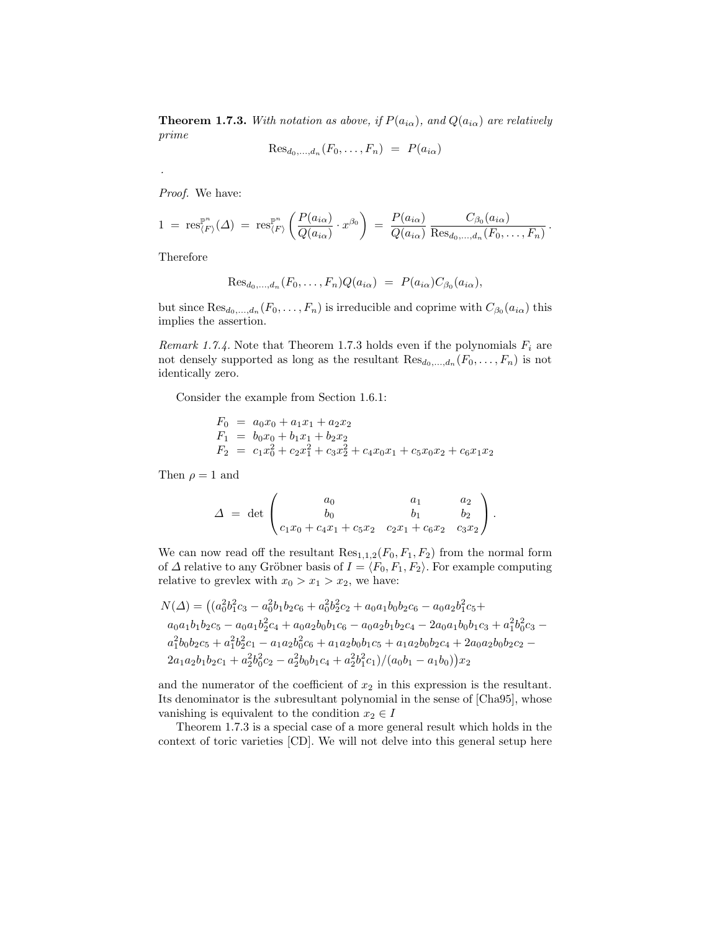**Theorem 1.7.3.** With notation as above, if  $P(a_{i\alpha})$ , and  $Q(a_{i\alpha})$  are relatively prime

$$
\text{Res}_{d_0,\dots,d_n}(F_0,\dots,F_n) = P(a_{i\alpha})
$$

Proof. We have:

$$
1 = \operatorname{res}_{\langle F \rangle}^{\mathbb{P}^n}(\Delta) = \operatorname{res}_{\langle F \rangle}^{\mathbb{P}^n} \left( \frac{P(a_{i\alpha})}{Q(a_{i\alpha})} \cdot x^{\beta_0} \right) = \frac{P(a_{i\alpha})}{Q(a_{i\alpha})} \frac{C_{\beta_0}(a_{i\alpha})}{\operatorname{Res}_{d_0, \dots, d_n}(F_0, \dots, F_n)}.
$$

Therefore

.

$$
\text{Res}_{d_0,\ldots,d_n}(F_0,\ldots,F_n)Q(a_{i\alpha}) = P(a_{i\alpha})C_{\beta_0}(a_{i\alpha}),
$$

but since  $\text{Res}_{d_0,\dots,d_n}(F_0,\dots,F_n)$  is irreducible and coprime with  $C_{\beta_0}(a_{i\alpha})$  this implies the assertion.

Remark 1.7.4. Note that Theorem 1.7.3 holds even if the polynomials  $F_i$  are not densely supported as long as the resultant  $\text{Res}_{d_0,\ldots,d_n}(F_0,\ldots,F_n)$  is not identically zero.

Consider the example from Section 1.6.1:

$$
F_0 = a_0x_0 + a_1x_1 + a_2x_2
$$
  
\n
$$
F_1 = b_0x_0 + b_1x_1 + b_2x_2
$$
  
\n
$$
F_2 = c_1x_0^2 + c_2x_1^2 + c_3x_2^2 + c_4x_0x_1 + c_5x_0x_2 + c_6x_1x_2
$$

Then  $\rho = 1$  and

$$
\Delta = \det \begin{pmatrix} a_0 & a_1 & a_2 \\ b_0 & b_1 & b_2 \\ c_1x_0 + c_4x_1 + c_5x_2 & c_2x_1 + c_6x_2 & c_3x_2 \end{pmatrix}.
$$

We can now read off the resultant  $\text{Res}_{1,1,2}(F_0, F_1, F_2)$  from the normal form of  $\Delta$  relative to any Gröbner basis of  $I = \langle F_0, F_1, F_2 \rangle$ . For example computing relative to grevlex with  $x_0 > x_1 > x_2$ , we have:

$$
N(\Delta) = ((a_0^2 b_1^2 c_3 - a_0^2 b_1 b_2 c_6 + a_0^2 b_2^2 c_2 + a_0 a_1 b_0 b_2 c_6 - a_0 a_2 b_1^2 c_5 + a_0 a_1 b_1 b_2 c_5 - a_0 a_1 b_2^2 c_4 + a_0 a_2 b_0 b_1 c_6 - a_0 a_2 b_1 b_2 c_4 - 2 a_0 a_1 b_0 b_1 c_3 + a_1^2 b_0^2 c_3 - a_1^2 b_0 b_2 c_5 + a_1^2 b_2^2 c_1 - a_1 a_2 b_0^2 c_6 + a_1 a_2 b_0 b_1 c_5 + a_1 a_2 b_0 b_2 c_4 + 2 a_0 a_2 b_0 b_2 c_2 - 2 a_1 a_2 b_1 b_2 c_1 + a_2^2 b_0^2 c_2 - a_2^2 b_0 b_1 c_4 + a_2^2 b_1^2 c_1)/(a_0 b_1 - a_1 b_0)) x_2
$$

and the numerator of the coefficient of  $x_2$  in this expression is the resultant. Its denominator is the subresultant polynomial in the sense of [Cha95], whose vanishing is equivalent to the condition  $x_2 \in I$ 

Theorem 1.7.3 is a special case of a more general result which holds in the context of toric varieties [CD]. We will not delve into this general setup here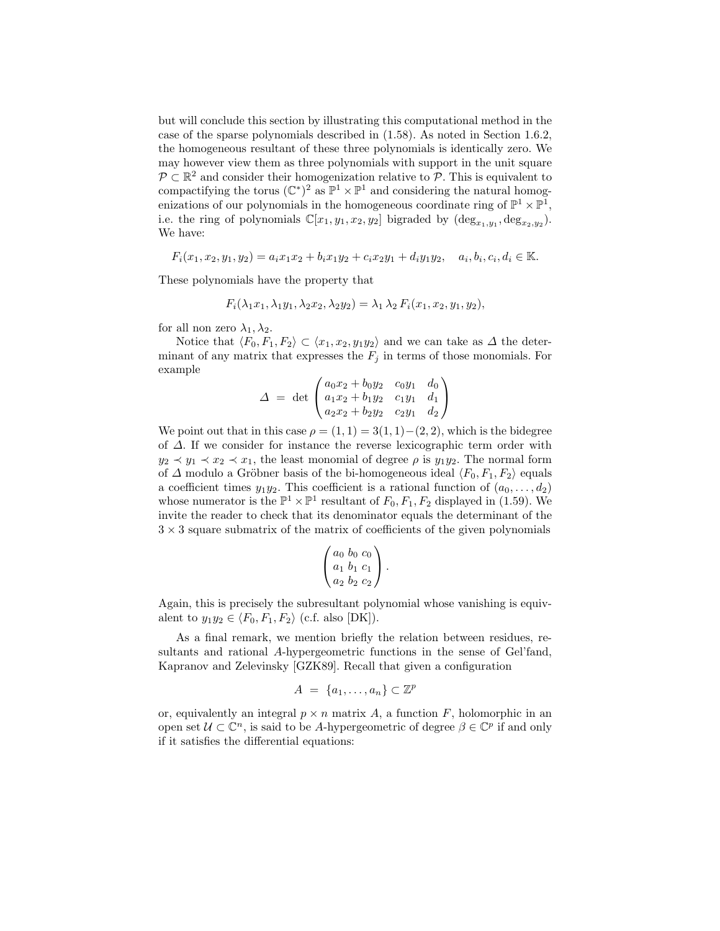but will conclude this section by illustrating this computational method in the case of the sparse polynomials described in (1.58). As noted in Section 1.6.2, the homogeneous resultant of these three polynomials is identically zero. We may however view them as three polynomials with support in the unit square  $\mathcal{P} \subset \mathbb{R}^2$  and consider their homogenization relative to  $\mathcal{P}$ . This is equivalent to compactifying the torus  $(\mathbb{C}^*)^2$  as  $\mathbb{P}^1 \times \mathbb{P}^1$  and considering the natural homogenizations of our polynomials in the homogeneous coordinate ring of  $\mathbb{P}^1 \times \mathbb{P}^1$ , i.e. the ring of polynomials  $\mathbb{C}[x_1, y_1, x_2, y_2]$  bigraded by  $(\deg_{x_1,y_1}, \deg_{x_2,y_2})$ . We have:

$$
F_i(x_1, x_2, y_1, y_2) = a_i x_1 x_2 + b_i x_1 y_2 + c_i x_2 y_1 + d_i y_1 y_2, \quad a_i, b_i, c_i, d_i \in \mathbb{K}.
$$

These polynomials have the property that

$$
F_i(\lambda_1 x_1, \lambda_1 y_1, \lambda_2 x_2, \lambda_2 y_2) = \lambda_1 \lambda_2 F_i(x_1, x_2, y_1, y_2),
$$

for all non zero  $\lambda_1, \lambda_2$ .

Notice that  $\langle F_0, F_1, F_2 \rangle \subset \langle x_1, x_2, y_1y_2 \rangle$  and we can take as  $\Delta$  the determinant of any matrix that expresses the  $F_i$  in terms of those monomials. For example

$$
\Delta = \det \begin{pmatrix} a_0x_2 + b_0y_2 & c_0y_1 & d_0 \\ a_1x_2 + b_1y_2 & c_1y_1 & d_1 \\ a_2x_2 + b_2y_2 & c_2y_1 & d_2 \end{pmatrix}
$$

We point out that in this case  $\rho = (1, 1) = 3(1, 1) - (2, 2)$ , which is the bidegree of ∆. If we consider for instance the reverse lexicographic term order with  $y_2 \prec y_1 \prec x_2 \prec x_1$ , the least monomial of degree  $\rho$  is  $y_1y_2$ . The normal form of  $\Delta$  modulo a Gröbner basis of the bi-homogeneous ideal  $\langle F_0, F_1, F_2 \rangle$  equals a coefficient times  $y_1y_2$ . This coefficient is a rational function of  $(a_0, \ldots, d_2)$ whose numerator is the  $\mathbb{P}^1 \times \mathbb{P}^1$  resultant of  $F_0, F_1, F_2$  displayed in (1.59). We invite the reader to check that its denominator equals the determinant of the  $3 \times 3$  square submatrix of the matrix of coefficients of the given polynomials

$$
\left(\begin{array}{l}a_0 & b_0 & c_0 \ a_1 & b_1 & c_1 \ a_2 & b_2 & c_2\end{array}\right).
$$

Again, this is precisely the subresultant polynomial whose vanishing is equivalent to  $y_1y_2 \in \langle F_0, F_1, F_2 \rangle$  (c.f. also [DK]).

As a final remark, we mention briefly the relation between residues, resultants and rational A-hypergeometric functions in the sense of Gel'fand, Kapranov and Zelevinsky [GZK89]. Recall that given a configuration

$$
A = \{a_1, \ldots, a_n\} \subset \mathbb{Z}^p
$$

or, equivalently an integral  $p \times n$  matrix A, a function F, holomorphic in an open set  $\mathcal{U} \subset \mathbb{C}^n$ , is said to be A-hypergeometric of degree  $\beta \in \mathbb{C}^p$  if and only if it satisfies the differential equations: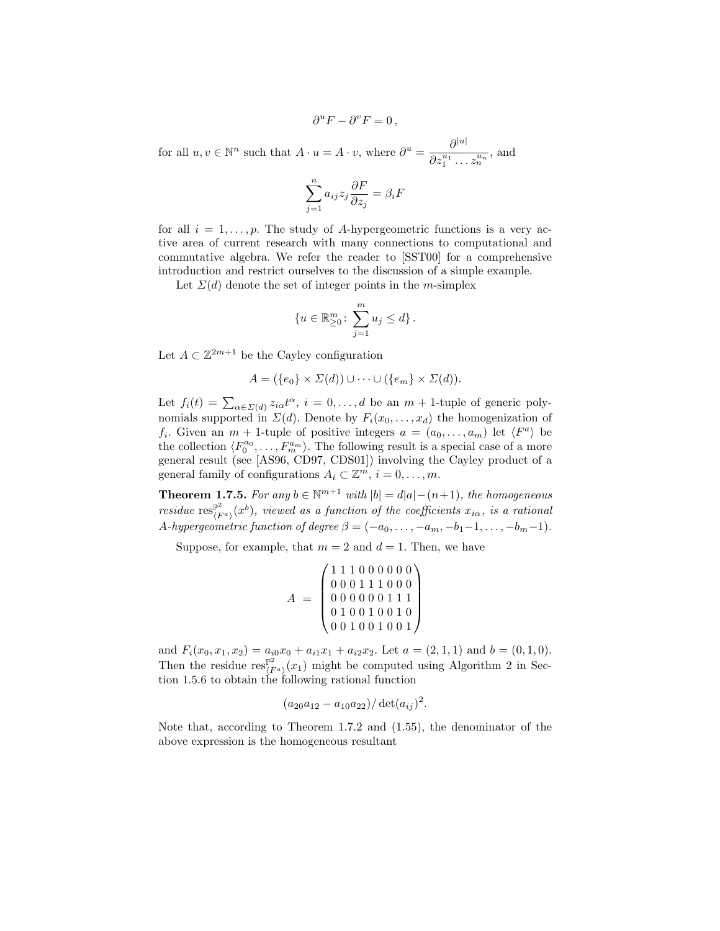$$
\partial^u F - \partial^v F = 0,
$$
  
for all  $u, v \in \mathbb{N}^n$  such that  $A \cdot u = A \cdot v$ , where  $\partial^u = \frac{\partial^{|u|}}{\partial z_1^{u_1} \dots z_n^{u_n}}$ , and  

$$
\sum_{i=1}^n a_{ij} z_j \frac{\partial F}{\partial z_j} = \beta_i F
$$

for all  $i = 1, \ldots, p$ . The study of A-hypergeometric functions is a very active area of current research with many connections to computational and commutative algebra. We refer the reader to [SST00] for a comprehensive introduction and restrict ourselves to the discussion of a simple example.

Let  $\Sigma(d)$  denote the set of integer points in the m-simplex

$$
\{u \in \mathbb{R}^m_{\geq 0} \colon \sum_{j=1}^m u_j \leq d\}.
$$

Let  $A \subset \mathbb{Z}^{2m+1}$  be the Cayley configuration

$$
A = (\{e_0\} \times \Sigma(d)) \cup \cdots \cup (\{e_m\} \times \Sigma(d)).
$$

Let  $f_i(t) = \sum_{\alpha \in \Sigma(d)} z_{i\alpha} t^{\alpha}, i = 0, \ldots, d$  be an  $m + 1$ -tuple of generic polynomials supported in  $\Sigma(d)$ . Denote by  $F_i(x_0, \ldots, x_d)$  the homogenization of  $f_i$ . Given an  $m + 1$ -tuple of positive integers  $a = (a_0, \ldots, a_m)$  let  $\langle F^a \rangle$  be the collection  $\langle F_0^{a_0}, \ldots, F_m^{a_m} \rangle$ . The following result is a special case of a more general result (see [AS96, CD97, CDS01]) involving the Cayley product of a general family of configurations  $A_i \subset \mathbb{Z}^m$ ,  $i = 0, \ldots, m$ .

**Theorem 1.7.5.** For any  $b \in \mathbb{N}^{m+1}$  with  $|b| = d|a| - (n+1)$ , the homogeneous residue  $\operatorname{res}_{(F^a)}^{\mathbb{P}^2}(x^b)$ , viewed as a function of the coefficients  $x_{i\alpha}$ , is a rational A-hypergeometric function of degree  $\beta = (-a_0, \ldots, -a_m, -b_1-1, \ldots, -b_m-1)$ .

Suppose, for example, that  $m = 2$  and  $d = 1$ . Then, we have

$$
A = \begin{pmatrix} 1 & 1 & 1 & 0 & 0 & 0 & 0 & 0 & 0 \\ 0 & 0 & 0 & 1 & 1 & 1 & 0 & 0 & 0 \\ 0 & 0 & 0 & 0 & 0 & 0 & 1 & 1 & 1 \\ 0 & 1 & 0 & 0 & 1 & 0 & 0 & 1 & 0 \\ 0 & 0 & 1 & 0 & 0 & 1 & 0 & 0 & 1 \end{pmatrix}
$$

and  $F_i(x_0, x_1, x_2) = a_{i0}x_0 + a_{i1}x_1 + a_{i2}x_2$ . Let  $a = (2, 1, 1)$  and  $b = (0, 1, 0)$ . Then the residue  $\operatorname{res}_{(F^a)}^{\mathbb{P}^2}(x_1)$  might be computed using Algorithm 2 in Section 1.5.6 to obtain the following rational function

$$
(a_{20}a_{12}-a_{10}a_{22})/\det(a_{ij})^2
$$
.

Note that, according to Theorem 1.7.2 and (1.55), the denominator of the above expression is the homogeneous resultant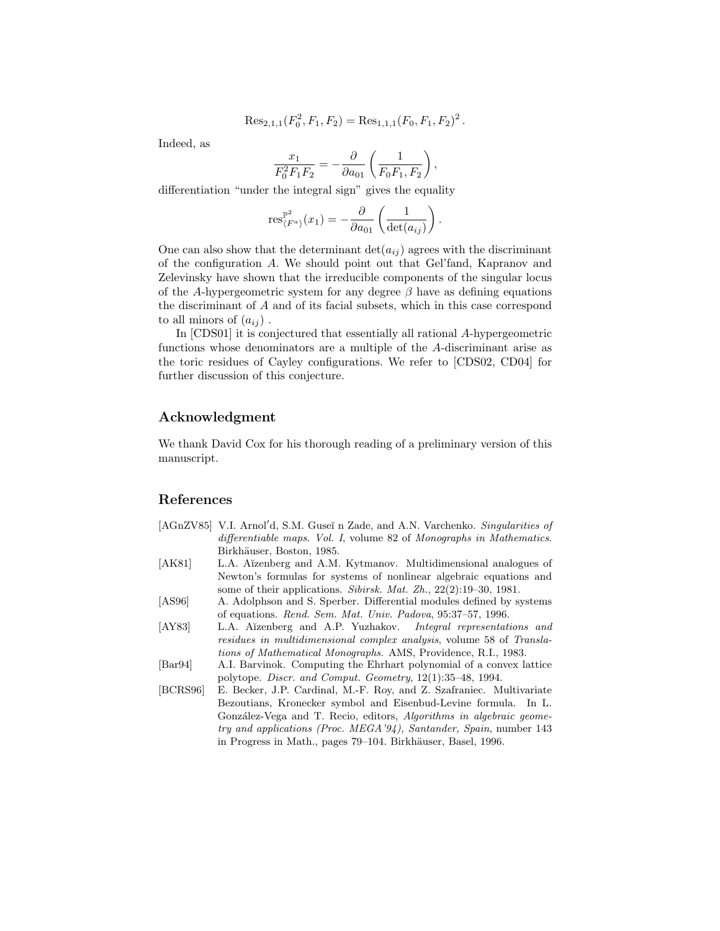$$
\operatorname{Res}_{2,1,1}(F_0^2, F_1, F_2) = \operatorname{Res}_{1,1,1}(F_0, F_1, F_2)^2
$$

.

Indeed, as

$$
\frac{x_1}{F_0^2 F_1 F_2} = -\frac{\partial}{\partial a_{01}} \left( \frac{1}{F_0 F_1, F_2} \right),
$$

differentiation "under the integral sign" gives the equality

$$
\operatorname{res}_{\langle F^a \rangle}^{\mathbb{P}^2}(x_1) = -\frac{\partial}{\partial a_{01}} \left( \frac{1}{\det(a_{ij})} \right).
$$

One can also show that the determinant  $\det(a_{ij})$  agrees with the discriminant of the configuration A. We should point out that Gel'fand, Kapranov and Zelevinsky have shown that the irreducible components of the singular locus of the A-hypergeometric system for any degree  $\beta$  have as defining equations the discriminant of A and of its facial subsets, which in this case correspond to all minors of  $(a_{ij})$ .

In [CDS01] it is conjectured that essentially all rational A-hypergeometric functions whose denominators are a multiple of the A-discriminant arise as the toric residues of Cayley configurations. We refer to [CDS02, CD04] for further discussion of this conjecture.

# Acknowledgment

We thank David Cox for his thorough reading of a preliminary version of this manuscript.

# References

- [AGnZV85] V.I. Arnol'd, S.M. Guseĭ n Zade, and A.N. Varchenko. Singularities of differentiable maps. Vol. I, volume 82 of Monographs in Mathematics. Birkhäuser, Boston, 1985.
- [AK81] L.A. Aĭzenberg and A.M. Kytmanov. Multidimensional analogues of Newton's formulas for systems of nonlinear algebraic equations and some of their applications. Sibirsk. Mat. Zh., 22(2):19-30, 1981.
- [AS96] A. Adolphson and S. Sperber. Differential modules defined by systems of equations. Rend. Sem. Mat. Univ. Padova, 95:37–57, 1996.
- [AY83] L.A. Aĭzenberg and A.P. Yuzhakov. Integral representations and residues in multidimensional complex analysis, volume 58 of Translations of Mathematical Monographs. AMS, Providence, R.I., 1983.
- [Bar94] A.I. Barvinok. Computing the Ehrhart polynomial of a convex lattice polytope. Discr. and Comput. Geometry, 12(1):35–48, 1994.
- [BCRS96] E. Becker, J.P. Cardinal, M.-F. Roy, and Z. Szafraniec. Multivariate Bezoutians, Kronecker symbol and Eisenbud-Levine formula. In L. González-Vega and T. Recio, editors, Algorithms in algebraic geometry and applications (Proc. MEGA'94), Santander, Spain, number 143 in Progress in Math., pages 79–104. Birkhäuser, Basel, 1996.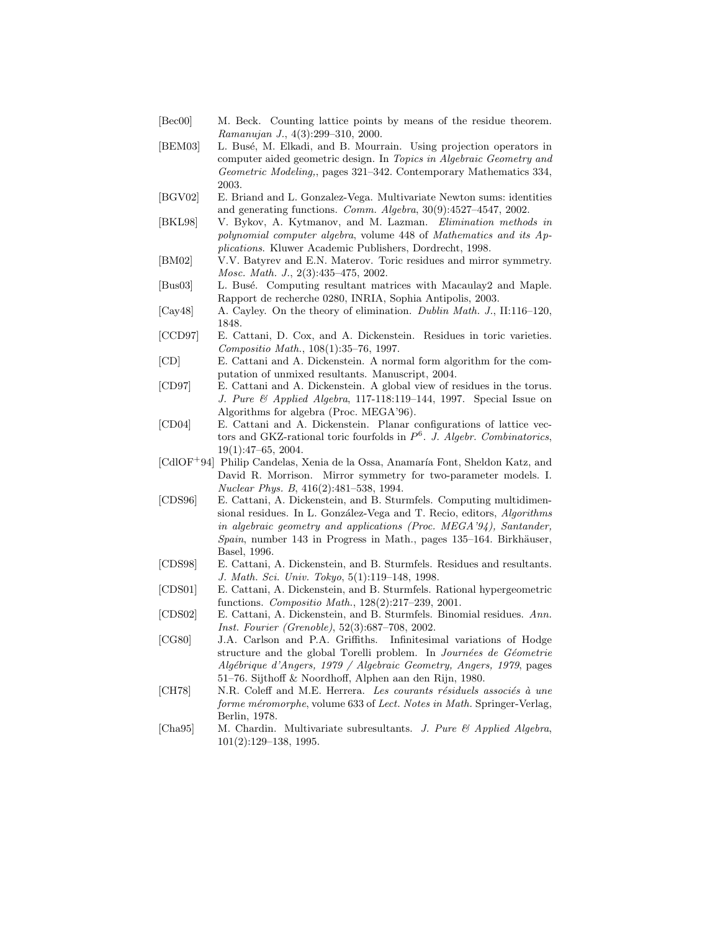- [Bec00] M. Beck. Counting lattice points by means of the residue theorem. Ramanujan J., 4(3):299–310, 2000.
- [BEM03] L. Busé, M. Elkadi, and B. Mourrain. Using projection operators in computer aided geometric design. In Topics in Algebraic Geometry and Geometric Modeling,, pages 321–342. Contemporary Mathematics 334, 2003.
- [BGV02] E. Briand and L. Gonzalez-Vega. Multivariate Newton sums: identities and generating functions. Comm. Algebra, 30(9):4527–4547, 2002.
- [BKL98] V. Bykov, A. Kytmanov, and M. Lazman. Elimination methods in polynomial computer algebra, volume 448 of Mathematics and its Applications. Kluwer Academic Publishers, Dordrecht, 1998.
- [BM02] V.V. Batyrev and E.N. Materov. Toric residues and mirror symmetry. Mosc. Math. J., 2(3):435–475, 2002.
- [Bus03] L. Busé. Computing resultant matrices with Macaulay2 and Maple. Rapport de recherche 0280, INRIA, Sophia Antipolis, 2003.
- [Cay48] A. Cayley. On the theory of elimination. Dublin Math. J., II:116–120, 1848.
- [CCD97] E. Cattani, D. Cox, and A. Dickenstein. Residues in toric varieties. Compositio Math., 108(1):35–76, 1997.
- [CD] E. Cattani and A. Dickenstein. A normal form algorithm for the computation of unmixed resultants. Manuscript, 2004.
- [CD97] E. Cattani and A. Dickenstein. A global view of residues in the torus. J. Pure & Applied Algebra, 117-118:119–144, 1997. Special Issue on Algorithms for algebra (Proc. MEGA'96).
- [CD04] E. Cattani and A. Dickenstein. Planar configurations of lattice vectors and GKZ-rational toric fourfolds in  $P^6$ . J. Algebr. Combinatorics, 19(1):47–65, 2004.
- $\lceil \text{Cd} \rceil$  Philip Candelas, Xenia de la Ossa, Anamaría Font, Sheldon Katz, and David R. Morrison. Mirror symmetry for two-parameter models. I. Nuclear Phys. B, 416(2):481–538, 1994.
- [CDS96] E. Cattani, A. Dickenstein, and B. Sturmfels. Computing multidimensional residues. In L. González-Vega and T. Recio, editors, *Algorithms* in algebraic geometry and applications (Proc. MEGA'94), Santander,  $Spain$ , number 143 in Progress in Math., pages 135–164. Birkhäuser, Basel, 1996.
- [CDS98] E. Cattani, A. Dickenstein, and B. Sturmfels. Residues and resultants. J. Math. Sci. Univ. Tokyo, 5(1):119–148, 1998.
- [CDS01] E. Cattani, A. Dickenstein, and B. Sturmfels. Rational hypergeometric functions. Compositio Math., 128(2):217–239, 2001.
- [CDS02] E. Cattani, A. Dickenstein, and B. Sturmfels. Binomial residues. Ann. Inst. Fourier (Grenoble), 52(3):687–708, 2002.
- [CG80] J.A. Carlson and P.A. Griffiths. Infinitesimal variations of Hodge structure and the global Torelli problem. In Journées de Géometrie Alg´ebrique d'Angers, 1979 / Algebraic Geometry, Angers, 1979, pages 51–76. Sijthoff & Noordhoff, Alphen aan den Rijn, 1980.
- [CH78] N.R. Coleff and M.E. Herrera. Les courants résiduels associés à une forme méromorphe, volume 633 of Lect. Notes in Math. Springer-Verlag, Berlin, 1978.
- [Cha95] M. Chardin. Multivariate subresultants. J. Pure & Applied Algebra, 101(2):129–138, 1995.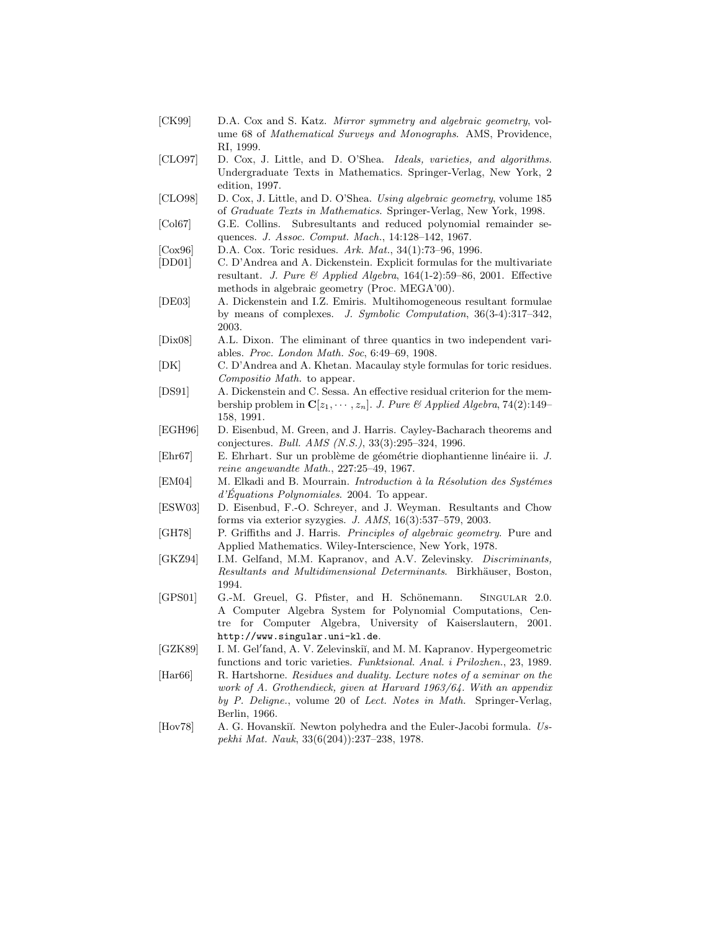- [CK99] D.A. Cox and S. Katz. Mirror symmetry and algebraic geometry, volume 68 of Mathematical Surveys and Monographs. AMS, Providence, RI, 1999.
- [CLO97] D. Cox, J. Little, and D. O'Shea. Ideals, varieties, and algorithms. Undergraduate Texts in Mathematics. Springer-Verlag, New York, 2 edition, 1997.
- [CLO98] D. Cox, J. Little, and D. O'Shea. Using algebraic geometry, volume 185 of Graduate Texts in Mathematics. Springer-Verlag, New York, 1998.
- [Col67] G.E. Collins. Subresultants and reduced polynomial remainder sequences. J. Assoc. Comput. Mach., 14:128–142, 1967.
- [Cox96] D.A. Cox. Toric residues. Ark. Mat., 34(1):73–96, 1996.
- [DD01] C. D'Andrea and A. Dickenstein. Explicit formulas for the multivariate resultant. J. Pure & Applied Algebra,  $164(1-2):59-86$ , 2001. Effective methods in algebraic geometry (Proc. MEGA'00).
- [DE03] A. Dickenstein and I.Z. Emiris. Multihomogeneous resultant formulae by means of complexes. J. Symbolic Computation, 36(3-4):317–342, 2003.
- [Dix08] A.L. Dixon. The eliminant of three quantics in two independent variables. Proc. London Math. Soc, 6:49–69, 1908.
- [DK] C. D'Andrea and A. Khetan. Macaulay style formulas for toric residues. Compositio Math. to appear.
- [DS91] A. Dickenstein and C. Sessa. An effective residual criterion for the membership problem in  $\mathbf{C}[z_1, \cdots, z_n]$ . J. Pure & Applied Algebra, 74(2):149– 158, 1991.
- [EGH96] D. Eisenbud, M. Green, and J. Harris. Cayley-Bacharach theorems and conjectures. Bull. AMS (N.S.), 33(3):295–324, 1996.
- [Ehr67] E. Ehrhart. Sur un problème de géométrie diophantienne linéaire ii. J. reine angewandte Math., 227:25–49, 1967.
- [EM04] M. Elkadi and B. Mourrain. *Introduction à la Résolution des Systémes*  $d'Equations Polynomials. 2004. To appear.$
- [ESW03] D. Eisenbud, F.-O. Schreyer, and J. Weyman. Resultants and Chow forms via exterior syzygies. J. AMS, 16(3):537–579, 2003.
- [GH78] P. Griffiths and J. Harris. Principles of algebraic geometry. Pure and Applied Mathematics. Wiley-Interscience, New York, 1978.
- [GKZ94] I.M. Gelfand, M.M. Kapranov, and A.V. Zelevinsky. Discriminants, Resultants and Multidimensional Determinants. Birkhäuser, Boston, 1994.
- [GPS01] G.-M. Greuel, G. Pfister, and H. Schönemann. SINGULAR 2.0. A Computer Algebra System for Polynomial Computations, Centre for Computer Algebra, University of Kaiserslautern, 2001. http://www.singular.uni-kl.de.
- [GZK89] I. M. Gel'fand, A. V. Zelevinskiı̆, and M. M. Kapranov. Hypergeometric functions and toric varieties. Funktsional. Anal. i Prilozhen., 23, 1989.
- [Har66] R. Hartshorne. Residues and duality. Lecture notes of a seminar on the work of A. Grothendieck, given at Harvard 1963/64. With an appendix by P. Deligne., volume 20 of Lect. Notes in Math. Springer-Verlag, Berlin, 1966.
- [Hov78] A. G. Hovanskiı̆. Newton polyhedra and the Euler-Jacobi formula. Uspekhi Mat. Nauk, 33(6(204)):237–238, 1978.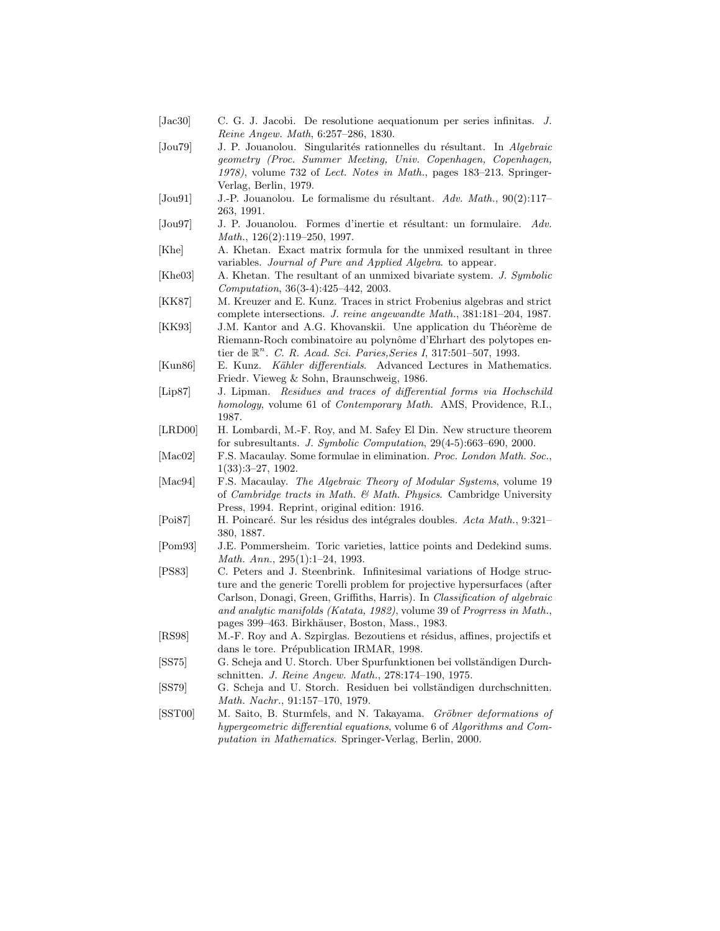[Jac30] C. G. J. Jacobi. De resolutione aequationum per series infinitas. J. Reine Angew. Math, 6:257–286, 1830. [Jou79] J. P. Jouanolou. Singularités rationnelles du résultant. In Algebraic geometry (Proc. Summer Meeting, Univ. Copenhagen, Copenhagen, 1978), volume 732 of Lect. Notes in Math., pages 183–213. Springer-Verlag, Berlin, 1979. [Jou91] J.-P. Jouanolou. Le formalisme du résultant. Adv. Math.,  $90(2):117-$ 263, 1991. [Jou97] J. P. Jouanolou. Formes d'inertie et résultant: un formulaire. Adv. Math., 126(2):119–250, 1997. [Khe] A. Khetan. Exact matrix formula for the unmixed resultant in three variables. Journal of Pure and Applied Algebra. to appear. [Khe03] A. Khetan. The resultant of an unmixed bivariate system. J. Symbolic Computation, 36(3-4):425–442, 2003. [KK87] M. Kreuzer and E. Kunz. Traces in strict Frobenius algebras and strict complete intersections. J. reine angewandte Math., 381:181–204, 1987. [KK93] J.M. Kantor and A.G. Khovanskii. Une application du Théorème de Riemann-Roch combinatoire au polynôme d'Ehrhart des polytopes entier de  $\mathbb{R}^n$ . C. R. Acad. Sci. Paries, Series I, 317:501-507, 1993. [Kun86] E. Kunz. Kähler differentials. Advanced Lectures in Mathematics. Friedr. Vieweg & Sohn, Braunschweig, 1986. [Lip87] J. Lipman. Residues and traces of differential forms via Hochschild homology, volume 61 of *Contemporary Math.* AMS, Providence, R.I., 1987. [LRD00] H. Lombardi, M.-F. Roy, and M. Safey El Din. New structure theorem for subresultants. J. Symbolic Computation, 29(4-5):663–690, 2000. [Mac02] F.S. Macaulay. Some formulae in elimination. Proc. London Math. Soc., 1(33):3–27, 1902. [Mac94] F.S. Macaulay. The Algebraic Theory of Modular Systems, volume 19 of Cambridge tracts in Math. & Math. Physics. Cambridge University Press, 1994. Reprint, original edition: 1916. [Poi87] H. Poincaré. Sur les résidus des intégrales doubles. Acta Math., 9:321– 380, 1887. [Pom93] J.E. Pommersheim. Toric varieties, lattice points and Dedekind sums. Math. Ann., 295(1):1–24, 1993. [PS83] C. Peters and J. Steenbrink. Infinitesimal variations of Hodge structure and the generic Torelli problem for projective hypersurfaces (after Carlson, Donagi, Green, Griffiths, Harris). In Classification of algebraic and analytic manifolds (Katata, 1982), volume 39 of Progrress in Math., pages 399–463. Birkhäuser, Boston, Mass., 1983. [RS98] M.-F. Roy and A. Szpirglas. Bezoutiens et résidus, affines, projectifs et dans le tore. Prépublication IRMAR, 1998. [SS75] G. Scheja and U. Storch. Uber Spurfunktionen bei vollständigen Durchschnitten. J. Reine Angew. Math., 278:174–190, 1975. [SS79] G. Scheja and U. Storch. Residuen bei vollständigen durchschnitten. Math. Nachr., 91:157–170, 1979. [SST00] M. Saito, B. Sturmfels, and N. Takayama. Gröbner deformations of hypergeometric differential equations, volume 6 of Algorithms and Computation in Mathematics. Springer-Verlag, Berlin, 2000.